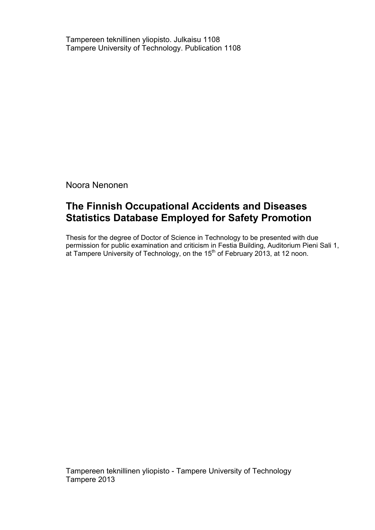Tampereen teknillinen yliopisto. Julkaisu 1108 Tampere University of Technology. Publication 1108

Noora Nenonen

# **The Finnish Occupational Accidents and Diseases Statistics Database Employed for Safety Promotion**

Thesis for the degree of Doctor of Science in Technology to be presented with due permission for public examination and criticism in Festia Building, Auditorium Pieni Sali 1, at Tampere University of Technology, on the  $15<sup>th</sup>$  of February 2013, at 12 noon.

Tampereen teknillinen yliopisto - Tampere University of Technology Tampere 2013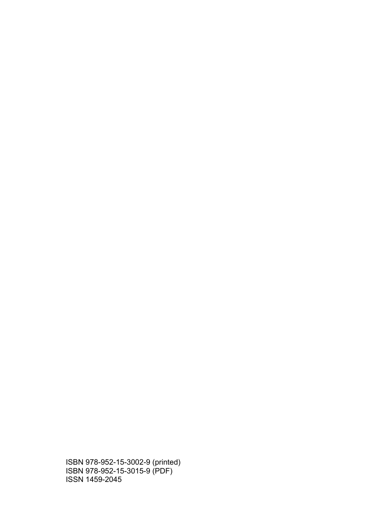ISBN 978-952-15-3002-9 (printed) ISBN 978-952-15-3015-9 (PDF) ISSN 1459-2045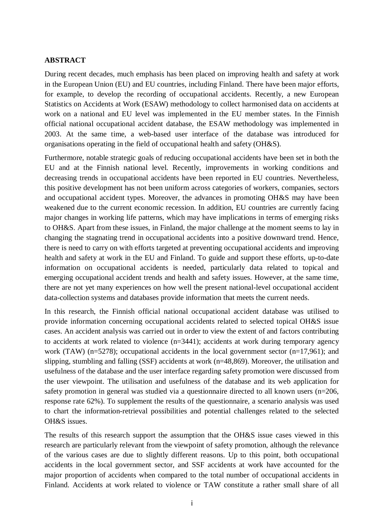#### **ABSTRACT**

During recent decades, much emphasis has been placed on improving health and safety at work in the European Union (EU) and EU countries, including Finland. There have been major efforts, for example, to develop the recording of occupational accidents. Recently, a new European Statistics on Accidents at Work (ESAW) methodology to collect harmonised data on accidents at work on a national and EU level was implemented in the EU member states. In the Finnish official national occupational accident database, the ESAW methodology was implemented in 2003. At the same time, a web-based user interface of the database was introduced for organisations operating in the field of occupational health and safety (OH&S).

Furthermore, notable strategic goals of reducing occupational accidents have been set in both the EU and at the Finnish national level. Recently, improvements in working conditions and decreasing trends in occupational accidents have been reported in EU countries. Nevertheless, this positive development has not been uniform across categories of workers, companies, sectors and occupational accident types. Moreover, the advances in promoting OH&S may have been weakened due to the current economic recession. In addition, EU countries are currently facing major changes in working life patterns, which may have implications in terms of emerging risks to OH&S. Apart from these issues, in Finland, the major challenge at the moment seems to lay in changing the stagnating trend in occupational accidents into a positive downward trend. Hence, there is need to carry on with efforts targeted at preventing occupational accidents and improving health and safety at work in the EU and Finland. To guide and support these efforts, up-to-date information on occupational accidents is needed, particularly data related to topical and emerging occupational accident trends and health and safety issues. However, at the same time, there are not yet many experiences on how well the present national-level occupational accident data-collection systems and databases provide information that meets the current needs.

In this research, the Finnish official national occupational accident database was utilised to provide information concerning occupational accidents related to selected topical OH&S issue cases. An accident analysis was carried out in order to view the extent of and factors contributing to accidents at work related to violence (n=3441); accidents at work during temporary agency work (TAW) (n=5278); occupational accidents in the local government sector (n=17,961); and slipping, stumbling and falling (SSF) accidents at work (n=48,869). Moreover, the utilisation and usefulness of the database and the user interface regarding safety promotion were discussed from the user viewpoint. The utilisation and usefulness of the database and its web application for safety promotion in general was studied via a questionnaire directed to all known users (n=206, response rate 62%). To supplement the results of the questionnaire, a scenario analysis was used to chart the information-retrieval possibilities and potential challenges related to the selected OH&S issues.

The results of this research support the assumption that the OH&S issue cases viewed in this research are particularly relevant from the viewpoint of safety promotion, although the relevance of the various cases are due to slightly different reasons. Up to this point, both occupational accidents in the local government sector, and SSF accidents at work have accounted for the major proportion of accidents when compared to the total number of occupational accidents in Finland. Accidents at work related to violence or TAW constitute a rather small share of all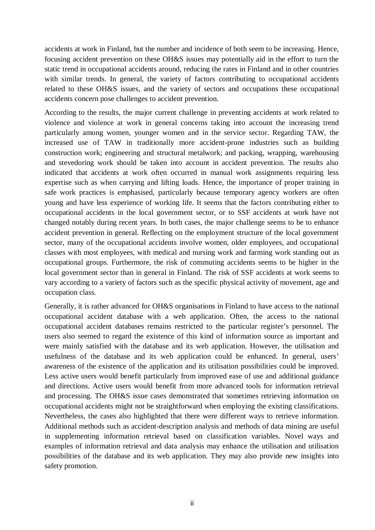accidents at work in Finland, but the number and incidence of both seem to be increasing. Hence, focusing accident prevention on these OH&S issues may potentially aid in the effort to turn the static trend in occupational accidents around, reducing the rates in Finland and in other countries with similar trends. In general, the variety of factors contributing to occupational accidents related to these OH&S issues, and the variety of sectors and occupations these occupational accidents concern pose challenges to accident prevention.

According to the results, the major current challenge in preventing accidents at work related to violence and violence at work in general concerns taking into account the increasing trend particularly among women, younger women and in the service sector. Regarding TAW, the increased use of TAW in traditionally more accident-prone industries such as building construction work; engineering and structural metalwork; and packing, wrapping, warehousing and stevedoring work should be taken into account in accident prevention. The results also indicated that accidents at work often occurred in manual work assignments requiring less expertise such as when carrying and lifting loads. Hence, the importance of proper training in safe work practices is emphasised, particularly because temporary agency workers are often young and have less experience of working life. It seems that the factors contributing either to occupational accidents in the local government sector, or to SSF accidents at work have not changed notably during recent years. In both cases, the major challenge seems to be to enhance accident prevention in general. Reflecting on the employment structure of the local government sector, many of the occupational accidents involve women, older employees, and occupational classes with most employees, with medical and nursing work and farming work standing out as occupational groups. Furthermore, the risk of commuting accidents seems to be higher in the local government sector than in general in Finland. The risk of SSF accidents at work seems to vary according to a variety of factors such as the specific physical activity of movement, age and occupation class.

Generally, it is rather advanced for OH&S organisations in Finland to have access to the national occupational accident database with a web application. Often, the access to the national occupational accident databases remains restricted to the particular register's personnel. The users also seemed to regard the existence of this kind of information source as important and were mainly satisfied with the database and its web application. However, the utilisation and usefulness of the database and its web application could be enhanced. In general, users' awareness of the existence of the application and its utilisation possibilities could be improved. Less active users would benefit particularly from improved ease of use and additional guidance and directions. Active users would benefit from more advanced tools for information retrieval and processing. The OH&S issue cases demonstrated that sometimes retrieving information on occupational accidents might not be straightforward when employing the existing classifications. Nevertheless, the cases also highlighted that there were different ways to retrieve information. Additional methods such as accident-description analysis and methods of data mining are useful in supplementing information retrieval based on classification variables. Novel ways and examples of information retrieval and data analysis may enhance the utilisation and utilisation possibilities of the database and its web application. They may also provide new insights into safety promotion.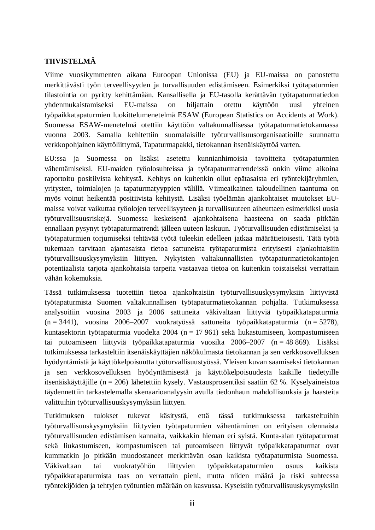### **TIIVISTELMÄ**

Viime vuosikymmenten aikana Euroopan Unionissa (EU) ja EU-maissa on panostettu merkittävästi työn terveellisyyden ja turvallisuuden edistämiseen. Esimerkiksi työtapaturmien tilastointia on pyritty kehittämään. Kansallisella ja EU-tasolla kerättävän työtapaturmatiedon yhdenmukaistamiseksi EU-maissa on hiljattain otettu käyttöön uusi yhteinen työpaikkatapaturmien luokittelumenetelmä ESAW (European Statistics on Accidents at Work). Suomessa ESAW-menetelmä otettiin käyttöön valtakunnallisessa työtapaturmatietokannassa vuonna 2003. Samalla kehitettiin suomalaisille työturvallisuusorganisaatioille suunnattu verkkopohjainen käyttöliittymä, Tapaturmapakki, tietokannan itsenäiskäyttöä varten.

EU:ssa ja Suomessa on lisäksi asetettu kunnianhimoisia tavoitteita työtapaturmien vähentämiseksi. EU-maiden työolosuhteissa ja työtapaturmatrendeissä onkin viime aikoina raportoitu positiivista kehitystä. Kehitys on kuitenkin ollut epätasaista eri työntekijäryhmien, yritysten, toimialojen ja tapaturmatyyppien välillä. Viimeaikainen taloudellinen taantuma on myös voinut heikentää positiivista kehitystä. Lisäksi työelämän ajankohtaiset muutokset EUmaissa voivat vaikuttaa työolojen terveellisyyteen ja turvallisuuteen aiheuttaen esimerkiksi uusia työturvallisuusriskejä. Suomessa keskeisenä ajankohtaisena haasteena on saada pitkään ennallaan pysynyt työtapaturmatrendi jälleen uuteen laskuun. Työturvallisuuden edistämiseksi ja työtapaturmien torjumiseksi tehtävää työtä tuleekin edelleen jatkaa määrätietoisesti. Tätä työtä tukemaan tarvitaan ajantasaista tietoa sattuneista työtapaturmista erityisesti ajankohtaisiin työturvallisuuskysymyksiin liittyen. Nykyisten valtakunnallisten työtapaturmatietokantojen potentiaalista tarjota ajankohtaisia tarpeita vastaavaa tietoa on kuitenkin toistaiseksi verrattain vähän kokemuksia.

Tässä tutkimuksessa tuotettiin tietoa ajankohtaisiin työturvallisuuskysymyksiin liittyvistä työtapaturmista Suomen valtakunnallisen työtapaturmatietokannan pohjalta. Tutkimuksessa analysoitiin vuosina 2003 ja 2006 sattuneita väkivaltaan liittyviä työpaikkatapaturmia (n = 3441), vuosina 2006–2007 vuokratyössä sattuneita työpaikkatapaturmia (n = 5278), kuntasektorin työtapaturmia vuodelta 2004 (n = 17 961) sekä liukastumiseen, kompastumiseen tai putoamiseen liittyviä työpaikkatapaturmia vuosilta 2006–2007 (n = 48 869). Lisäksi tutkimuksessa tarkasteltiin itsenäiskäyttäjien näkökulmasta tietokannan ja sen verkkosovelluksen hyödyntämistä ja käyttökelpoisuutta työturvallisuustyössä. Yleisen kuvan saamiseksi tietokannan ja sen verkkosovelluksen hyödyntämisestä ja käyttökelpoisuudesta kaikille tiedetyille itsenäiskäyttäjille (n = 206) lähetettiin kysely. Vastausprosentiksi saatiin 62 %. Kyselyaineistoa täydennettiin tarkastelemalla skenaarioanalyysin avulla tiedonhaun mahdollisuuksia ja haasteita valittuihin työturvallisuuskysymyksiin liittyen.

Tutkimuksen tulokset tukevat käsitystä, että tässä tutkimuksessa tarkasteltuihin työturvallisuuskysymyksiin liittyvien työtapaturmien vähentäminen on erityisen olennaista työturvallisuuden edistämisen kannalta, vaikkakin hieman eri syistä. Kunta-alan työtapaturmat sekä liukastumiseen, kompastumiseen tai putoamiseen liittyvät työpaikkatapaturmat ovat kummatkin jo pitkään muodostaneet merkittävän osan kaikista työtapaturmista Suomessa. Väkivaltaan tai vuokratyöhön liittyvien työpaikkatapaturmien osuus kaikista työpaikkatapaturmista taas on verrattain pieni, mutta niiden määrä ja riski suhteessa työntekijöiden ja tehtyjen työtuntien määrään on kasvussa. Kyseisiin työturvallisuuskysymyksiin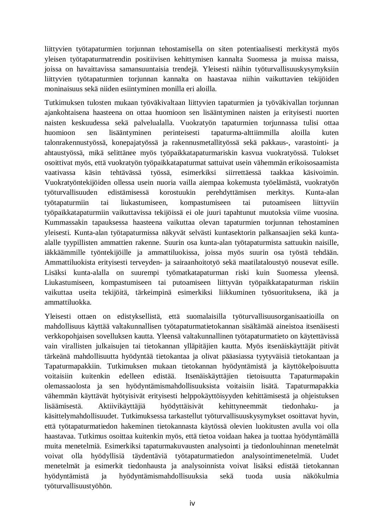liittyvien työtapaturmien torjunnan tehostamisella on siten potentiaalisesti merkitystä myös yleisen työtapaturmatrendin positiivisen kehittymisen kannalta Suomessa ja muissa maissa, joissa on havaittavissa samansuuntaisia trendejä. Yleisesti näihin työturvallisuuskysymyksiin liittyvien työtapaturmien torjunnan kannalta on haastavaa niihin vaikuttavien tekijöiden moninaisuus sekä niiden esiintyminen monilla eri aloilla.

Tutkimuksen tulosten mukaan työväkivaltaan liittyvien tapaturmien ja työväkivallan torjunnan ajankohtaisena haasteena on ottaa huomioon sen lisääntyminen naisten ja erityisesti nuorten naisten keskuudessa sekä palvelualalla. Vuokratyön tapaturmien torjunnassa tulisi ottaa huomioon sen lisääntyminen perinteisesti tapaturma-alttiimmilla aloilla kuten talonrakennustyössä, konepajatyössä ja rakennusmetallityössä sekä pakkaus-, varastointi- ja ahtaustyössä, mikä selittänee myös työpaikkatapaturmariskin kasvua vuokratyössä. Tulokset osoittivat myös, että vuokratyön työpaikkatapaturmat sattuivat usein vähemmän erikoisosaamista vaativassa käsin tehtävässä työssä, esimerkiksi siirrettäessä taakkaa käsivoimin. Vuokratyöntekijöiden ollessa usein nuoria vailla aiempaa kokemusta työelämästä, vuokratyön työturvallisuuden edistämisessä korostuukin perehdyttämisen merkitys. Kunta-alan työtapaturmiin tai liukastumiseen, kompastumiseen tai putoamiseen liittyviin työpaikkatapaturmiin vaikuttavissa tekijöissä ei ole juuri tapahtunut muutoksia viime vuosina. Kummassakin tapauksessa haasteena vaikuttaa olevan tapaturmien torjunnan tehostaminen yleisesti. Kunta-alan työtapaturmissa näkyvät selvästi kuntasektorin palkansaajien sekä kuntaalalle tyypillisten ammattien rakenne. Suurin osa kunta-alan työtapaturmista sattuukin naisille, iäkkäämmille työntekijöille ja ammattiluokissa, joissa myös suurin osa työstä tehdään. Ammattiluokista erityisesti terveyden- ja sairaanhoitotyö sekä maatilataloustyö nousevat esille. Lisäksi kunta-alalla on suurempi työmatkatapaturman riski kuin Suomessa yleensä. Liukastumiseen, kompastumiseen tai putoamiseen liittyvän työpaikkatapaturman riskiin vaikuttaa useita tekijöitä, tärkeimpinä esimerkiksi liikkuminen työsuorituksena, ikä ja ammattiluokka.

Yleisesti ottaen on edistyksellistä, että suomalaisilla työturvallisuusorganisaatioilla on mahdollisuus käyttää valtakunnallisen työtapaturmatietokannan sisältämää aineistoa itsenäisesti verkkopohjaisen sovelluksen kautta. Yleensä valtakunnallinen työtapaturmatieto on käytettävissä vain virallisten julkaisujen tai tietokannan ylläpitäjien kautta. Myös itsenäiskäyttäjät pitivät tärkeänä mahdollisuutta hyödyntää tietokantaa ja olivat pääasiassa tyytyväisiä tietokantaan ja Tapaturmapakkiin. Tutkimuksen mukaan tietokannan hyödyntämistä ja käyttökelpoisuutta voitaisiin kuitenkin edelleen edistää. Itsenäiskäyttäjien tietoisuutta Tapaturmapakin olemassaolosta ja sen hyödyntämismahdollisuuksista voitaisiin lisätä. Tapaturmapakkia vähemmän käyttävät hyötyisivät erityisesti helppokäyttöisyyden kehittämisestä ja ohjeistuksen lisäämisestä. Aktiivikäyttäjiä hyödyttäisivät kehittyneemmät tiedonhaku- ja käsittelymahdollisuudet. Tutkimuksessa tarkastellut työturvallisuuskysymykset osoittavat hyvin, että työtapaturmatiedon hakeminen tietokannasta käytössä olevien luokitusten avulla voi olla haastavaa. Tutkimus osoittaa kuitenkin myös, että tietoa voidaan hakea ja tuottaa hyödyntämällä muita menetelmiä. Esimerkiksi tapaturmakuvausten analysointi ja tiedonlouhinnan menetelmät voivat olla hyödyllisiä täydentäviä työtapaturmatiedon analysointimenetelmiä. Uudet menetelmät ja esimerkit tiedonhausta ja analysoinnista voivat lisäksi edistää tietokannan hyödyntämistä ja hyödyntämismahdollisuuksia sekä tuoda uusia näkökulmia työturvallisuustyöhön.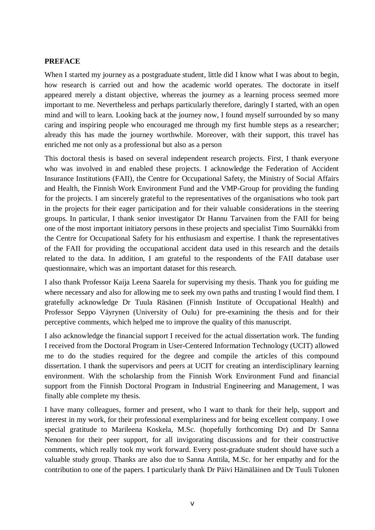#### **PREFACE**

When I started my journey as a postgraduate student, little did I know what I was about to begin, how research is carried out and how the academic world operates. The doctorate in itself appeared merely a distant objective, whereas the journey as a learning process seemed more important to me. Nevertheless and perhaps particularly therefore, daringly I started, with an open mind and will to learn. Looking back at the journey now, I found myself surrounded by so many caring and inspiring people who encouraged me through my first humble steps as a researcher; already this has made the journey worthwhile. Moreover, with their support, this travel has enriched me not only as a professional but also as a person

This doctoral thesis is based on several independent research projects. First, I thank everyone who was involved in and enabled these projects. I acknowledge the Federation of Accident Insurance Institutions (FAII), the Centre for Occupational Safety, the Ministry of Social Affairs and Health, the Finnish Work Environment Fund and the VMP-Group for providing the funding for the projects. I am sincerely grateful to the representatives of the organisations who took part in the projects for their eager participation and for their valuable considerations in the steering groups. In particular, I thank senior investigator Dr Hannu Tarvainen from the FAII for being one of the most important initiatory persons in these projects and specialist Timo Suurnäkki from the Centre for Occupational Safety for his enthusiasm and expertise. I thank the representatives of the FAII for providing the occupational accident data used in this research and the details related to the data. In addition, I am grateful to the respondents of the FAII database user questionnaire, which was an important dataset for this research.

I also thank Professor Kaija Leena Saarela for supervising my thesis. Thank you for guiding me where necessary and also for allowing me to seek my own paths and trusting I would find them. I gratefully acknowledge Dr Tuula Räsänen (Finnish Institute of Occupational Health) and Professor Seppo Väyrynen (University of Oulu) for pre-examining the thesis and for their perceptive comments, which helped me to improve the quality of this manuscript.

I also acknowledge the financial support I received for the actual dissertation work. The funding I received from the Doctoral Program in User-Centered Information Technology (UCIT) allowed me to do the studies required for the degree and compile the articles of this compound dissertation. I thank the supervisors and peers at UCIT for creating an interdisciplinary learning environment. With the scholarship from the Finnish Work Environment Fund and financial support from the Finnish Doctoral Program in Industrial Engineering and Management, I was finally able complete my thesis.

I have many colleagues, former and present, who I want to thank for their help, support and interest in my work, for their professional exemplariness and for being excellent company. I owe special gratitude to Marileena Koskela, M.Sc. (hopefully forthcoming Dr) and Dr Sanna Nenonen for their peer support, for all invigorating discussions and for their constructive comments, which really took my work forward. Every post-graduate student should have such a valuable study group. Thanks are also due to Sanna Anttila, M.Sc. for her empathy and for the contribution to one of the papers. I particularly thank Dr Päivi Hämäläinen and Dr Tuuli Tulonen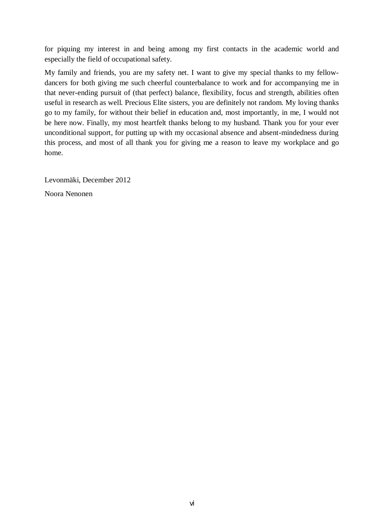for piquing my interest in and being among my first contacts in the academic world and especially the field of occupational safety.

My family and friends, you are my safety net. I want to give my special thanks to my fellowdancers for both giving me such cheerful counterbalance to work and for accompanying me in that never-ending pursuit of (that perfect) balance, flexibility, focus and strength, abilities often useful in research as well. Precious Elite sisters, you are definitely not random. My loving thanks go to my family, for without their belief in education and, most importantly, in me, I would not be here now. Finally, my most heartfelt thanks belong to my husband. Thank you for your ever unconditional support, for putting up with my occasional absence and absent-mindedness during this process, and most of all thank you for giving me a reason to leave my workplace and go home.

Levonmäki, December 2012 Noora Nenonen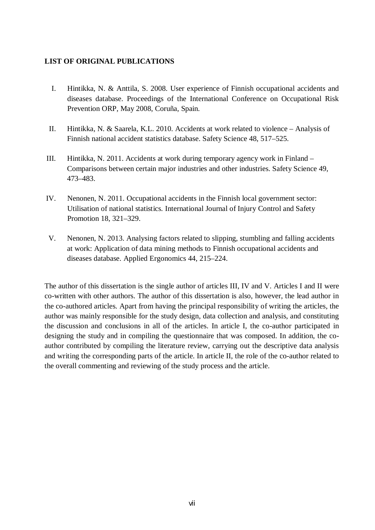#### **LIST OF ORIGINAL PUBLICATIONS**

- I. Hintikka, N. & Anttila, S. 2008. User experience of Finnish occupational accidents and diseases database. Proceedings of the International Conference on Occupational Risk Prevention ORP, May 2008, Coruña, Spain.
- II. Hintikka, N. & Saarela, K.L. 2010. Accidents at work related to violence Analysis of Finnish national accident statistics database. Safety Science 48, 517–525.
- III. Hintikka, N. 2011. Accidents at work during temporary agency work in Finland Comparisons between certain major industries and other industries. Safety Science 49, 473–483.
- IV. Nenonen, N. 2011. Occupational accidents in the Finnish local government sector: Utilisation of national statistics. International Journal of Injury Control and Safety Promotion 18, 321–329.
- V. Nenonen, N. 2013. Analysing factors related to slipping, stumbling and falling accidents at work: Application of data mining methods to Finnish occupational accidents and diseases database. Applied Ergonomics 44, 215–224.

The author of this dissertation is the single author of articles III, IV and V. Articles I and II were co-written with other authors. The author of this dissertation is also, however, the lead author in the co-authored articles. Apart from having the principal responsibility of writing the articles, the author was mainly responsible for the study design, data collection and analysis, and constituting the discussion and conclusions in all of the articles. In article I, the co-author participated in designing the study and in compiling the questionnaire that was composed. In addition, the coauthor contributed by compiling the literature review, carrying out the descriptive data analysis and writing the corresponding parts of the article. In article II, the role of the co-author related to the overall commenting and reviewing of the study process and the article.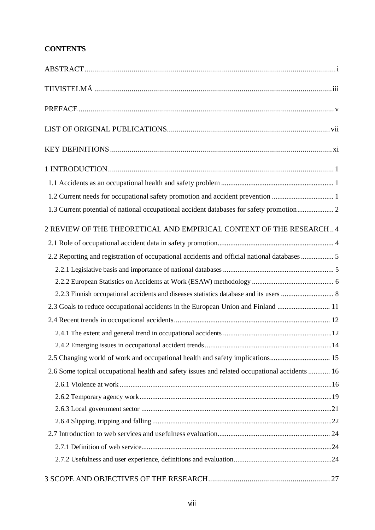## **CONTENTS**

| 2 REVIEW OF THE THEORETICAL AND EMPIRICAL CONTEXT OF THE RESEARCH4                            |
|-----------------------------------------------------------------------------------------------|
|                                                                                               |
| 2.2 Reporting and registration of occupational accidents and official national databases 5    |
|                                                                                               |
|                                                                                               |
|                                                                                               |
| 2.3 Goals to reduce occupational accidents in the European Union and Finland  11              |
|                                                                                               |
|                                                                                               |
|                                                                                               |
|                                                                                               |
| 2.6 Some topical occupational health and safety issues and related occupational accidents  16 |
|                                                                                               |
|                                                                                               |
|                                                                                               |
|                                                                                               |
|                                                                                               |
|                                                                                               |
|                                                                                               |
|                                                                                               |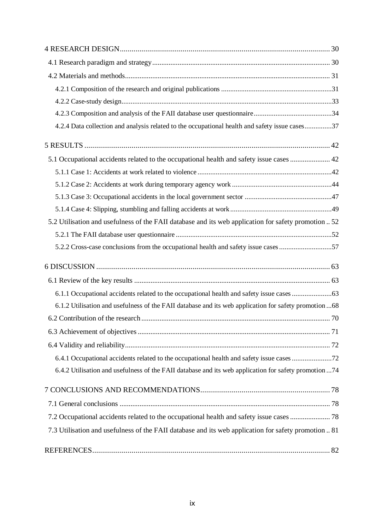| 4.2.4 Data collection and analysis related to the occupational health and safety issue cases37         |
|--------------------------------------------------------------------------------------------------------|
|                                                                                                        |
| 5.1 Occupational accidents related to the occupational health and safety issue cases  42               |
|                                                                                                        |
|                                                                                                        |
|                                                                                                        |
|                                                                                                        |
| 5.2 Utilisation and usefulness of the FAII database and its web application for safety promotion  52   |
|                                                                                                        |
| 5.2.2 Cross-case conclusions from the occupational health and safety issue cases 57                    |
|                                                                                                        |
|                                                                                                        |
| 6.1.1 Occupational accidents related to the occupational health and safety issue cases 63              |
| 6.1.2 Utilisation and usefulness of the FAII database and its web application for safety promotion  68 |
|                                                                                                        |
|                                                                                                        |
|                                                                                                        |
| 6.4.1 Occupational accidents related to the occupational health and safety issue cases 72              |
| 6.4.2 Utilisation and usefulness of the FAII database and its web application for safety promotion 74  |
|                                                                                                        |
|                                                                                                        |
| 7.2 Occupational accidents related to the occupational health and safety issue cases  78               |
| 7.3 Utilisation and usefulness of the FAII database and its web application for safety promotion  81   |
|                                                                                                        |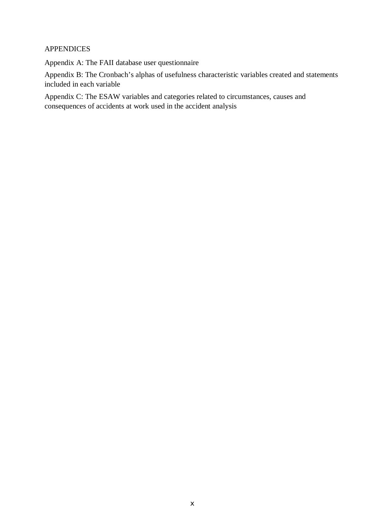## APPENDICES

Appendix A: The FAII database user questionnaire

Appendix B: The Cronbach's alphas of usefulness characteristic variables created and statements included in each variable

Appendix C: The ESAW variables and categories related to circumstances, causes and consequences of accidents at work used in the accident analysis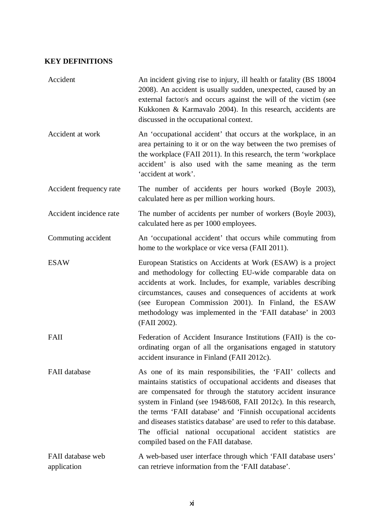## **KEY DEFINITIONS**

| Accident                         | An incident giving rise to injury, ill health or fatality (BS 18004)<br>2008). An accident is usually sudden, unexpected, caused by an<br>external factor/s and occurs against the will of the victim (see<br>Kukkonen & Karmavalo 2004). In this research, accidents are<br>discussed in the occupational context.                                                                                                                                                                                                 |
|----------------------------------|---------------------------------------------------------------------------------------------------------------------------------------------------------------------------------------------------------------------------------------------------------------------------------------------------------------------------------------------------------------------------------------------------------------------------------------------------------------------------------------------------------------------|
| Accident at work                 | An 'occupational accident' that occurs at the workplace, in an<br>area pertaining to it or on the way between the two premises of<br>the workplace (FAII 2011). In this research, the term 'workplace<br>accident' is also used with the same meaning as the term<br>'accident at work'.                                                                                                                                                                                                                            |
| Accident frequency rate          | The number of accidents per hours worked (Boyle 2003),<br>calculated here as per million working hours.                                                                                                                                                                                                                                                                                                                                                                                                             |
| Accident incidence rate          | The number of accidents per number of workers (Boyle 2003),<br>calculated here as per 1000 employees.                                                                                                                                                                                                                                                                                                                                                                                                               |
| Commuting accident               | An 'occupational accident' that occurs while commuting from<br>home to the workplace or vice versa (FAII 2011).                                                                                                                                                                                                                                                                                                                                                                                                     |
| <b>ESAW</b>                      | European Statistics on Accidents at Work (ESAW) is a project<br>and methodology for collecting EU-wide comparable data on<br>accidents at work. Includes, for example, variables describing<br>circumstances, causes and consequences of accidents at work<br>(see European Commission 2001). In Finland, the ESAW<br>methodology was implemented in the 'FAII database' in 2003<br>(FAII 2002).                                                                                                                    |
| FAII                             | Federation of Accident Insurance Institutions (FAII) is the co-<br>ordinating organ of all the organisations engaged in statutory<br>accident insurance in Finland (FAII 2012c).                                                                                                                                                                                                                                                                                                                                    |
| FAII database                    | As one of its main responsibilities, the 'FAII' collects and<br>maintains statistics of occupational accidents and diseases that<br>are compensated for through the statutory accident insurance<br>system in Finland (see 1948/608, FAII 2012c). In this research,<br>the terms 'FAII database' and 'Finnish occupational accidents<br>and diseases statistics database' are used to refer to this database.<br>The official national occupational accident statistics are<br>compiled based on the FAII database. |
| FAII database web<br>application | A web-based user interface through which 'FAII database users'<br>can retrieve information from the 'FAII database'.                                                                                                                                                                                                                                                                                                                                                                                                |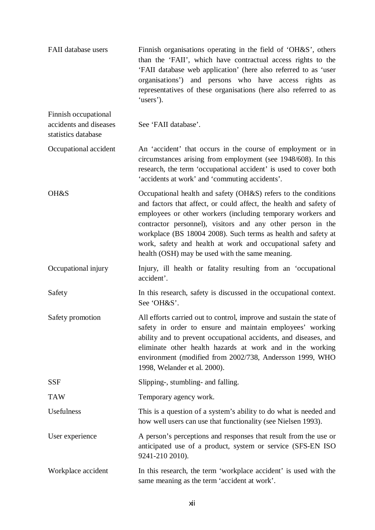| FAII database users                                                   | Finnish organisations operating in the field of 'OH&S', others<br>than the 'FAII', which have contractual access rights to the<br>'FAII database web application' (here also referred to as 'user<br>organisations') and persons who have access rights as<br>representatives of these organisations (here also referred to as<br>'users').                                                                                                           |
|-----------------------------------------------------------------------|-------------------------------------------------------------------------------------------------------------------------------------------------------------------------------------------------------------------------------------------------------------------------------------------------------------------------------------------------------------------------------------------------------------------------------------------------------|
| Finnish occupational<br>accidents and diseases<br>statistics database | See 'FAII database'.                                                                                                                                                                                                                                                                                                                                                                                                                                  |
| Occupational accident                                                 | An 'accident' that occurs in the course of employment or in<br>circumstances arising from employment (see 1948/608). In this<br>research, the term 'occupational accident' is used to cover both<br>'accidents at work' and 'commuting accidents'.                                                                                                                                                                                                    |
| OH&S                                                                  | Occupational health and safety (OH&S) refers to the conditions<br>and factors that affect, or could affect, the health and safety of<br>employees or other workers (including temporary workers and<br>contractor personnel), visitors and any other person in the<br>workplace (BS 18004 2008). Such terms as health and safety at<br>work, safety and health at work and occupational safety and<br>health (OSH) may be used with the same meaning. |
| Occupational injury                                                   | Injury, ill health or fatality resulting from an 'occupational<br>accident'.                                                                                                                                                                                                                                                                                                                                                                          |
| Safety                                                                | In this research, safety is discussed in the occupational context.<br>See 'OH&S'.                                                                                                                                                                                                                                                                                                                                                                     |
| Safety promotion                                                      | All efforts carried out to control, improve and sustain the state of<br>safety in order to ensure and maintain employees' working<br>ability and to prevent occupational accidents, and diseases, and<br>eliminate other health hazards at work and in the working<br>environment (modified from 2002/738, Andersson 1999, WHO<br>1998, Welander et al. 2000).                                                                                        |
| <b>SSF</b>                                                            | Slipping-, stumbling- and falling.                                                                                                                                                                                                                                                                                                                                                                                                                    |
| <b>TAW</b>                                                            | Temporary agency work.                                                                                                                                                                                                                                                                                                                                                                                                                                |
| Usefulness                                                            | This is a question of a system's ability to do what is needed and<br>how well users can use that functionality (see Nielsen 1993).                                                                                                                                                                                                                                                                                                                    |
| User experience                                                       | A person's perceptions and responses that result from the use or<br>anticipated use of a product, system or service (SFS-EN ISO<br>9241-210 2010).                                                                                                                                                                                                                                                                                                    |
| Workplace accident                                                    | In this research, the term 'workplace accident' is used with the<br>same meaning as the term 'accident at work'.                                                                                                                                                                                                                                                                                                                                      |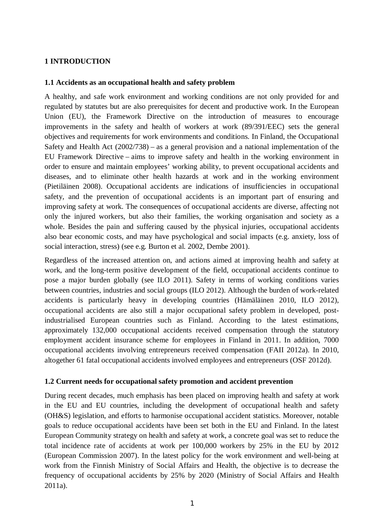## **1 INTRODUCTION**

#### **1.1 Accidents as an occupational health and safety problem**

A healthy, and safe work environment and working conditions are not only provided for and regulated by statutes but are also prerequisites for decent and productive work. In the European Union (EU), the Framework Directive on the introduction of measures to encourage improvements in the safety and health of workers at work (89/391/EEC) sets the general objectives and requirements for work environments and conditions. In Finland, the Occupational Safety and Health Act (2002/738) – as a general provision and a national implementation of the EU Framework Directive – aims to improve safety and health in the working environment in order to ensure and maintain employees' working ability, to prevent occupational accidents and diseases, and to eliminate other health hazards at work and in the working environment (Pietiläinen 2008). Occupational accidents are indications of insufficiencies in occupational safety, and the prevention of occupational accidents is an important part of ensuring and improving safety at work. The consequences of occupational accidents are diverse, affecting not only the injured workers, but also their families, the working organisation and society as a whole. Besides the pain and suffering caused by the physical injuries, occupational accidents also bear economic costs, and may have psychological and social impacts (e.g. anxiety, loss of social interaction, stress) (see e.g. Burton et al. 2002, Dembe 2001).

Regardless of the increased attention on, and actions aimed at improving health and safety at work, and the long-term positive development of the field, occupational accidents continue to pose a major burden globally (see ILO 2011). Safety in terms of working conditions varies between countries, industries and social groups (ILO 2012). Although the burden of work-related accidents is particularly heavy in developing countries (Hämäläinen 2010, ILO 2012), occupational accidents are also still a major occupational safety problem in developed, postindustrialised European countries such as Finland. According to the latest estimations, approximately 132,000 occupational accidents received compensation through the statutory employment accident insurance scheme for employees in Finland in 2011. In addition, 7000 occupational accidents involving entrepreneurs received compensation (FAII 2012a). In 2010, altogether 61 fatal occupational accidents involved employees and entrepreneurs (OSF 2012d).

#### **1.2 Current needs for occupational safety promotion and accident prevention**

During recent decades, much emphasis has been placed on improving health and safety at work in the EU and EU countries, including the development of occupational health and safety (OH&S) legislation, and efforts to harmonise occupational accident statistics. Moreover, notable goals to reduce occupational accidents have been set both in the EU and Finland. In the latest European Community strategy on health and safety at work, a concrete goal was set to reduce the total incidence rate of accidents at work per 100,000 workers by 25% in the EU by 2012 (European Commission 2007). In the latest policy for the work environment and well-being at work from the Finnish Ministry of Social Affairs and Health, the objective is to decrease the frequency of occupational accidents by 25% by 2020 (Ministry of Social Affairs and Health 2011a).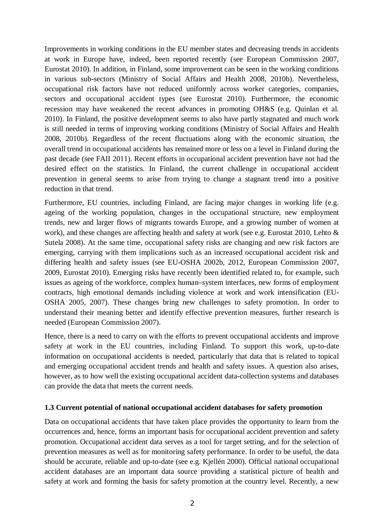Improvements in working conditions in the EU member states and decreasing trends in accidents at work in Europe have, indeed, been reported recently (see European Commission 2007, Eurostat 2010). In addition, in Finland, some improvement can be seen in the working conditions in various sub-sectors (Ministry of Social Affairs and Health 2008, 2010b). Nevertheless, occupational risk factors have not reduced uniformly across worker categories, companies, sectors and occupational accident types (see Eurostat 2010). Furthermore, the economic recession may have weakened the recent advances in promoting OH&S (e.g. Quinlan et al. 2010). In Finland, the positive development seems to also have partly stagnated and much work is still needed in terms of improving working conditions (Ministry of Social Affairs and Health 2008, 2010b). Regardless of the recent fluctuations along with the economic situation, the overall trend in occupational accidents has remained more or less on a level in Finland during the past decade (see FAII 2011). Recent efforts in occupational accident prevention have not had the desired effect on the statistics. In Finland, the current challenge in occupational accident prevention in general seems to arise from trying to change a stagnant trend into a positive reduction in that trend.

Furthermore, EU countries, including Finland, are facing major changes in working life (e.g. ageing of the working population, changes in the occupational structure, new employment trends, new and larger flows of migrants towards Europe, and a growing number of women at work), and these changes are affecting health and safety at work (see e.g. Eurostat 2010, Lehto & Sutela 2008). At the same time, occupational safety risks are changing and new risk factors are emerging, carrying with them implications such as an increased occupational accident risk and differing health and safety issues (see EU-OSHA 2002b, 2012, European Commission 2007, 2009, Eurostat 2010). Emerging risks have recently been identified related to, for example, such issues as ageing of the workforce, complex human–system interfaces, new forms of employment contracts, high emotional demands including violence at work and work intensification (EU-OSHA 2005, 2007). These changes bring new challenges to safety promotion. In order to understand their meaning better and identify effective prevention measures, further research is needed (European Commission 2007).

Hence, there is a need to carry on with the efforts to prevent occupational accidents and improve safety at work in the EU countries, including Finland. To support this work, up-to-date information on occupational accidents is needed, particularly that data that is related to topical and emerging occupational accident trends and health and safety issues. A question also arises, however, as to how well the existing occupational accident data-collection systems and databases can provide the data that meets the current needs.

#### **1.3 Current potential of national occupational accident databases for safety promotion**

Data on occupational accidents that have taken place provides the opportunity to learn from the occurrences and, hence, forms an important basis for occupational accident prevention and safety promotion. Occupational accident data serves as a tool for target setting, and for the selection of prevention measures as well as for monitoring safety performance. In order to be useful, the data should be accurate, reliable and up-to-date (see e.g. Kjellén 2000). Official national occupational accident databases are an important data source providing a statistical picture of health and safety at work and forming the basis for safety promotion at the country level. Recently, a new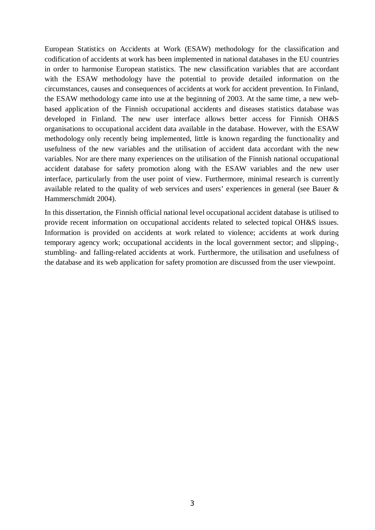European Statistics on Accidents at Work (ESAW) methodology for the classification and codification of accidents at work has been implemented in national databases in the EU countries in order to harmonise European statistics. The new classification variables that are accordant with the ESAW methodology have the potential to provide detailed information on the circumstances, causes and consequences of accidents at work for accident prevention. In Finland, the ESAW methodology came into use at the beginning of 2003. At the same time, a new webbased application of the Finnish occupational accidents and diseases statistics database was developed in Finland. The new user interface allows better access for Finnish OH&S organisations to occupational accident data available in the database. However, with the ESAW methodology only recently being implemented, little is known regarding the functionality and usefulness of the new variables and the utilisation of accident data accordant with the new variables. Nor are there many experiences on the utilisation of the Finnish national occupational accident database for safety promotion along with the ESAW variables and the new user interface, particularly from the user point of view. Furthermore, minimal research is currently available related to the quality of web services and users' experiences in general (see Bauer & Hammerschmidt 2004).

In this dissertation, the Finnish official national level occupational accident database is utilised to provide recent information on occupational accidents related to selected topical OH&S issues. Information is provided on accidents at work related to violence; accidents at work during temporary agency work; occupational accidents in the local government sector; and slipping-, stumbling- and falling-related accidents at work. Furthermore, the utilisation and usefulness of the database and its web application for safety promotion are discussed from the user viewpoint.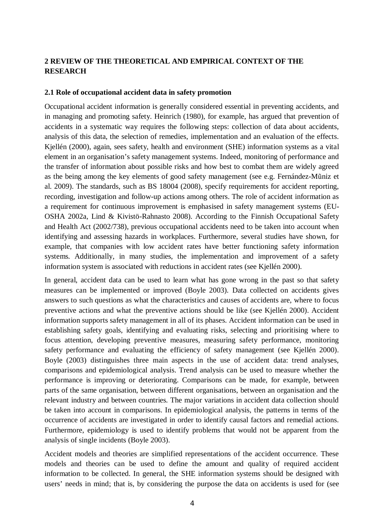## **2 REVIEW OF THE THEORETICAL AND EMPIRICAL CONTEXT OF THE RESEARCH**

#### **2.1 Role of occupational accident data in safety promotion**

Occupational accident information is generally considered essential in preventing accidents, and in managing and promoting safety. Heinrich (1980), for example, has argued that prevention of accidents in a systematic way requires the following steps: collection of data about accidents, analysis of this data, the selection of remedies, implementation and an evaluation of the effects. Kjellén (2000), again, sees safety, health and environment (SHE) information systems as a vital element in an organisation's safety management systems. Indeed, monitoring of performance and the transfer of information about possible risks and how best to combat them are widely agreed as the being among the key elements of good safety management (see e.g. Fernández-Mūniz et al. 2009). The standards, such as BS 18004 (2008), specify requirements for accident reporting, recording, investigation and follow-up actions among others. The role of accident information as a requirement for continuous improvement is emphasised in safety management systems (EU-OSHA 2002a, Lind & Kivistö-Rahnasto 2008). According to the Finnish Occupational Safety and Health Act (2002/738), previous occupational accidents need to be taken into account when identifying and assessing hazards in workplaces. Furthermore, several studies have shown, for example, that companies with low accident rates have better functioning safety information systems. Additionally, in many studies, the implementation and improvement of a safety information system is associated with reductions in accident rates (see Kjellén 2000).

In general, accident data can be used to learn what has gone wrong in the past so that safety measures can be implemented or improved (Boyle 2003). Data collected on accidents gives answers to such questions as what the characteristics and causes of accidents are, where to focus preventive actions and what the preventive actions should be like (see Kjellén 2000). Accident information supports safety management in all of its phases. Accident information can be used in establishing safety goals, identifying and evaluating risks, selecting and prioritising where to focus attention, developing preventive measures, measuring safety performance, monitoring safety performance and evaluating the efficiency of safety management (see Kjellén 2000). Boyle (2003) distinguishes three main aspects in the use of accident data: trend analyses, comparisons and epidemiological analysis. Trend analysis can be used to measure whether the performance is improving or deteriorating. Comparisons can be made, for example, between parts of the same organisation, between different organisations, between an organisation and the relevant industry and between countries. The major variations in accident data collection should be taken into account in comparisons. In epidemiological analysis, the patterns in terms of the occurrence of accidents are investigated in order to identify causal factors and remedial actions. Furthermore, epidemiology is used to identify problems that would not be apparent from the analysis of single incidents (Boyle 2003).

Accident models and theories are simplified representations of the accident occurrence. These models and theories can be used to define the amount and quality of required accident information to be collected. In general, the SHE information systems should be designed with users' needs in mind; that is, by considering the purpose the data on accidents is used for (see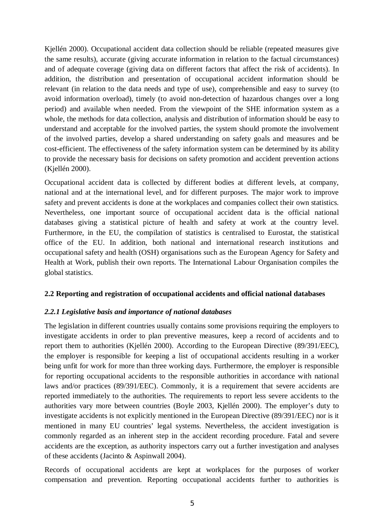Kjellén 2000). Occupational accident data collection should be reliable (repeated measures give the same results), accurate (giving accurate information in relation to the factual circumstances) and of adequate coverage (giving data on different factors that affect the risk of accidents). In addition, the distribution and presentation of occupational accident information should be relevant (in relation to the data needs and type of use), comprehensible and easy to survey (to avoid information overload), timely (to avoid non-detection of hazardous changes over a long period) and available when needed. From the viewpoint of the SHE information system as a whole, the methods for data collection, analysis and distribution of information should be easy to understand and acceptable for the involved parties, the system should promote the involvement of the involved parties, develop a shared understanding on safety goals and measures and be cost-efficient. The effectiveness of the safety information system can be determined by its ability to provide the necessary basis for decisions on safety promotion and accident prevention actions (Kjellén 2000).

Occupational accident data is collected by different bodies at different levels, at company, national and at the international level, and for different purposes. The major work to improve safety and prevent accidents is done at the workplaces and companies collect their own statistics. Nevertheless, one important source of occupational accident data is the official national databases giving a statistical picture of health and safety at work at the country level. Furthermore, in the EU, the compilation of statistics is centralised to Eurostat, the statistical office of the EU. In addition, both national and international research institutions and occupational safety and health (OSH) organisations such as the European Agency for Safety and Health at Work, publish their own reports. The International Labour Organisation compiles the global statistics.

## **2.2 Reporting and registration of occupational accidents and official national databases**

#### *2.2.1 Legislative basis and importance of national databases*

The legislation in different countries usually contains some provisions requiring the employers to investigate accidents in order to plan preventive measures, keep a record of accidents and to report them to authorities (Kjellén 2000). According to the European Directive (89/391/EEC), the employer is responsible for keeping a list of occupational accidents resulting in a worker being unfit for work for more than three working days. Furthermore, the employer is responsible for reporting occupational accidents to the responsible authorities in accordance with national laws and/or practices (89/391/EEC). Commonly, it is a requirement that severe accidents are reported immediately to the authorities. The requirements to report less severe accidents to the authorities vary more between countries (Boyle 2003, Kjellén 2000). The employer's duty to investigate accidents is not explicitly mentioned in the European Directive (89/391/EEC) nor is it mentioned in many EU countries' legal systems. Nevertheless, the accident investigation is commonly regarded as an inherent step in the accident recording procedure. Fatal and severe accidents are the exception, as authority inspectors carry out a further investigation and analyses of these accidents (Jacinto & Aspinwall 2004).

Records of occupational accidents are kept at workplaces for the purposes of worker compensation and prevention. Reporting occupational accidents further to authorities is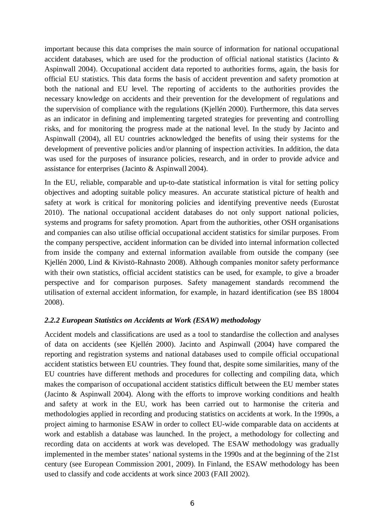important because this data comprises the main source of information for national occupational accident databases, which are used for the production of official national statistics (Jacinto & Aspinwall 2004). Occupational accident data reported to authorities forms, again, the basis for official EU statistics. This data forms the basis of accident prevention and safety promotion at both the national and EU level. The reporting of accidents to the authorities provides the necessary knowledge on accidents and their prevention for the development of regulations and the supervision of compliance with the regulations (Kjellén 2000). Furthermore, this data serves as an indicator in defining and implementing targeted strategies for preventing and controlling risks, and for monitoring the progress made at the national level. In the study by Jacinto and Aspinwall (2004), all EU countries acknowledged the benefits of using their systems for the development of preventive policies and/or planning of inspection activities. In addition, the data was used for the purposes of insurance policies, research, and in order to provide advice and assistance for enterprises (Jacinto & Aspinwall 2004).

In the EU, reliable, comparable and up-to-date statistical information is vital for setting policy objectives and adopting suitable policy measures. An accurate statistical picture of health and safety at work is critical for monitoring policies and identifying preventive needs (Eurostat 2010). The national occupational accident databases do not only support national policies, systems and programs for safety promotion. Apart from the authorities, other OSH organisations and companies can also utilise official occupational accident statistics for similar purposes. From the company perspective, accident information can be divided into internal information collected from inside the company and external information available from outside the company (see Kjellén 2000, Lind & Kivistö-Rahnasto 2008). Although companies monitor safety performance with their own statistics, official accident statistics can be used, for example, to give a broader perspective and for comparison purposes. Safety management standards recommend the utilisation of external accident information, for example, in hazard identification (see BS 18004 2008).

## *2.2.2 European Statistics on Accidents at Work (ESAW) methodology*

Accident models and classifications are used as a tool to standardise the collection and analyses of data on accidents (see Kjellén 2000). Jacinto and Aspinwall (2004) have compared the reporting and registration systems and national databases used to compile official occupational accident statistics between EU countries. They found that, despite some similarities, many of the EU countries have different methods and procedures for collecting and compiling data, which makes the comparison of occupational accident statistics difficult between the EU member states (Jacinto & Aspinwall 2004). Along with the efforts to improve working conditions and health and safety at work in the EU, work has been carried out to harmonise the criteria and methodologies applied in recording and producing statistics on accidents at work. In the 1990s, a project aiming to harmonise ESAW in order to collect EU-wide comparable data on accidents at work and establish a database was launched. In the project, a methodology for collecting and recording data on accidents at work was developed. The ESAW methodology was gradually implemented in the member states' national systems in the 1990s and at the beginning of the 21st century (see European Commission 2001, 2009). In Finland, the ESAW methodology has been used to classify and code accidents at work since 2003 (FAII 2002).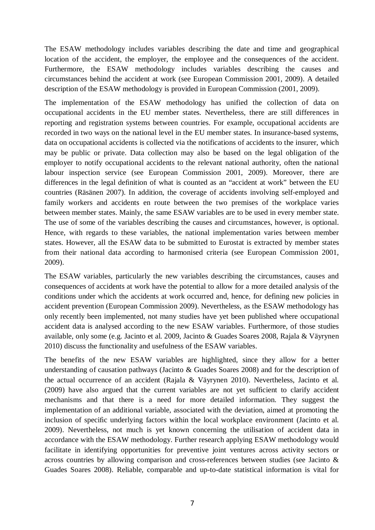The ESAW methodology includes variables describing the date and time and geographical location of the accident, the employer, the employee and the consequences of the accident. Furthermore, the ESAW methodology includes variables describing the causes and circumstances behind the accident at work (see European Commission 2001, 2009). A detailed description of the ESAW methodology is provided in European Commission (2001, 2009).

The implementation of the ESAW methodology has unified the collection of data on occupational accidents in the EU member states. Nevertheless, there are still differences in reporting and registration systems between countries. For example, occupational accidents are recorded in two ways on the national level in the EU member states. In insurance-based systems, data on occupational accidents is collected via the notifications of accidents to the insurer, which may be public or private. Data collection may also be based on the legal obligation of the employer to notify occupational accidents to the relevant national authority, often the national labour inspection service (see European Commission 2001, 2009). Moreover, there are differences in the legal definition of what is counted as an "accident at work" between the EU countries (Räsänen 2007). In addition, the coverage of accidents involving self-employed and family workers and accidents en route between the two premises of the workplace varies between member states. Mainly, the same ESAW variables are to be used in every member state. The use of some of the variables describing the causes and circumstances, however, is optional. Hence, with regards to these variables, the national implementation varies between member states. However, all the ESAW data to be submitted to Eurostat is extracted by member states from their national data according to harmonised criteria (see European Commission 2001, 2009).

The ESAW variables, particularly the new variables describing the circumstances, causes and consequences of accidents at work have the potential to allow for a more detailed analysis of the conditions under which the accidents at work occurred and, hence, for defining new policies in accident prevention (European Commission 2009). Nevertheless, as the ESAW methodology has only recently been implemented, not many studies have yet been published where occupational accident data is analysed according to the new ESAW variables. Furthermore, of those studies available, only some (e.g. Jacinto et al. 2009, Jacinto & Guades Soares 2008, Rajala & Väyrynen 2010) discuss the functionality and usefulness of the ESAW variables.

The benefits of the new ESAW variables are highlighted, since they allow for a better understanding of causation pathways (Jacinto & Guades Soares 2008) and for the description of the actual occurrence of an accident (Rajala & Väyrynen 2010). Nevertheless, Jacinto et al.  $(2009)$  have also argued that the current variables are not vet sufficient to clarify accident mechanisms and that there is a need for more detailed information. They suggest the implementation of an additional variable, associated with the deviation, aimed at promoting the inclusion of specific underlying factors within the local workplace environment (Jacinto et al. 2009). Nevertheless, not much is yet known concerning the utilisation of accident data in accordance with the ESAW methodology. Further research applying ESAW methodology would facilitate in identifying opportunities for preventive joint ventures across activity sectors or across countries by allowing comparison and cross-references between studies (see Jacinto & Guades Soares 2008). Reliable, comparable and up-to-date statistical information is vital for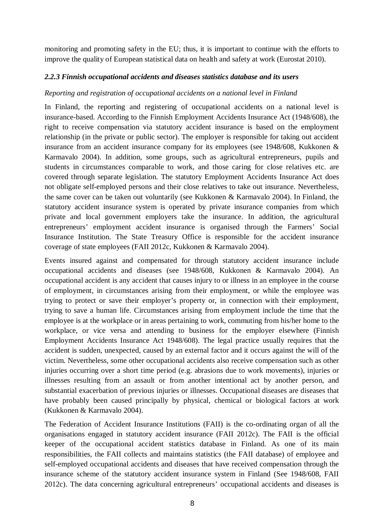monitoring and promoting safety in the EU; thus, it is important to continue with the efforts to improve the quality of European statistical data on health and safety at work (Eurostat 2010).

### *2.2.3 Finnish occupational accidents and diseases statistics database and its users*

#### *Reporting and registration of occupational accidents on a national level in Finland*

In Finland, the reporting and registering of occupational accidents on a national level is insurance-based. According to the Finnish Employment Accidents Insurance Act (1948/608), the right to receive compensation via statutory accident insurance is based on the employment relationship (in the private or public sector). The employer is responsible for taking out accident insurance from an accident insurance company for its employees (see 1948/608, Kukkonen & Karmavalo 2004). In addition, some groups, such as agricultural entrepreneurs, pupils and students in circumstances comparable to work, and those caring for close relatives etc. are covered through separate legislation. The statutory Employment Accidents Insurance Act does not obligate self-employed persons and their close relatives to take out insurance. Nevertheless, the same cover can be taken out voluntarily (see Kukkonen & Karmavalo 2004). In Finland, the statutory accident insurance system is operated by private insurance companies from which private and local government employers take the insurance. In addition, the agricultural entrepreneurs' employment accident insurance is organised through the Farmers' Social Insurance Institution. The State Treasury Office is responsible for the accident insurance coverage of state employees (FAII 2012c, Kukkonen & Karmavalo 2004).

Events insured against and compensated for through statutory accident insurance include occupational accidents and diseases (see 1948/608, Kukkonen & Karmavalo 2004). An occupational accident is any accident that causes injury to or illness in an employee in the course of employment, in circumstances arising from their employment, or while the employee was trying to protect or save their employer's property or, in connection with their employment, trying to save a human life. Circumstances arising from employment include the time that the employee is at the workplace or in areas pertaining to work, commuting from his/her home to the workplace, or vice versa and attending to business for the employer elsewhere (Finnish Employment Accidents Insurance Act 1948/608). The legal practice usually requires that the accident is sudden, unexpected, caused by an external factor and it occurs against the will of the victim. Nevertheless, some other occupational accidents also receive compensation such as other injuries occurring over a short time period (e.g. abrasions due to work movements), injuries or illnesses resulting from an assault or from another intentional act by another person, and substantial exacerbation of previous injuries or illnesses. Occupational diseases are diseases that have probably been caused principally by physical, chemical or biological factors at work (Kukkonen & Karmavalo 2004).

The Federation of Accident Insurance Institutions (FAII) is the co-ordinating organ of all the organisations engaged in statutory accident insurance (FAII 2012c). The FAII is the official keeper of the occupational accident statistics database in Finland. As one of its main responsibilities, the FAII collects and maintains statistics (the FAII database) of employee and self-employed occupational accidents and diseases that have received compensation through the insurance scheme of the statutory accident insurance system in Finland (See 1948/608, FAII 2012c). The data concerning agricultural entrepreneurs' occupational accidents and diseases is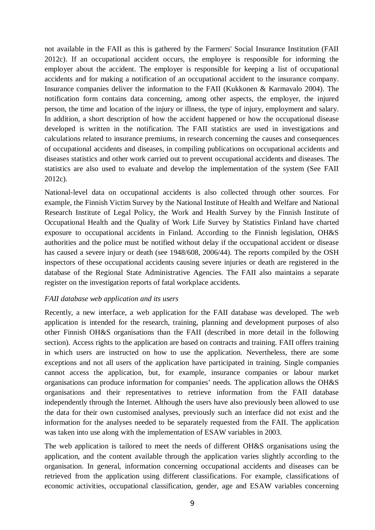not available in the FAII as this is gathered by the Farmers' Social Insurance Institution (FAII 2012c). If an occupational accident occurs, the employee is responsible for informing the employer about the accident. The employer is responsible for keeping a list of occupational accidents and for making a notification of an occupational accident to the insurance company. Insurance companies deliver the information to the FAII (Kukkonen & Karmavalo 2004). The notification form contains data concerning, among other aspects, the employer, the injured person, the time and location of the injury or illness, the type of injury, employment and salary. In addition, a short description of how the accident happened or how the occupational disease developed is written in the notification. The FAII statistics are used in investigations and calculations related to insurance premiums, in research concerning the causes and consequences of occupational accidents and diseases, in compiling publications on occupational accidents and diseases statistics and other work carried out to prevent occupational accidents and diseases. The statistics are also used to evaluate and develop the implementation of the system (See FAII 2012c).

National-level data on occupational accidents is also collected through other sources. For example, the Finnish Victim Survey by the National Institute of Health and Welfare and National Research Institute of Legal Policy, the Work and Health Survey by the Finnish Institute of Occupational Health and the Quality of Work Life Survey by Statistics Finland have charted exposure to occupational accidents in Finland. According to the Finnish legislation, OH&S authorities and the police must be notified without delay if the occupational accident or disease has caused a severe injury or death (see 1948/608, 2006/44). The reports compiled by the OSH inspectors of these occupational accidents causing severe injuries or death are registered in the database of the Regional State Administrative Agencies. The FAII also maintains a separate register on the investigation reports of fatal workplace accidents.

## *FAII database web application and its users*

Recently, a new interface, a web application for the FAII database was developed. The web application is intended for the research, training, planning and development purposes of also other Finnish OH&S organisations than the FAII (described in more detail in the following section). Access rights to the application are based on contracts and training. FAII offers training in which users are instructed on how to use the application. Nevertheless, there are some exceptions and not all users of the application have participated in training. Single companies cannot access the application, but, for example, insurance companies or labour market organisations can produce information for companies' needs. The application allows the OH&S organisations and their representatives to retrieve information from the FAII database independently through the Internet. Although the users have also previously been allowed to use the data for their own customised analyses, previously such an interface did not exist and the information for the analyses needed to be separately requested from the FAII. The application was taken into use along with the implementation of ESAW variables in 2003.

The web application is tailored to meet the needs of different OH&S organisations using the application, and the content available through the application varies slightly according to the organisation. In general, information concerning occupational accidents and diseases can be retrieved from the application using different classifications. For example, classifications of economic activities, occupational classification, gender, age and ESAW variables concerning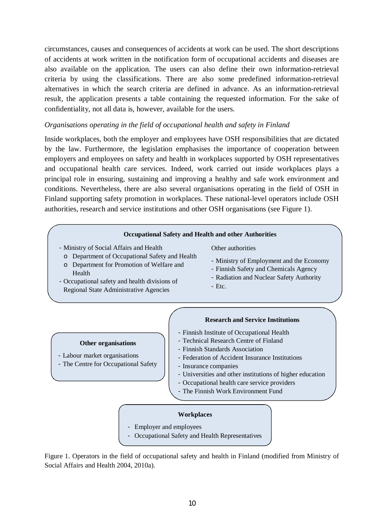circumstances, causes and consequences of accidents at work can be used. The short descriptions of accidents at work written in the notification form of occupational accidents and diseases are also available on the application. The users can also define their own information-retrieval criteria by using the classifications. There are also some predefined information-retrieval alternatives in which the search criteria are defined in advance. As an information-retrieval result, the application presents a table containing the requested information. For the sake of confidentiality, not all data is, however, available for the users.

#### *Organisations operating in the field of occupational health and safety in Finland*

Inside workplaces, both the employer and employees have OSH responsibilities that are dictated by the law. Furthermore, the legislation emphasises the importance of cooperation between employers and employees on safety and health in workplaces supported by OSH representatives and occupational health care services. Indeed, work carried out inside workplaces plays a principal role in ensuring, sustaining and improving a healthy and safe work environment and conditions. Nevertheless, there are also several organisations operating in the field of OSH in Finland supporting safety promotion in workplaces. These national-level operators include OSH authorities, research and service institutions and other OSH organisations (see Figure 1).

#### **Occupational Safety and Health and other Authorities**

- Ministry of Social Affairs and Health
	- o Department of Occupational Safety and Health
	- o Department for Promotion of Welfare and Health
- Occupational safety and health divisions of Regional State Administrative Agencies

#### Other authorities

- Ministry of Employment and the Economy
- Finnish Safety and Chemicals Agency
- Radiation and Nuclear Safety Authority
- Etc.

#### **Other organisations**

- Labour market organisations
- The Centre for Occupational Safety

#### **Research and Service Institutions**

- Finnish Institute of Occupational Health
- Technical Research Centre of Finland
- Finnish Standards Association
- Federation of Accident Insurance Institutions
- Insurance companies
- Universities and other institutions of higher education
- Occupational health care service providers
- The Finnish Work Environment Fund

#### **Workplaces**

- Employer and employees
- Occupational Safety and Health Representatives

Figure 1. Operators in the field of occupational safety and health in Finland (modified from Ministry of Social Affairs and Health 2004, 2010a).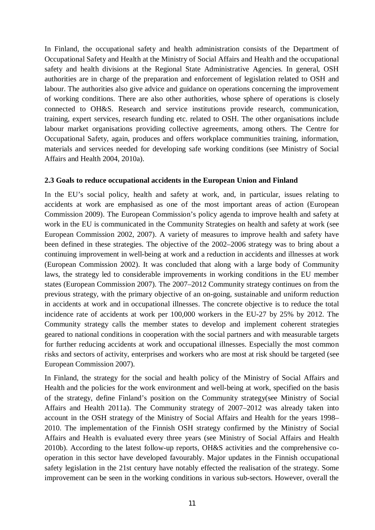In Finland, the occupational safety and health administration consists of the Department of Occupational Safety and Health at the Ministry of Social Affairs and Health and the occupational safety and health divisions at the Regional State Administrative Agencies. In general, OSH authorities are in charge of the preparation and enforcement of legislation related to OSH and labour. The authorities also give advice and guidance on operations concerning the improvement of working conditions. There are also other authorities, whose sphere of operations is closely connected to OH&S. Research and service institutions provide research, communication, training, expert services, research funding etc. related to OSH. The other organisations include labour market organisations providing collective agreements, among others. The Centre for Occupational Safety, again, produces and offers workplace communities training, information, materials and services needed for developing safe working conditions (see Ministry of Social Affairs and Health 2004, 2010a).

#### **2.3 Goals to reduce occupational accidents in the European Union and Finland**

In the EU's social policy, health and safety at work, and, in particular, issues relating to accidents at work are emphasised as one of the most important areas of action (European Commission 2009). The European Commission's policy agenda to improve health and safety at work in the EU is communicated in the Community Strategies on health and safety at work (see European Commission 2002, 2007). A variety of measures to improve health and safety have been defined in these strategies. The objective of the 2002–2006 strategy was to bring about a continuing improvement in well-being at work and a reduction in accidents and illnesses at work (European Commission 2002). It was concluded that along with a large body of Community laws, the strategy led to considerable improvements in working conditions in the EU member states (European Commission 2007). The 2007–2012 Community strategy continues on from the previous strategy, with the primary objective of an on-going, sustainable and uniform reduction in accidents at work and in occupational illnesses. The concrete objective is to reduce the total incidence rate of accidents at work per 100,000 workers in the EU-27 by 25% by 2012. The Community strategy calls the member states to develop and implement coherent strategies geared to national conditions in cooperation with the social partners and with measurable targets for further reducing accidents at work and occupational illnesses. Especially the most common risks and sectors of activity, enterprises and workers who are most at risk should be targeted (see European Commission 2007).

In Finland, the strategy for the social and health policy of the Ministry of Social Affairs and Health and the policies for the work environment and well-being at work, specified on the basis of the strategy, define Finland's position on the Community strategy(see Ministry of Social Affairs and Health 2011a). The Community strategy of 2007–2012 was already taken into account in the OSH strategy of the Ministry of Social Affairs and Health for the years 1998– 2010. The implementation of the Finnish OSH strategy confirmed by the Ministry of Social Affairs and Health is evaluated every three years (see Ministry of Social Affairs and Health 2010b). According to the latest follow-up reports, OH&S activities and the comprehensive cooperation in this sector have developed favourably. Major updates in the Finnish occupational safety legislation in the 21st century have notably effected the realisation of the strategy. Some improvement can be seen in the working conditions in various sub-sectors. However, overall the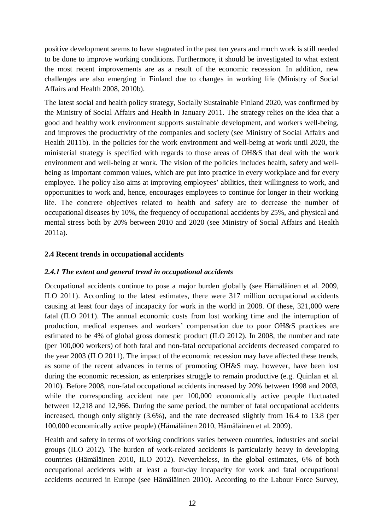positive development seems to have stagnated in the past ten years and much work is still needed to be done to improve working conditions. Furthermore, it should be investigated to what extent the most recent improvements are as a result of the economic recession. In addition, new challenges are also emerging in Finland due to changes in working life (Ministry of Social Affairs and Health 2008, 2010b).

The latest social and health policy strategy, Socially Sustainable Finland 2020, was confirmed by the Ministry of Social Affairs and Health in January 2011. The strategy relies on the idea that a good and healthy work environment supports sustainable development, and workers well-being, and improves the productivity of the companies and society (see Ministry of Social Affairs and Health 2011b). In the policies for the work environment and well-being at work until 2020, the ministerial strategy is specified with regards to those areas of OH&S that deal with the work environment and well-being at work. The vision of the policies includes health, safety and wellbeing as important common values, which are put into practice in every workplace and for every employee. The policy also aims at improving employees' abilities, their willingness to work, and opportunities to work and, hence, encourages employees to continue for longer in their working life. The concrete objectives related to health and safety are to decrease the number of occupational diseases by 10%, the frequency of occupational accidents by 25%, and physical and mental stress both by 20% between 2010 and 2020 (see Ministry of Social Affairs and Health 2011a).

## **2.4 Recent trends in occupational accidents**

## *2.4.1 The extent and general trend in occupational accidents*

Occupational accidents continue to pose a major burden globally (see Hämäläinen et al. 2009, ILO 2011). According to the latest estimates, there were 317 million occupational accidents causing at least four days of incapacity for work in the world in 2008. Of these, 321,000 were fatal (ILO 2011). The annual economic costs from lost working time and the interruption of production, medical expenses and workers' compensation due to poor OH&S practices are estimated to be 4% of global gross domestic product (ILO 2012). In 2008, the number and rate (per 100,000 workers) of both fatal and non-fatal occupational accidents decreased compared to the year 2003 (ILO 2011). The impact of the economic recession may have affected these trends, as some of the recent advances in terms of promoting OH&S may, however, have been lost during the economic recession, as enterprises struggle to remain productive (e.g. Quinlan et al. 2010). Before 2008, non-fatal occupational accidents increased by 20% between 1998 and 2003, while the corresponding accident rate per  $100,000$  economically active people fluctuated between 12,218 and 12,966. During the same period, the number of fatal occupational accidents increased, though only slightly (3.6%), and the rate decreased slightly from 16.4 to 13.8 (per 100,000 economically active people) (Hämäläinen 2010, Hämäläinen et al. 2009).

Health and safety in terms of working conditions varies between countries, industries and social groups (ILO 2012). The burden of work-related accidents is particularly heavy in developing countries (Hämäläinen 2010, ILO 2012). Nevertheless, in the global estimates, 6% of both occupational accidents with at least a four-day incapacity for work and fatal occupational accidents occurred in Europe (see Hämäläinen 2010). According to the Labour Force Survey,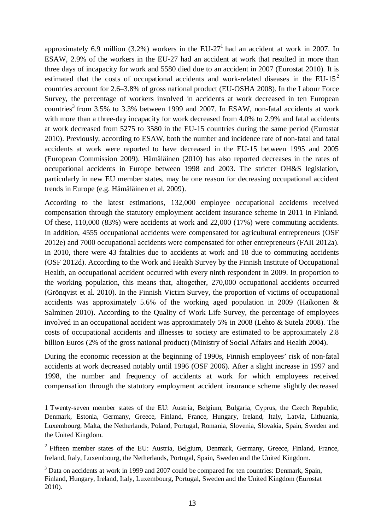approximately 6.9 million (3.2%) workers in the  $EU-27<sup>1</sup>$  had an accident at work in 2007. In ESAW, 2.9% of the workers in the EU-27 had an accident at work that resulted in more than three days of incapacity for work and 5580 died due to an accident in 2007 (Eurostat 2010). It is estimated that the costs of occupational accidents and work-related diseases in the  $EU-15<sup>2</sup>$ countries account for 2.6–3.8% of gross national product (EU-OSHA 2008). In the Labour Force Survey, the percentage of workers involved in accidents at work decreased in ten European countries<sup>3</sup> from 3.5% to 3.3% between 1999 and 2007. In ESAW, non-fatal accidents at work with more than a three-day incapacity for work decreased from 4.0% to 2.9% and fatal accidents at work decreased from 5275 to 3580 in the EU-15 countries during the same period (Eurostat 2010). Previously, according to ESAW, both the number and incidence rate of non-fatal and fatal accidents at work were reported to have decreased in the EU-15 between 1995 and 2005 (European Commission 2009). Hämäläinen (2010) has also reported decreases in the rates of occupational accidents in Europe between 1998 and 2003. The stricter OH&S legislation, particularly in new EU member states, may be one reason for decreasing occupational accident trends in Europe (e.g. Hämäläinen et al. 2009).

According to the latest estimations, 132,000 employee occupational accidents received compensation through the statutory employment accident insurance scheme in 2011 in Finland. Of these, 110,000 (83%) were accidents at work and 22,000 (17%) were commuting accidents. In addition, 4555 occupational accidents were compensated for agricultural entrepreneurs (OSF 2012e) and 7000 occupational accidents were compensated for other entrepreneurs (FAII 2012a). In 2010, there were 43 fatalities due to accidents at work and 18 due to commuting accidents (OSF 2012d). According to the Work and Health Survey by the Finnish Institute of Occupational Health, an occupational accident occurred with every ninth respondent in 2009. In proportion to the working population, this means that, altogether, 270,000 occupational accidents occurred (Grönqvist et al. 2010). In the Finnish Victim Survey, the proportion of victims of occupational accidents was approximately 5.6% of the working aged population in 2009 (Haikonen & Salminen 2010). According to the Quality of Work Life Survey, the percentage of employees involved in an occupational accident was approximately 5% in 2008 (Lehto & Sutela 2008). The costs of occupational accidents and illnesses to society are estimated to be approximately 2.8 billion Euros (2% of the gross national product) (Ministry of Social Affairs and Health 2004).

During the economic recession at the beginning of 1990s, Finnish employees' risk of non-fatal accidents at work decreased notably until 1996 (OSF 2006). After a slight increase in 1997 and 1998, the number and frequency of accidents at work for which employees received compensation through the statutory employment accident insurance scheme slightly decreased

l

<sup>1</sup> Twenty-seven member states of the EU: Austria, Belgium, Bulgaria, Cyprus, the Czech Republic, Denmark, Estonia, Germany, Greece, Finland, France, Hungary, Ireland, Italy, Latvia, Lithuania, Luxembourg, Malta, the Netherlands, Poland, Portugal, Romania, Slovenia, Slovakia, Spain, Sweden and the United Kingdom.

 $2$  Fifteen member states of the EU: Austria, Belgium, Denmark, Germany, Greece, Finland, France, Ireland, Italy, Luxembourg, the Netherlands, Portugal, Spain, Sweden and the United Kingdom.

<sup>&</sup>lt;sup>3</sup> Data on accidents at work in 1999 and 2007 could be compared for ten countries: Denmark, Spain, Finland, Hungary, Ireland, Italy, Luxembourg, Portugal, Sweden and the United Kingdom (Eurostat 2010).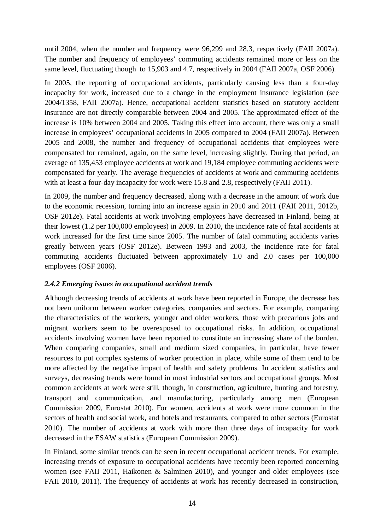until 2004, when the number and frequency were 96,299 and 28.3, respectively (FAII 2007a). The number and frequency of employees' commuting accidents remained more or less on the same level, fluctuating though to 15,903 and 4.7, respectively in 2004 (FAII 2007a, OSF 2006).

In 2005, the reporting of occupational accidents, particularly causing less than a four-day incapacity for work, increased due to a change in the employment insurance legislation (see 2004/1358, FAII 2007a). Hence, occupational accident statistics based on statutory accident insurance are not directly comparable between 2004 and 2005. The approximated effect of the increase is 10% between 2004 and 2005. Taking this effect into account, there was only a small increase in employees' occupational accidents in 2005 compared to 2004 (FAII 2007a). Between 2005 and 2008, the number and frequency of occupational accidents that employees were compensated for remained, again, on the same level, increasing slightly. During that period, an average of 135,453 employee accidents at work and 19,184 employee commuting accidents were compensated for yearly. The average frequencies of accidents at work and commuting accidents with at least a four-day incapacity for work were 15.8 and 2.8, respectively (FAII 2011).

In 2009, the number and frequency decreased, along with a decrease in the amount of work due to the economic recession, turning into an increase again in 2010 and 2011 (FAII 2011, 2012b, OSF 2012e). Fatal accidents at work involving employees have decreased in Finland, being at their lowest (1.2 per 100,000 employees) in 2009. In 2010, the incidence rate of fatal accidents at work increased for the first time since 2005. The number of fatal commuting accidents varies greatly between years (OSF 2012e). Between 1993 and 2003, the incidence rate for fatal commuting accidents fluctuated between approximately 1.0 and 2.0 cases per 100,000 employees (OSF 2006).

## *2.4.2 Emerging issues in occupational accident trends*

Although decreasing trends of accidents at work have been reported in Europe, the decrease has not been uniform between worker categories, companies and sectors. For example, comparing the characteristics of the workers, younger and older workers, those with precarious jobs and migrant workers seem to be overexposed to occupational risks. In addition, occupational accidents involving women have been reported to constitute an increasing share of the burden. When comparing companies, small and medium sized companies, in particular, have fewer resources to put complex systems of worker protection in place, while some of them tend to be more affected by the negative impact of health and safety problems. In accident statistics and surveys, decreasing trends were found in most industrial sectors and occupational groups. Most common accidents at work were still, though, in construction, agriculture, hunting and forestry, transport and communication, and manufacturing, particularly among men (European Commission 2009, Eurostat 2010). For women, accidents at work were more common in the sectors of health and social work, and hotels and restaurants, compared to other sectors (Eurostat 2010). The number of accidents at work with more than three days of incapacity for work decreased in the ESAW statistics (European Commission 2009).

In Finland, some similar trends can be seen in recent occupational accident trends. For example, increasing trends of exposure to occupational accidents have recently been reported concerning women (see FAII 2011, Haikonen & Salminen 2010), and younger and older employees (see FAII 2010, 2011). The frequency of accidents at work has recently decreased in construction,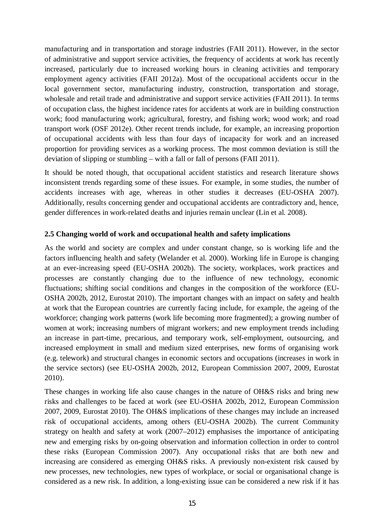manufacturing and in transportation and storage industries (FAII 2011). However, in the sector of administrative and support service activities, the frequency of accidents at work has recently increased, particularly due to increased working hours in cleaning activities and temporary employment agency activities (FAII 2012a). Most of the occupational accidents occur in the local government sector, manufacturing industry, construction, transportation and storage, wholesale and retail trade and administrative and support service activities (FAII 2011). In terms of occupation class, the highest incidence rates for accidents at work are in building construction work; food manufacturing work; agricultural, forestry, and fishing work; wood work; and road transport work (OSF 2012e). Other recent trends include, for example, an increasing proportion of occupational accidents with less than four days of incapacity for work and an increased proportion for providing services as a working process. The most common deviation is still the deviation of slipping or stumbling – with a fall or fall of persons (FAII 2011).

It should be noted though, that occupational accident statistics and research literature shows inconsistent trends regarding some of these issues. For example, in some studies, the number of accidents increases with age, whereas in other studies it decreases (EU-OSHA 2007). Additionally, results concerning gender and occupational accidents are contradictory and, hence, gender differences in work-related deaths and injuries remain unclear (Lin et al. 2008).

## **2.5 Changing world of work and occupational health and safety implications**

As the world and society are complex and under constant change, so is working life and the factors influencing health and safety (Welander et al. 2000). Working life in Europe is changing at an ever-increasing speed (EU-OSHA 2002b). The society, workplaces, work practices and processes are constantly changing due to the influence of new technology, economic fluctuations; shifting social conditions and changes in the composition of the workforce (EU-OSHA 2002b, 2012, Eurostat 2010). The important changes with an impact on safety and health at work that the European countries are currently facing include, for example, the ageing of the workforce; changing work patterns (work life becoming more fragmented); a growing number of women at work; increasing numbers of migrant workers; and new employment trends including an increase in part-time, precarious, and temporary work, self-employment, outsourcing, and increased employment in small and medium sized enterprises, new forms of organising work (e.g. telework) and structural changes in economic sectors and occupations (increases in work in the service sectors) (see EU-OSHA 2002b, 2012, European Commission 2007, 2009, Eurostat 2010).

These changes in working life also cause changes in the nature of OH&S risks and bring new risks and challenges to be faced at work (see EU-OSHA 2002b, 2012, European Commission 2007, 2009, Eurostat 2010). The OH&S implications of these changes may include an increased risk of occupational accidents, among others (EU-OSHA 2002b). The current Community strategy on health and safety at work (2007–2012) emphasises the importance of anticipating new and emerging risks by on-going observation and information collection in order to control these risks (European Commission 2007). Any occupational risks that are both new and increasing are considered as emerging OH&S risks. A previously non-existent risk caused by new processes, new technologies, new types of workplace, or social or organisational change is considered as a new risk. In addition, a long-existing issue can be considered a new risk if it has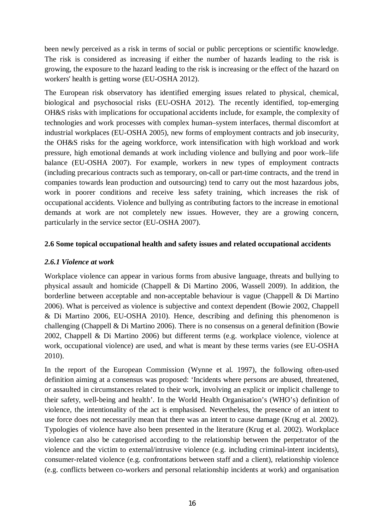been newly perceived as a risk in terms of social or public perceptions or scientific knowledge. The risk is considered as increasing if either the number of hazards leading to the risk is growing, the exposure to the hazard leading to the risk is increasing or the effect of the hazard on workers' health is getting worse (EU-OSHA 2012).

The European risk observatory has identified emerging issues related to physical, chemical, biological and psychosocial risks (EU-OSHA 2012). The recently identified, top-emerging OH&S risks with implications for occupational accidents include, for example, the complexity of technologies and work processes with complex human–system interfaces, thermal discomfort at industrial workplaces (EU-OSHA 2005), new forms of employment contracts and job insecurity, the OH&S risks for the ageing workforce, work intensification with high workload and work pressure, high emotional demands at work including violence and bullying and poor work–life balance (EU-OSHA 2007). For example, workers in new types of employment contracts (including precarious contracts such as temporary, on-call or part-time contracts, and the trend in companies towards lean production and outsourcing) tend to carry out the most hazardous jobs, work in poorer conditions and receive less safety training, which increases the risk of occupational accidents. Violence and bullying as contributing factors to the increase in emotional demands at work are not completely new issues. However, they are a growing concern, particularly in the service sector (EU-OSHA 2007).

#### **2.6 Some topical occupational health and safety issues and related occupational accidents**

### *2.6.1 Violence at work*

Workplace violence can appear in various forms from abusive language, threats and bullying to physical assault and homicide (Chappell & Di Martino 2006, Wassell 2009). In addition, the borderline between acceptable and non-acceptable behaviour is vague (Chappell & Di Martino 2006). What is perceived as violence is subjective and context dependent (Bowie 2002, Chappell & Di Martino 2006, EU-OSHA 2010). Hence, describing and defining this phenomenon is challenging (Chappell & Di Martino 2006). There is no consensus on a general definition (Bowie 2002, Chappell & Di Martino 2006) but different terms (e.g. workplace violence, violence at work, occupational violence) are used, and what is meant by these terms varies (see EU-OSHA 2010).

In the report of the European Commission (Wynne et al. 1997), the following often-used definition aiming at a consensus was proposed: 'Incidents where persons are abused, threatened, or assaulted in circumstances related to their work, involving an explicit or implicit challenge to their safety, well-being and health'. In the World Health Organisation's (WHO's) definition of violence, the intentionality of the act is emphasised. Nevertheless, the presence of an intent to use force does not necessarily mean that there was an intent to cause damage (Krug et al. 2002). Typologies of violence have also been presented in the literature (Krug et al. 2002). Workplace violence can also be categorised according to the relationship between the perpetrator of the violence and the victim to external/intrusive violence (e.g. including criminal-intent incidents), consumer-related violence (e.g. confrontations between staff and a client), relationship violence (e.g. conflicts between co-workers and personal relationship incidents at work) and organisation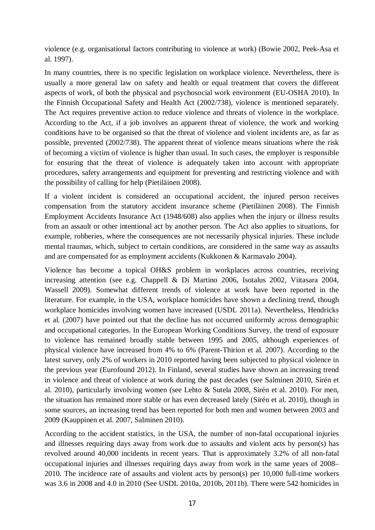violence (e.g. organisational factors contributing to violence at work) (Bowie 2002, Peek-Asa et al. 1997).

In many countries, there is no specific legislation on workplace violence. Nevertheless, there is usually a more general law on safety and health or equal treatment that covers the different aspects of work, of both the physical and psychosocial work environment (EU-OSHA 2010). In the Finnish Occupational Safety and Health Act (2002/738), violence is mentioned separately. The Act requires preventive action to reduce violence and threats of violence in the workplace. According to the Act, if a job involves an apparent threat of violence, the work and working conditions have to be organised so that the threat of violence and violent incidents are, as far as possible, prevented (2002/738). The apparent threat of violence means situations where the risk of becoming a victim of violence is higher than usual. In such cases, the employer is responsible for ensuring that the threat of violence is adequately taken into account with appropriate procedures, safety arrangements and equipment for preventing and restricting violence and with the possibility of calling for help (Pietiläinen 2008).

If a violent incident is considered an occupational accident, the injured person receives compensation from the statutory accident insurance scheme (Pietiläinen 2008). The Finnish Employment Accidents Insurance Act (1948/608) also applies when the injury or illness results from an assault or other intentional act by another person. The Act also applies to situations, for example, robberies, where the consequences are not necessarily physical injuries. These include mental traumas, which, subject to certain conditions, are considered in the same way as assaults and are compensated for as employment accidents (Kukkonen & Karmavalo 2004).

Violence has become a topical OH&S problem in workplaces across countries, receiving increasing attention (see e.g. Chappell & Di Martino 2006, Isotalus 2002, Viitasara 2004, Wassell 2009). Somewhat different trends of violence at work have been reported in the literature. For example, in the USA, workplace homicides have shown a declining trend, though workplace homicides involving women have increased (USDL 2011a). Nevertheless, Hendricks et al. (2007) have pointed out that the decline has not occurred uniformly across demographic and occupational categories. In the European Working Conditions Survey, the trend of exposure to violence has remained broadly stable between 1995 and 2005, although experiences of physical violence have increased from 4% to 6% (Parent-Thirion et al. 2007). According to the latest survey, only 2% of workers in 2010 reported having been subjected to physical violence in the previous year (Eurofound 2012). In Finland, several studies have shown an increasing trend in violence and threat of violence at work during the past decades (see Salminen 2010, Sirén et al. 2010), particularly involving women (see Lehto & Sutela 2008, Sirén et al. 2010). For men, the situation has remained more stable or has even decreased lately (Sirén et al. 2010), though in some sources, an increasing trend has been reported for both men and women between 2003 and 2009 (Kauppinen et al. 2007, Salminen 2010).

According to the accident statistics, in the USA, the number of non-fatal occupational injuries and illnesses requiring days away from work due to assaults and violent acts by person(s) has revolved around 40,000 incidents in recent years. That is approximately 3.2% of all non-fatal occupational injuries and illnesses requiring days away from work in the same years of 2008– 2010. The incidence rate of assaults and violent acts by person(s) per 10,000 full-time workers was 3.6 in 2008 and 4.0 in 2010 (See USDL 2010a, 2010b, 2011b). There were 542 homicides in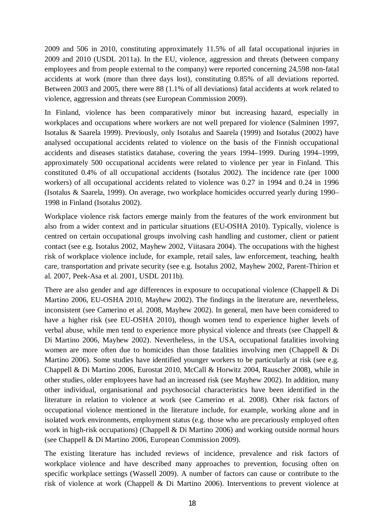2009 and 506 in 2010, constituting approximately 11.5% of all fatal occupational injuries in 2009 and 2010 (USDL 2011a). In the EU, violence, aggression and threats (between company employees and from people external to the company) were reported concerning 24,598 non-fatal accidents at work (more than three days lost), constituting 0.85% of all deviations reported. Between 2003 and 2005, there were 88 (1.1% of all deviations) fatal accidents at work related to violence, aggression and threats (see European Commission 2009).

In Finland, violence has been comparatively minor but increasing hazard, especially in workplaces and occupations where workers are not well prepared for violence (Salminen 1997, Isotalus & Saarela 1999). Previously, only Isotalus and Saarela (1999) and Isotalus (2002) have analysed occupational accidents related to violence on the basis of the Finnish occupational accidents and diseases statistics database, covering the years 1994–1999. During 1994–1999, approximately 500 occupational accidents were related to violence per year in Finland. This constituted 0.4% of all occupational accidents (Isotalus 2002). The incidence rate (per 1000 workers) of all occupational accidents related to violence was 0.27 in 1994 and 0.24 in 1996 (Isotalus & Saarela, 1999). On average, two workplace homicides occurred yearly during 1990– 1998 in Finland (Isotalus 2002).

Workplace violence risk factors emerge mainly from the features of the work environment but also from a wider context and in particular situations (EU-OSHA 2010). Typically, violence is centred on certain occupational groups involving cash handling and customer, client or patient contact (see e.g. Isotalus 2002, Mayhew 2002, Viitasara 2004). The occupations with the highest risk of workplace violence include, for example, retail sales, law enforcement, teaching, health care, transportation and private security (see e.g. Isotalus 2002, Mayhew 2002, Parent-Thirion et al. 2007, Peek-Asa et al. 2001, USDL 2011b).

There are also gender and age differences in exposure to occupational violence (Chappell & Di Martino 2006, EU-OSHA 2010, Mayhew 2002). The findings in the literature are, nevertheless, inconsistent (see Camerino et al. 2008, Mayhew 2002). In general, men have been considered to have a higher risk (see EU-OSHA 2010), though women tend to experience higher levels of verbal abuse, while men tend to experience more physical violence and threats (see Chappell & Di Martino 2006, Mayhew 2002). Nevertheless, in the USA, occupational fatalities involving women are more often due to homicides than those fatalities involving men (Chappell & Di Martino 2006). Some studies have identified younger workers to be particularly at risk (see e.g. Chappell & Di Martino 2006, Eurostat 2010, McCall & Horwitz 2004, Rauscher 2008), while in other studies, older employees have had an increased risk (see Mayhew 2002). In addition, many other individual, organisational and psychosocial characteristics have been identified in the literature in relation to violence at work (see Camerino et al. 2008). Other risk factors of occupational violence mentioned in the literature include, for example, working alone and in isolated work environments, employment status (e.g. those who are precariously employed often work in high-risk occupations) (Chappell & Di Martino 2006) and working outside normal hours (see Chappell & Di Martino 2006, European Commission 2009).

The existing literature has included reviews of incidence, prevalence and risk factors of workplace violence and have described many approaches to prevention, focusing often on specific workplace settings (Wassell 2009). A number of factors can cause or contribute to the risk of violence at work (Chappell & Di Martino 2006). Interventions to prevent violence at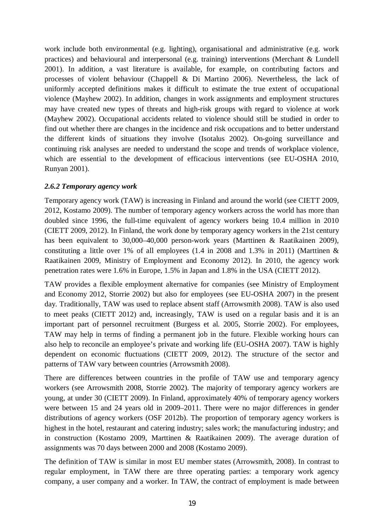work include both environmental (e.g. lighting), organisational and administrative (e.g. work practices) and behavioural and interpersonal (e.g. training) interventions (Merchant & Lundell 2001). In addition, a vast literature is available, for example, on contributing factors and processes of violent behaviour (Chappell & Di Martino 2006). Nevertheless, the lack of uniformly accepted definitions makes it difficult to estimate the true extent of occupational violence (Mayhew 2002). In addition, changes in work assignments and employment structures may have created new types of threats and high-risk groups with regard to violence at work (Mayhew 2002). Occupational accidents related to violence should still be studied in order to find out whether there are changes in the incidence and risk occupations and to better understand the different kinds of situations they involve (Isotalus 2002). On-going surveillance and continuing risk analyses are needed to understand the scope and trends of workplace violence, which are essential to the development of efficacious interventions (see EU-OSHA 2010, Runyan 2001).

## *2.6.2 Temporary agency work*

Temporary agency work (TAW) is increasing in Finland and around the world (see CIETT 2009, 2012, Kostamo 2009). The number of temporary agency workers across the world has more than doubled since 1996, the full-time equivalent of agency workers being 10.4 million in 2010 (CIETT 2009, 2012). In Finland, the work done by temporary agency workers in the 21st century has been equivalent to 30,000–40,000 person-work years (Marttinen & Raatikainen 2009), constituting a little over 1% of all employees  $(1.4 \text{ in } 2008 \text{ and } 1.3\% \text{ in } 2011)$  (Marttinen & Raatikainen 2009, Ministry of Employment and Economy 2012). In 2010, the agency work penetration rates were 1.6% in Europe, 1.5% in Japan and 1.8% in the USA (CIETT 2012).

TAW provides a flexible employment alternative for companies (see Ministry of Employment and Economy 2012, Storrie 2002) but also for employees (see EU-OSHA 2007) in the present day. Traditionally, TAW was used to replace absent staff (Arrowsmith 2008). TAW is also used to meet peaks (CIETT 2012) and, increasingly, TAW is used on a regular basis and it is an important part of personnel recruitment (Burgess et al. 2005, Storrie 2002). For employees, TAW may help in terms of finding a permanent job in the future. Flexible working hours can also help to reconcile an employee's private and working life (EU-OSHA 2007). TAW is highly dependent on economic fluctuations (CIETT 2009, 2012). The structure of the sector and patterns of TAW vary between countries (Arrowsmith 2008).

There are differences between countries in the profile of TAW use and temporary agency workers (see Arrowsmith 2008, Storrie 2002). The majority of temporary agency workers are young, at under 30 (CIETT 2009). In Finland, approximately 40% of temporary agency workers were between 15 and 24 years old in 2009–2011. There were no major differences in gender distributions of agency workers (OSF 2012b). The proportion of temporary agency workers is highest in the hotel, restaurant and catering industry; sales work; the manufacturing industry; and in construction (Kostamo 2009, Marttinen & Raatikainen 2009). The average duration of assignments was 70 days between 2000 and 2008 (Kostamo 2009).

The definition of TAW is similar in most EU member states (Arrowsmith, 2008). In contrast to regular employment, in TAW there are three operating parties: a temporary work agency company, a user company and a worker. In TAW, the contract of employment is made between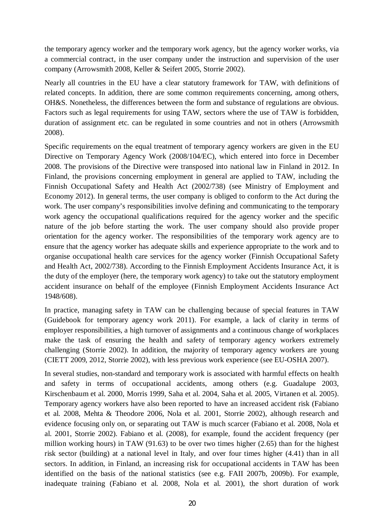the temporary agency worker and the temporary work agency, but the agency worker works, via a commercial contract, in the user company under the instruction and supervision of the user company (Arrowsmith 2008, Keller & Seifert 2005, Storrie 2002).

Nearly all countries in the EU have a clear statutory framework for TAW, with definitions of related concepts. In addition, there are some common requirements concerning, among others, OH&S. Nonetheless, the differences between the form and substance of regulations are obvious. Factors such as legal requirements for using TAW, sectors where the use of TAW is forbidden, duration of assignment etc. can be regulated in some countries and not in others (Arrowsmith 2008).

Specific requirements on the equal treatment of temporary agency workers are given in the EU Directive on Temporary Agency Work (2008/104/EC), which entered into force in December 2008. The provisions of the Directive were transposed into national law in Finland in 2012. In Finland, the provisions concerning employment in general are applied to TAW, including the Finnish Occupational Safety and Health Act (2002/738) (see Ministry of Employment and Economy 2012). In general terms, the user company is obliged to conform to the Act during the work. The user company's responsibilities involve defining and communicating to the temporary work agency the occupational qualifications required for the agency worker and the specific nature of the job before starting the work. The user company should also provide proper orientation for the agency worker. The responsibilities of the temporary work agency are to ensure that the agency worker has adequate skills and experience appropriate to the work and to organise occupational health care services for the agency worker (Finnish Occupational Safety and Health Act, 2002/738). According to the Finnish Employment Accidents Insurance Act, it is the duty of the employer (here, the temporary work agency) to take out the statutory employment accident insurance on behalf of the employee (Finnish Employment Accidents Insurance Act 1948/608).

In practice, managing safety in TAW can be challenging because of special features in TAW (Guidebook for temporary agency work 2011). For example, a lack of clarity in terms of employer responsibilities, a high turnover of assignments and a continuous change of workplaces make the task of ensuring the health and safety of temporary agency workers extremely challenging (Storrie 2002). In addition, the majority of temporary agency workers are young (CIETT 2009, 2012, Storrie 2002), with less previous work experience (see EU-OSHA 2007).

In several studies, non-standard and temporary work is associated with harmful effects on health and safety in terms of occupational accidents, among others (e.g. Guadalupe 2003, Kirschenbaum et al. 2000, Morris 1999, Saha et al. 2004, Saha et al. 2005, Virtanen et al. 2005). Temporary agency workers have also been reported to have an increased accident risk (Fabiano et al. 2008, Mehta & Theodore 2006, Nola et al. 2001, Storrie 2002), although research and evidence focusing only on, or separating out TAW is much scarcer (Fabiano et al. 2008, Nola et al. 2001, Storrie 2002). Fabiano et al. (2008), for example, found the accident frequency (per million working hours) in TAW (91.63) to be over two times higher (2.65) than for the highest risk sector (building) at a national level in Italy, and over four times higher (4.41) than in all sectors. In addition, in Finland, an increasing risk for occupational accidents in TAW has been identified on the basis of the national statistics (see e.g. FAII 2007b, 2009b). For example, inadequate training (Fabiano et al. 2008, Nola et al. 2001), the short duration of work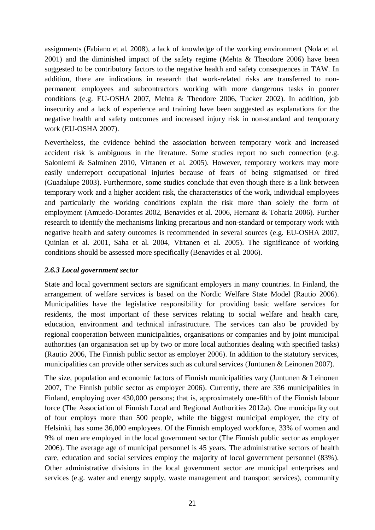assignments (Fabiano et al. 2008), a lack of knowledge of the working environment (Nola et al. 2001) and the diminished impact of the safety regime (Mehta & Theodore 2006) have been suggested to be contributory factors to the negative health and safety consequences in TAW. In addition, there are indications in research that work-related risks are transferred to nonpermanent employees and subcontractors working with more dangerous tasks in poorer conditions (e.g. EU-OSHA 2007, Mehta & Theodore 2006, Tucker 2002). In addition, job insecurity and a lack of experience and training have been suggested as explanations for the negative health and safety outcomes and increased injury risk in non-standard and temporary work (EU-OSHA 2007).

Nevertheless, the evidence behind the association between temporary work and increased accident risk is ambiguous in the literature. Some studies report no such connection (e.g. Saloniemi & Salminen 2010, Virtanen et al. 2005). However, temporary workers may more easily underreport occupational injuries because of fears of being stigmatised or fired (Guadalupe 2003). Furthermore, some studies conclude that even though there is a link between temporary work and a higher accident risk, the characteristics of the work, individual employees and particularly the working conditions explain the risk more than solely the form of employment (Amuedo-Dorantes 2002, Benavides et al. 2006, Hernanz & Toharia 2006). Further research to identify the mechanisms linking precarious and non-standard or temporary work with negative health and safety outcomes is recommended in several sources (e.g. EU-OSHA 2007, Quinlan et al. 2001, Saha et al. 2004, Virtanen et al. 2005). The significance of working conditions should be assessed more specifically (Benavides et al. 2006).

#### *2.6.3 Local government sector*

State and local government sectors are significant employers in many countries. In Finland, the arrangement of welfare services is based on the Nordic Welfare State Model (Rautio 2006). Municipalities have the legislative responsibility for providing basic welfare services for residents, the most important of these services relating to social welfare and health care, education, environment and technical infrastructure. The services can also be provided by regional cooperation between municipalities, organisations or companies and by joint municipal authorities (an organisation set up by two or more local authorities dealing with specified tasks) (Rautio 2006, The Finnish public sector as employer 2006). In addition to the statutory services, municipalities can provide other services such as cultural services (Juntunen & Leinonen 2007).

The size, population and economic factors of Finnish municipalities vary (Juntunen & Leinonen 2007, The Finnish public sector as employer 2006). Currently, there are 336 municipalities in Finland, employing over 430,000 persons; that is, approximately one-fifth of the Finnish labour force (The Association of Finnish Local and Regional Authorities 2012a). One municipality out of four employs more than 500 people, while the biggest municipal employer, the city of Helsinki, has some 36,000 employees. Of the Finnish employed workforce, 33% of women and 9% of men are employed in the local government sector (The Finnish public sector as employer 2006). The average age of municipal personnel is 45 years. The administrative sectors of health care, education and social services employ the majority of local government personnel (83%). Other administrative divisions in the local government sector are municipal enterprises and services (e.g. water and energy supply, waste management and transport services), community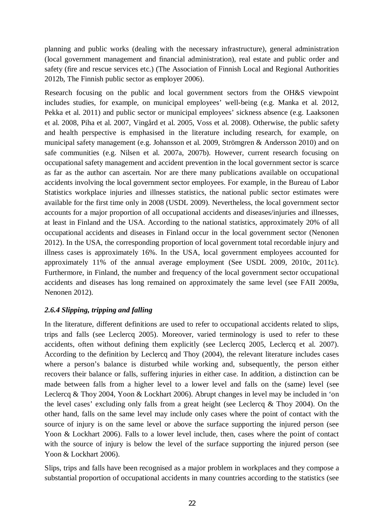planning and public works (dealing with the necessary infrastructure), general administration (local government management and financial administration), real estate and public order and safety (fire and rescue services etc.) (The Association of Finnish Local and Regional Authorities 2012b, The Finnish public sector as employer 2006).

Research focusing on the public and local government sectors from the OH&S viewpoint includes studies, for example, on municipal employees' well-being (e.g. Manka et al. 2012, Pekka et al. 2011) and public sector or municipal employees' sickness absence (e.g. Laaksonen et al. 2008, Piha et al. 2007, Vingård et al. 2005, Voss et al. 2008). Otherwise, the public safety and health perspective is emphasised in the literature including research, for example, on municipal safety management (e.g. Johansson et al. 2009, Strömgren & Andersson 2010) and on safe communities (e.g. Nilsen et al. 2007a, 2007b). However, current research focusing on occupational safety management and accident prevention in the local government sector is scarce as far as the author can ascertain. Nor are there many publications available on occupational accidents involving the local government sector employees. For example, in the Bureau of Labor Statistics workplace injuries and illnesses statistics, the national public sector estimates were available for the first time only in 2008 (USDL 2009). Nevertheless, the local government sector accounts for a major proportion of all occupational accidents and diseases/injuries and illnesses, at least in Finland and the USA. According to the national statistics, approximately 20% of all occupational accidents and diseases in Finland occur in the local government sector (Nenonen 2012). In the USA, the corresponding proportion of local government total recordable injury and illness cases is approximately 16%. In the USA, local government employees accounted for approximately 11% of the annual average employment (See USDL 2009, 2010c, 2011c). Furthermore, in Finland, the number and frequency of the local government sector occupational accidents and diseases has long remained on approximately the same level (see FAII 2009a, Nenonen 2012).

# *2.6.4 Slipping, tripping and falling*

In the literature, different definitions are used to refer to occupational accidents related to slips, trips and falls (see Leclercq 2005). Moreover, varied terminology is used to refer to these accidents, often without defining them explicitly (see Leclercq 2005, Leclercq et al. 2007). According to the definition by Leclercq and Thoy (2004), the relevant literature includes cases where a person's balance is disturbed while working and, subsequently, the person either recovers their balance or falls, suffering injuries in either case. In addition, a distinction can be made between falls from a higher level to a lower level and falls on the (same) level (see Leclercq & Thoy 2004, Yoon & Lockhart 2006). Abrupt changes in level may be included in 'on the level cases' excluding only falls from a great height (see Leclercq & Thoy 2004). On the other hand, falls on the same level may include only cases where the point of contact with the source of injury is on the same level or above the surface supporting the injured person (see Yoon & Lockhart 2006). Falls to a lower level include, then, cases where the point of contact with the source of injury is below the level of the surface supporting the injured person (see Yoon & Lockhart 2006).

Slips, trips and falls have been recognised as a major problem in workplaces and they compose a substantial proportion of occupational accidents in many countries according to the statistics (see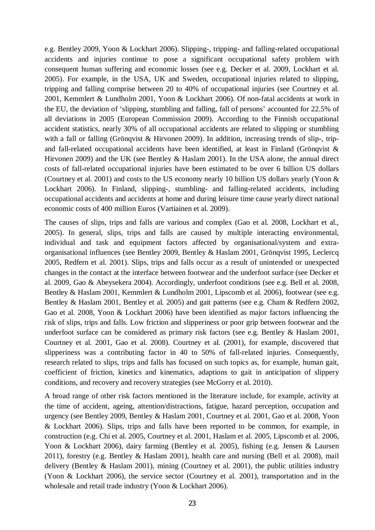e.g. Bentley 2009, Yoon & Lockhart 2006). Slipping-, tripping- and falling-related occupational accidents and injuries continue to pose a significant occupational safety problem with consequent human suffering and economic losses (see e.g. Decker et al. 2009, Lockhart et al. 2005). For example, in the USA, UK and Sweden, occupational injuries related to slipping, tripping and falling comprise between 20 to 40% of occupational injuries (see Courtney et al. 2001, Kemmlert & Lundholm 2001, Yoon & Lockhart 2006). Of non-fatal accidents at work in the EU, the deviation of 'slipping, stumbling and falling, fall of persons' accounted for 22.5% of all deviations in 2005 (European Commission 2009). According to the Finnish occupational accident statistics, nearly 30% of all occupational accidents are related to slipping or stumbling with a fall or falling (Grönqvist & Hirvonen 2009). In addition, increasing trends of slip-, tripand fall-related occupational accidents have been identified, at least in Finland (Grönqvist & Hirvonen 2009) and the UK (see Bentley & Haslam 2001). In the USA alone, the annual direct costs of fall-related occupational injuries have been estimated to be over 6 billion US dollars (Courtney et al. 2001) and costs to the US economy nearly 10 billion US dollars yearly (Yoon & Lockhart 2006). In Finland, slipping-, stumbling- and falling-related accidents, including occupational accidents and accidents at home and during leisure time cause yearly direct national economic costs of 400 million Euros (Vartiainen et al. 2009).

The causes of slips, trips and falls are various and complex (Gao et al. 2008, Lockhart et al., 2005). In general, slips, trips and falls are caused by multiple interacting environmental, individual and task and equipment factors affected by organisational/system and extraorganisational influences (see Bentley 2009, Bentley & Haslam 2001, Grönqvist 1995, Leclercq 2005, Redfern et al. 2001). Slips, trips and falls occur as a result of unintended or unexpected changes in the contact at the interface between footwear and the underfoot surface (see Decker et al. 2009, Gao & Abeysekera 2004). Accordingly, underfoot conditions (see e.g. Bell et al. 2008, Bentley & Haslam 2001, Kemmlert & Lundholm 2001, Lipscomb et al. 2006), footwear (see e.g. Bentley & Haslam 2001, Bentley et al. 2005) and gait patterns (see e.g. Cham & Redfern 2002, Gao et al. 2008, Yoon & Lockhart 2006) have been identified as major factors influencing the risk of slips, trips and falls. Low friction and slipperiness or poor grip between footwear and the underfoot surface can be considered as primary risk factors (see e.g. Bentley & Haslam 2001, Courtney et al. 2001, Gao et al. 2008). Courtney et al. (2001), for example, discovered that slipperiness was a contributing factor in 40 to 50% of fall-related injuries. Consequently, research related to slips, trips and falls has focused on such topics as, for example, human gait, coefficient of friction, kinetics and kinematics, adaptions to gait in anticipation of slippery conditions, and recovery and recovery strategies (see McGorry et al. 2010).

A broad range of other risk factors mentioned in the literature include, for example, activity at the time of accident, ageing, attention/distractions, fatigue, hazard perception, occupation and urgency (see Bentley 2009, Bentley & Haslam 2001, Courtney et al. 2001, Gao et al. 2008, Yoon & Lockhart 2006). Slips, trips and falls have been reported to be common, for example, in construction (e.g. Chi et al. 2005, Courtney et al. 2001, Haslam et al. 2005, Lipscomb et al. 2006, Yoon & Lockhart 2006), dairy farming (Bentley et al. 2005), fishing (e.g. Jensen & Laursen 2011), forestry (e.g. Bentley & Haslam 2001), health care and nursing (Bell et al. 2008), mail delivery (Bentley & Haslam 2001), mining (Courtney et al. 2001), the public utilities industry (Yoon & Lockhart 2006), the service sector (Courtney et al. 2001), transportation and in the wholesale and retail trade industry (Yoon & Lockhart 2006).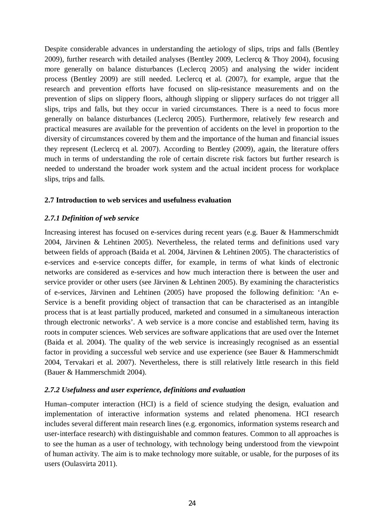Despite considerable advances in understanding the aetiology of slips, trips and falls (Bentley 2009), further research with detailed analyses (Bentley 2009, Leclercq & Thoy 2004), focusing more generally on balance disturbances (Leclercq 2005) and analysing the wider incident process (Bentley 2009) are still needed. Leclercq et al. (2007), for example, argue that the research and prevention efforts have focused on slip-resistance measurements and on the prevention of slips on slippery floors, although slipping or slippery surfaces do not trigger all slips, trips and falls, but they occur in varied circumstances. There is a need to focus more generally on balance disturbances (Leclercq 2005). Furthermore, relatively few research and practical measures are available for the prevention of accidents on the level in proportion to the diversity of circumstances covered by them and the importance of the human and financial issues they represent (Leclercq et al. 2007). According to Bentley (2009), again, the literature offers much in terms of understanding the role of certain discrete risk factors but further research is needed to understand the broader work system and the actual incident process for workplace slips, trips and falls.

### **2.7 Introduction to web services and usefulness evaluation**

# *2.7.1 Definition of web service*

Increasing interest has focused on e-services during recent years (e.g. Bauer & Hammerschmidt 2004, Järvinen & Lehtinen 2005). Nevertheless, the related terms and definitions used vary between fields of approach (Baida et al. 2004, Järvinen & Lehtinen 2005). The characteristics of e-services and e-service concepts differ, for example, in terms of what kinds of electronic networks are considered as e-services and how much interaction there is between the user and service provider or other users (see Järvinen & Lehtinen 2005). By examining the characteristics of e-services, Järvinen and Lehtinen (2005) have proposed the following definition: 'An e-Service is a benefit providing object of transaction that can be characterised as an intangible process that is at least partially produced, marketed and consumed in a simultaneous interaction through electronic networks'. A web service is a more concise and established term, having its roots in computer sciences. Web services are software applications that are used over the Internet (Baida et al. 2004). The quality of the web service is increasingly recognised as an essential factor in providing a successful web service and use experience (see Bauer & Hammerschmidt 2004, Tervakari et al. 2007). Nevertheless, there is still relatively little research in this field (Bauer & Hammerschmidt 2004).

### *2.7.2 Usefulness and user experience, definitions and evaluation*

Human–computer interaction (HCI) is a field of science studying the design, evaluation and implementation of interactive information systems and related phenomena. HCI research includes several different main research lines (e.g. ergonomics, information systems research and user-interface research) with distinguishable and common features. Common to all approaches is to see the human as a user of technology, with technology being understood from the viewpoint of human activity. The aim is to make technology more suitable, or usable, for the purposes of its users (Oulasvirta 2011).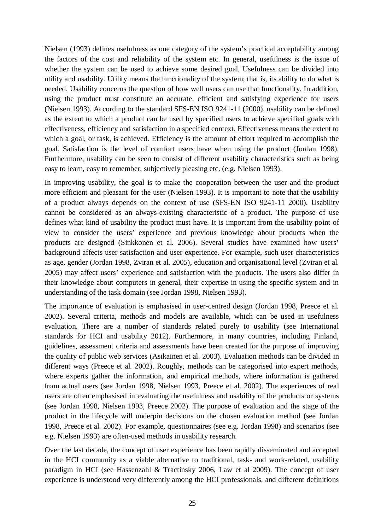Nielsen (1993) defines usefulness as one category of the system's practical acceptability among the factors of the cost and reliability of the system etc. In general, usefulness is the issue of whether the system can be used to achieve some desired goal. Usefulness can be divided into utility and usability. Utility means the functionality of the system; that is, its ability to do what is needed. Usability concerns the question of how well users can use that functionality. In addition, using the product must constitute an accurate, efficient and satisfying experience for users (Nielsen 1993). According to the standard SFS-EN ISO 9241-11 (2000), usability can be defined as the extent to which a product can be used by specified users to achieve specified goals with effectiveness, efficiency and satisfaction in a specified context. Effectiveness means the extent to which a goal, or task, is achieved. Efficiency is the amount of effort required to accomplish the goal. Satisfaction is the level of comfort users have when using the product (Jordan 1998). Furthermore, usability can be seen to consist of different usability characteristics such as being easy to learn, easy to remember, subjectively pleasing etc. (e.g. Nielsen 1993).

In improving usability, the goal is to make the cooperation between the user and the product more efficient and pleasant for the user (Nielsen 1993). It is important to note that the usability of a product always depends on the context of use (SFS-EN ISO 9241-11 2000). Usability cannot be considered as an always-existing characteristic of a product. The purpose of use defines what kind of usability the product must have. It is important from the usability point of view to consider the users' experience and previous knowledge about products when the products are designed (Sinkkonen et al. 2006). Several studies have examined how users' background affects user satisfaction and user experience. For example, such user characteristics as age, gender (Jordan 1998, Zviran et al. 2005), education and organisational level (Zviran et al. 2005) may affect users' experience and satisfaction with the products. The users also differ in their knowledge about computers in general, their expertise in using the specific system and in understanding of the task domain (see Jordan 1998, Nielsen 1993).

The importance of evaluation is emphasised in user-centred design (Jordan 1998, Preece et al. 2002). Several criteria, methods and models are available, which can be used in usefulness evaluation. There are a number of standards related purely to usability (see International standards for HCI and usability 2012). Furthermore, in many countries, including Finland, guidelines, assessment criteria and assessments have been created for the purpose of improving the quality of public web services (Asikainen et al. 2003). Evaluation methods can be divided in different ways (Preece et al. 2002). Roughly, methods can be categorised into expert methods, where experts gather the information, and empirical methods, where information is gathered from actual users (see Jordan 1998, Nielsen 1993, Preece et al. 2002). The experiences of real users are often emphasised in evaluating the usefulness and usability of the products or systems (see Jordan 1998, Nielsen 1993, Preece 2002). The purpose of evaluation and the stage of the product in the lifecycle will underpin decisions on the chosen evaluation method (see Jordan 1998, Preece et al. 2002). For example, questionnaires (see e.g. Jordan 1998) and scenarios (see e.g. Nielsen 1993) are often-used methods in usability research.

Over the last decade, the concept of user experience has been rapidly disseminated and accepted in the HCI community as a viable alternative to traditional, task- and work-related, usability paradigm in HCI (see Hassenzahl & Tractinsky 2006, Law et al 2009). The concept of user experience is understood very differently among the HCI professionals, and different definitions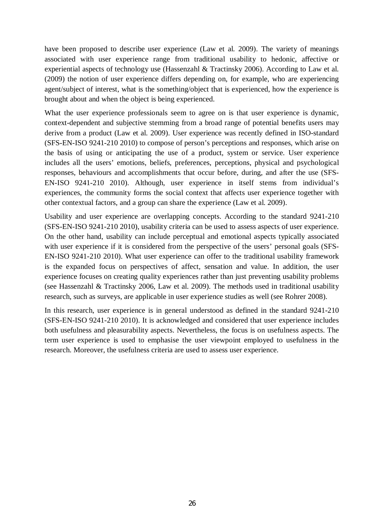have been proposed to describe user experience (Law et al. 2009). The variety of meanings associated with user experience range from traditional usability to hedonic, affective or experiential aspects of technology use (Hassenzahl & Tractinsky 2006). According to Law et al. (2009) the notion of user experience differs depending on, for example, who are experiencing agent/subject of interest, what is the something/object that is experienced, how the experience is brought about and when the object is being experienced.

What the user experience professionals seem to agree on is that user experience is dynamic, context-dependent and subjective stemming from a broad range of potential benefits users may derive from a product (Law et al. 2009). User experience was recently defined in ISO-standard (SFS-EN-ISO 9241-210 2010) to compose of person's perceptions and responses, which arise on the basis of using or anticipating the use of a product, system or service. User experience includes all the users' emotions, beliefs, preferences, perceptions, physical and psychological responses, behaviours and accomplishments that occur before, during, and after the use (SFS-EN-ISO 9241-210 2010). Although, user experience in itself stems from individual's experiences, the community forms the social context that affects user experience together with other contextual factors, and a group can share the experience (Law et al. 2009).

Usability and user experience are overlapping concepts. According to the standard 9241-210 (SFS-EN-ISO 9241-210 2010), usability criteria can be used to assess aspects of user experience. On the other hand, usability can include perceptual and emotional aspects typically associated with user experience if it is considered from the perspective of the users' personal goals (SFS-EN-ISO 9241-210 2010). What user experience can offer to the traditional usability framework is the expanded focus on perspectives of affect, sensation and value. In addition, the user experience focuses on creating quality experiences rather than just preventing usability problems (see Hassenzahl & Tractinsky 2006, Law et al. 2009). The methods used in traditional usability research, such as surveys, are applicable in user experience studies as well (see Rohrer 2008).

In this research, user experience is in general understood as defined in the standard 9241-210 (SFS-EN-ISO 9241-210 2010). It is acknowledged and considered that user experience includes both usefulness and pleasurability aspects. Nevertheless, the focus is on usefulness aspects. The term user experience is used to emphasise the user viewpoint employed to usefulness in the research. Moreover, the usefulness criteria are used to assess user experience.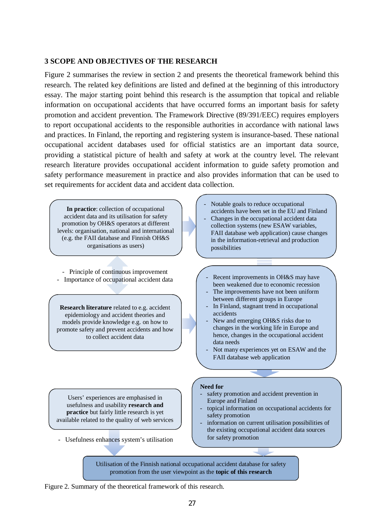### **3 SCOPE AND OBJECTIVES OF THE RESEARCH**

Figure 2 summarises the review in section 2 and presents the theoretical framework behind this research. The related key definitions are listed and defined at the beginning of this introductory essay. The major starting point behind this research is the assumption that topical and reliable information on occupational accidents that have occurred forms an important basis for safety promotion and accident prevention. The Framework Directive (89/391/EEC) requires employers to report occupational accidents to the responsible authorities in accordance with national laws and practices. In Finland, the reporting and registering system is insurance-based. These national occupational accident databases used for official statistics are an important data source, providing a statistical picture of health and safety at work at the country level. The relevant research literature provides occupational accident information to guide safety promotion and safety performance measurement in practice and also provides information that can be used to set requirements for accident data and accident data collection.

**In practice**: collection of occupational accident data and its utilisation for safety promotion by OH&S operators at different levels: organisation, national and international (e.g. the FAII database and Finnish OH&S organisations as users)

- Principle of continuous improvement

**Research literature** related to e.g. accident epidemiology and accident theories and models provide knowledge e.g. on how to promote safety and prevent accidents and how to collect accident data

Users' experiences are emphasised in usefulness and usability **research and practice** but fairly little research is yet available related to the quality of web services

- Usefulness enhances system's utilisation

- Notable goals to reduce occupational accidents have been set in the EU and Finland Changes in the occupational accident data collection systems (new ESAW variables, FAII database web application) cause changes in the information-retrieval and production possibilities
- Importance of occupational accident data  $\left( -\right)$  Recent improvements in OH&S may have been weakened due to economic recession
	- The improvements have not been uniform between different groups in Europe
	- In Finland, stagnant trend in occupational accidents
	- New and emerging OH&S risks due to changes in the working life in Europe and hence, changes in the occupational accident data needs
	- Not many experiences yet on ESAW and the FAII database web application

#### **Need for**

- safety promotion and accident prevention in Europe and Finland
- topical information on occupational accidents for safety promotion
- information on current utilisation possibilities of the existing occupational accident data sources for safety promotion

Utilisation of the Finnish national occupational accident database for safety promotion from the user viewpoint as the **topic of this research**

Figure 2. Summary of the theoretical framework of this research.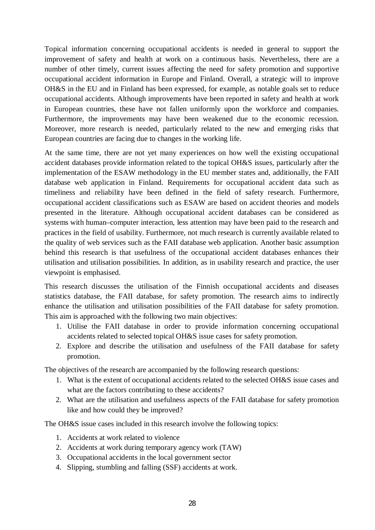Topical information concerning occupational accidents is needed in general to support the improvement of safety and health at work on a continuous basis. Nevertheless, there are a number of other timely, current issues affecting the need for safety promotion and supportive occupational accident information in Europe and Finland. Overall, a strategic will to improve OH&S in the EU and in Finland has been expressed, for example, as notable goals set to reduce occupational accidents. Although improvements have been reported in safety and health at work in European countries, these have not fallen uniformly upon the workforce and companies. Furthermore, the improvements may have been weakened due to the economic recession. Moreover, more research is needed, particularly related to the new and emerging risks that European countries are facing due to changes in the working life.

At the same time, there are not yet many experiences on how well the existing occupational accident databases provide information related to the topical OH&S issues, particularly after the implementation of the ESAW methodology in the EU member states and, additionally, the FAII database web application in Finland. Requirements for occupational accident data such as timeliness and reliability have been defined in the field of safety research. Furthermore, occupational accident classifications such as ESAW are based on accident theories and models presented in the literature. Although occupational accident databases can be considered as systems with human–computer interaction, less attention may have been paid to the research and practices in the field of usability. Furthermore, not much research is currently available related to the quality of web services such as the FAII database web application. Another basic assumption behind this research is that usefulness of the occupational accident databases enhances their utilisation and utilisation possibilities. In addition, as in usability research and practice, the user viewpoint is emphasised.

This research discusses the utilisation of the Finnish occupational accidents and diseases statistics database, the FAII database, for safety promotion. The research aims to indirectly enhance the utilisation and utilisation possibilities of the FAII database for safety promotion. This aim is approached with the following two main objectives:

- 1. Utilise the FAII database in order to provide information concerning occupational accidents related to selected topical OH&S issue cases for safety promotion.
- 2. Explore and describe the utilisation and usefulness of the FAII database for safety promotion.

The objectives of the research are accompanied by the following research questions:

- 1. What is the extent of occupational accidents related to the selected OH&S issue cases and what are the factors contributing to these accidents?
- 2. What are the utilisation and usefulness aspects of the FAII database for safety promotion like and how could they be improved?

The OH&S issue cases included in this research involve the following topics:

- 1. Accidents at work related to violence
- 2. Accidents at work during temporary agency work (TAW)
- 3. Occupational accidents in the local government sector
- 4. Slipping, stumbling and falling (SSF) accidents at work.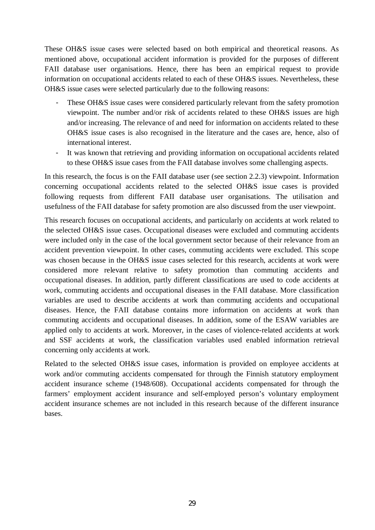These OH&S issue cases were selected based on both empirical and theoretical reasons. As mentioned above, occupational accident information is provided for the purposes of different FAII database user organisations. Hence, there has been an empirical request to provide information on occupational accidents related to each of these OH&S issues. Nevertheless, these OH&S issue cases were selected particularly due to the following reasons:

- These OH&S issue cases were considered particularly relevant from the safety promotion viewpoint. The number and/or risk of accidents related to these OH&S issues are high and/or increasing. The relevance of and need for information on accidents related to these OH&S issue cases is also recognised in the literature and the cases are, hence, also of international interest.
- It was known that retrieving and providing information on occupational accidents related to these OH&S issue cases from the FAII database involves some challenging aspects.

In this research, the focus is on the FAII database user (see section 2.2.3) viewpoint. Information concerning occupational accidents related to the selected OH&S issue cases is provided following requests from different FAII database user organisations. The utilisation and usefulness of the FAII database for safety promotion are also discussed from the user viewpoint.

This research focuses on occupational accidents, and particularly on accidents at work related to the selected OH&S issue cases. Occupational diseases were excluded and commuting accidents were included only in the case of the local government sector because of their relevance from an accident prevention viewpoint. In other cases, commuting accidents were excluded. This scope was chosen because in the OH&S issue cases selected for this research, accidents at work were considered more relevant relative to safety promotion than commuting accidents and occupational diseases. In addition, partly different classifications are used to code accidents at work, commuting accidents and occupational diseases in the FAII database. More classification variables are used to describe accidents at work than commuting accidents and occupational diseases. Hence, the FAII database contains more information on accidents at work than commuting accidents and occupational diseases. In addition, some of the ESAW variables are applied only to accidents at work. Moreover, in the cases of violence-related accidents at work and SSF accidents at work, the classification variables used enabled information retrieval concerning only accidents at work.

Related to the selected OH&S issue cases, information is provided on employee accidents at work and/or commuting accidents compensated for through the Finnish statutory employment accident insurance scheme (1948/608). Occupational accidents compensated for through the farmers' employment accident insurance and self-employed person's voluntary employment accident insurance schemes are not included in this research because of the different insurance bases.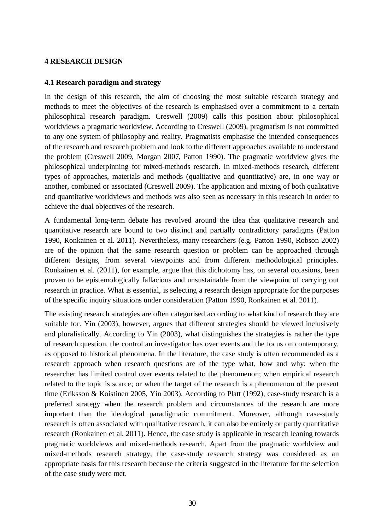### **4 RESEARCH DESIGN**

#### **4.1 Research paradigm and strategy**

In the design of this research, the aim of choosing the most suitable research strategy and methods to meet the objectives of the research is emphasised over a commitment to a certain philosophical research paradigm. Creswell (2009) calls this position about philosophical worldviews a pragmatic worldview. According to Creswell (2009), pragmatism is not committed to any one system of philosophy and reality. Pragmatists emphasise the intended consequences of the research and research problem and look to the different approaches available to understand the problem (Creswell 2009, Morgan 2007, Patton 1990). The pragmatic worldview gives the philosophical underpinning for mixed-methods research. In mixed-methods research, different types of approaches, materials and methods (qualitative and quantitative) are, in one way or another, combined or associated (Creswell 2009). The application and mixing of both qualitative and quantitative worldviews and methods was also seen as necessary in this research in order to achieve the dual objectives of the research.

A fundamental long-term debate has revolved around the idea that qualitative research and quantitative research are bound to two distinct and partially contradictory paradigms (Patton 1990, Ronkainen et al. 2011). Nevertheless, many researchers (e.g. Patton 1990, Robson 2002) are of the opinion that the same research question or problem can be approached through different designs, from several viewpoints and from different methodological principles. Ronkainen et al. (2011), for example, argue that this dichotomy has, on several occasions, been proven to be epistemologically fallacious and unsustainable from the viewpoint of carrying out research in practice. What is essential, is selecting a research design appropriate for the purposes of the specific inquiry situations under consideration (Patton 1990, Ronkainen et al. 2011).

The existing research strategies are often categorised according to what kind of research they are suitable for. Yin (2003), however, argues that different strategies should be viewed inclusively and pluralistically. According to Yin (2003), what distinguishes the strategies is rather the type of research question, the control an investigator has over events and the focus on contemporary, as opposed to historical phenomena. In the literature, the case study is often recommended as a research approach when research questions are of the type what, how and why; when the researcher has limited control over events related to the phenomenon; when empirical research related to the topic is scarce; or when the target of the research is a phenomenon of the present time (Eriksson & Koistinen 2005, Yin 2003). According to Platt (1992), case-study research is a preferred strategy when the research problem and circumstances of the research are more important than the ideological paradigmatic commitment. Moreover, although case-study research is often associated with qualitative research, it can also be entirely or partly quantitative research (Ronkainen et al. 2011). Hence, the case study is applicable in research leaning towards pragmatic worldviews and mixed-methods research. Apart from the pragmatic worldview and mixed-methods research strategy, the case-study research strategy was considered as an appropriate basis for this research because the criteria suggested in the literature for the selection of the case study were met.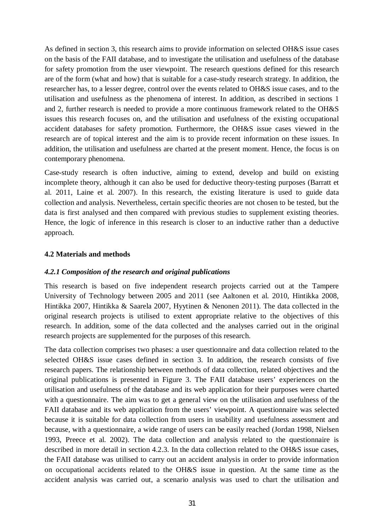As defined in section 3, this research aims to provide information on selected OH&S issue cases on the basis of the FAII database, and to investigate the utilisation and usefulness of the database for safety promotion from the user viewpoint. The research questions defined for this research are of the form (what and how) that is suitable for a case-study research strategy. In addition, the researcher has, to a lesser degree, control over the events related to OH&S issue cases, and to the utilisation and usefulness as the phenomena of interest. In addition, as described in sections 1 and 2, further research is needed to provide a more continuous framework related to the OH&S issues this research focuses on, and the utilisation and usefulness of the existing occupational accident databases for safety promotion. Furthermore, the OH&S issue cases viewed in the research are of topical interest and the aim is to provide recent information on these issues. In addition, the utilisation and usefulness are charted at the present moment. Hence, the focus is on contemporary phenomena.

Case-study research is often inductive, aiming to extend, develop and build on existing incomplete theory, although it can also be used for deductive theory-testing purposes (Barratt et al. 2011, Laine et al. 2007). In this research, the existing literature is used to guide data collection and analysis. Nevertheless, certain specific theories are not chosen to be tested, but the data is first analysed and then compared with previous studies to supplement existing theories. Hence, the logic of inference in this research is closer to an inductive rather than a deductive approach.

# **4.2 Materials and methods**

### *4.2.1 Composition of the research and original publications*

This research is based on five independent research projects carried out at the Tampere University of Technology between 2005 and 2011 (see Aaltonen et al. 2010, Hintikka 2008, Hintikka 2007, Hintikka & Saarela 2007, Hyytinen & Nenonen 2011). The data collected in the original research projects is utilised to extent appropriate relative to the objectives of this research. In addition, some of the data collected and the analyses carried out in the original research projects are supplemented for the purposes of this research.

The data collection comprises two phases: a user questionnaire and data collection related to the selected OH&S issue cases defined in section 3. In addition, the research consists of five research papers. The relationship between methods of data collection, related objectives and the original publications is presented in Figure 3. The FAII database users' experiences on the utilisation and usefulness of the database and its web application for their purposes were charted with a questionnaire. The aim was to get a general view on the utilisation and usefulness of the FAII database and its web application from the users' viewpoint. A questionnaire was selected because it is suitable for data collection from users in usability and usefulness assessment and because, with a questionnaire, a wide range of users can be easily reached (Jordan 1998, Nielsen 1993, Preece et al. 2002). The data collection and analysis related to the questionnaire is described in more detail in section 4.2.3. In the data collection related to the OH&S issue cases, the FAII database was utilised to carry out an accident analysis in order to provide information on occupational accidents related to the OH&S issue in question. At the same time as the accident analysis was carried out, a scenario analysis was used to chart the utilisation and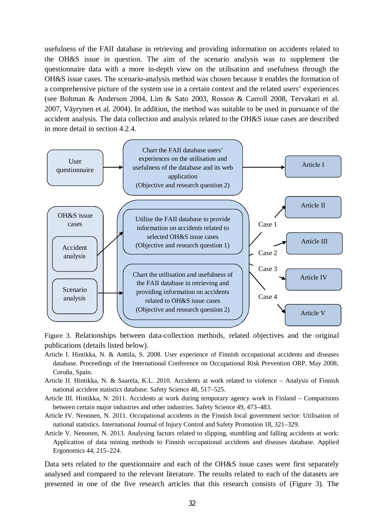usefulness of the FAII database in retrieving and providing information on accidents related to the OH&S issue in question. The aim of the scenario analysis was to supplement the questionnaire data with a more in-depth view on the utilisation and usefulness through the OH&S issue cases. The scenario-analysis method was chosen because it enables the formation of a comprehensive picture of the system use in a certain context and the related users' experiences (see Bohman & Anderson 2004, Lim & Sato 2003, Rosson & Carroll 2008, Tervakari et al. 2007, Väyrynen et al. 2004). In addition, the method was suitable to be used in pursuance of the accident analysis. The data collection and analysis related to the OH&S issue cases are described in more detail in section 4.2.4.



Figure 3. Relationships between data-collection methods, related objectives and the original publications (details listed below).

- Article I. Hintikka, N. & Anttila, S. 2008. User experience of Finnish occupational accidents and diseases database. Proceedings of the International Conference on Occupational Risk Prevention ORP, May 2008, Coruña, Spain.
- Article II. Hintikka, N. & Saarela, K.L. 2010. Accidents at work related to violence Analysis of Finnish national accident statistics database. Safety Science 48, 517–525.
- Article III. Hintikka, N. 2011. Accidents at work during temporary agency work in Finland Comparisons between certain major industries and other industries. Safety Science 49, 473–483.
- Article IV. Nenonen, N. 2011. Occupational accidents in the Finnish local government sector: Utilisation of national statistics. International Journal of Injury Control and Safety Promotion 18, 321–329.
- Article V. Nenonen, N. 2013. Analysing factors related to slipping, stumbling and falling accidents at work: Application of data mining methods to Finnish occupational accidents and diseases database. Applied Ergonomics 44, 215–224.

Data sets related to the questionnaire and each of the OH&S issue cases were first separately analysed and compared to the relevant literature. The results related to each of the datasets are presented in one of the five research articles that this research consists of (Figure 3). The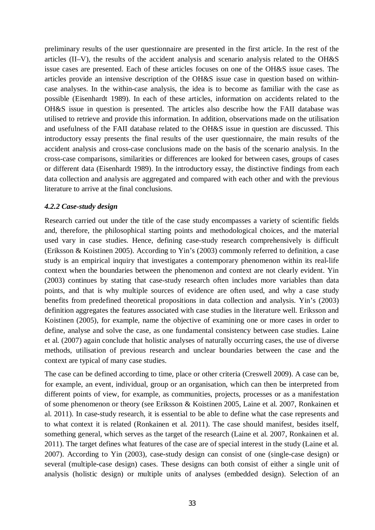preliminary results of the user questionnaire are presented in the first article. In the rest of the articles (II–V), the results of the accident analysis and scenario analysis related to the OH&S issue cases are presented. Each of these articles focuses on one of the OH&S issue cases. The articles provide an intensive description of the OH&S issue case in question based on withincase analyses. In the within-case analysis, the idea is to become as familiar with the case as possible (Eisenhardt 1989). In each of these articles, information on accidents related to the OH&S issue in question is presented. The articles also describe how the FAII database was utilised to retrieve and provide this information. In addition, observations made on the utilisation and usefulness of the FAII database related to the OH&S issue in question are discussed. This introductory essay presents the final results of the user questionnaire, the main results of the accident analysis and cross-case conclusions made on the basis of the scenario analysis. In the cross-case comparisons, similarities or differences are looked for between cases, groups of cases or different data (Eisenhardt 1989). In the introductory essay, the distinctive findings from each data collection and analysis are aggregated and compared with each other and with the previous literature to arrive at the final conclusions.

# *4.2.2 Case-study design*

Research carried out under the title of the case study encompasses a variety of scientific fields and, therefore, the philosophical starting points and methodological choices, and the material used vary in case studies. Hence, defining case-study research comprehensively is difficult (Eriksson & Koistinen 2005). According to Yin's (2003) commonly referred to definition, a case study is an empirical inquiry that investigates a contemporary phenomenon within its real-life context when the boundaries between the phenomenon and context are not clearly evident. Yin (2003) continues by stating that case-study research often includes more variables than data points, and that is why multiple sources of evidence are often used, and why a case study benefits from predefined theoretical propositions in data collection and analysis. Yin's (2003) definition aggregates the features associated with case studies in the literature well. Eriksson and Koistinen (2005), for example, name the objective of examining one or more cases in order to define, analyse and solve the case, as one fundamental consistency between case studies. Laine et al. (2007) again conclude that holistic analyses of naturally occurring cases, the use of diverse methods, utilisation of previous research and unclear boundaries between the case and the context are typical of many case studies.

The case can be defined according to time, place or other criteria (Creswell 2009). A case can be, for example, an event, individual, group or an organisation, which can then be interpreted from different points of view, for example, as communities, projects, processes or as a manifestation of some phenomenon or theory (see Eriksson & Koistinen 2005, Laine et al. 2007, Ronkainen et al. 2011). In case-study research, it is essential to be able to define what the case represents and to what context it is related (Ronkainen et al. 2011). The case should manifest, besides itself, something general, which serves as the target of the research (Laine et al. 2007, Ronkainen et al. 2011). The target defines what features of the case are of special interest in the study (Laine et al. 2007). According to Yin (2003), case-study design can consist of one (single-case design) or several (multiple-case design) cases. These designs can both consist of either a single unit of analysis (holistic design) or multiple units of analyses (embedded design). Selection of an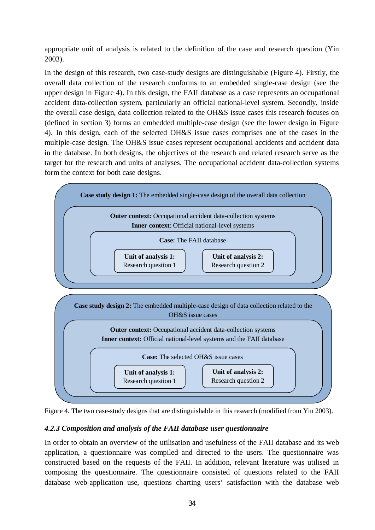appropriate unit of analysis is related to the definition of the case and research question (Yin 2003).

In the design of this research, two case-study designs are distinguishable (Figure 4). Firstly, the overall data collection of the research conforms to an embedded single-case design (see the upper design in Figure 4). In this design, the FAII database as a case represents an occupational accident data-collection system, particularly an official national-level system. Secondly, inside the overall case design, data collection related to the OH&S issue cases this research focuses on (defined in section 3) forms an embedded multiple-case design (see the lower design in Figure 4). In this design, each of the selected OH&S issue cases comprises one of the cases in the multiple-case design. The OH&S issue cases represent occupational accidents and accident data in the database. In both designs, the objectives of the research and related research serve as the target for the research and units of analyses. The occupational accident data-collection systems form the context for both case designs.





# *4.2.3 Composition and analysis of the FAII database user questionnaire*

In order to obtain an overview of the utilisation and usefulness of the FAII database and its web application, a questionnaire was compiled and directed to the users. The questionnaire was constructed based on the requests of the FAII. In addition, relevant literature was utilised in composing the questionnaire. The questionnaire consisted of questions related to the FAII database web-application use, questions charting users' satisfaction with the database web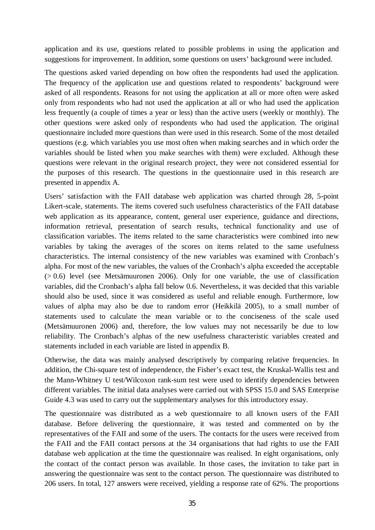application and its use, questions related to possible problems in using the application and suggestions for improvement. In addition, some questions on users' background were included.

The questions asked varied depending on how often the respondents had used the application. The frequency of the application use and questions related to respondents' background were asked of all respondents. Reasons for not using the application at all or more often were asked only from respondents who had not used the application at all or who had used the application less frequently (a couple of times a year or less) than the active users (weekly or monthly). The other questions were asked only of respondents who had used the application. The original questionnaire included more questions than were used in this research. Some of the most detailed questions (e.g. which variables you use most often when making searches and in which order the variables should be listed when you make searches with them) were excluded. Although these questions were relevant in the original research project, they were not considered essential for the purposes of this research. The questions in the questionnaire used in this research are presented in appendix A.

Users' satisfaction with the FAII database web application was charted through 28, 5-point Likert-scale, statements. The items covered such usefulness characteristics of the FAII database web application as its appearance, content, general user experience, guidance and directions, information retrieval, presentation of search results, technical functionality and use of classification variables. The items related to the same characteristics were combined into new variables by taking the averages of the scores on items related to the same usefulness characteristics. The internal consistency of the new variables was examined with Cronbach's alpha. For most of the new variables, the values of the Cronbach's alpha exceeded the acceptable  $(> 0.6)$  level (see Metsämuuronen 2006). Only for one variable, the use of classification variables, did the Cronbach's alpha fall below 0.6. Nevertheless, it was decided that this variable should also be used, since it was considered as useful and reliable enough. Furthermore, low values of alpha may also be due to random error (Heikkilä 2005), to a small number of statements used to calculate the mean variable or to the conciseness of the scale used (Metsämuuronen 2006) and, therefore, the low values may not necessarily be due to low reliability. The Cronbach's alphas of the new usefulness characteristic variables created and statements included in each variable are listed in appendix B.

Otherwise, the data was mainly analysed descriptively by comparing relative frequencies. In addition, the Chi-square test of independence, the Fisher's exact test, the Kruskal-Wallis test and the Mann-Whitney U test/Wilcoxon rank-sum test were used to identify dependencies between different variables. The initial data analyses were carried out with SPSS 15.0 and SAS Enterprise Guide 4.3 was used to carry out the supplementary analyses for this introductory essay.

The questionnaire was distributed as a web questionnaire to all known users of the FAII database. Before delivering the questionnaire, it was tested and commented on by the representatives of the FAII and some of the users. The contacts for the users were received from the FAII and the FAII contact persons at the 34 organisations that had rights to use the FAII database web application at the time the questionnaire was realised. In eight organisations, only the contact of the contact person was available. In those cases, the invitation to take part in answering the questionnaire was sent to the contact person. The questionnaire was distributed to 206 users. In total, 127 answers were received, yielding a response rate of 62%. The proportions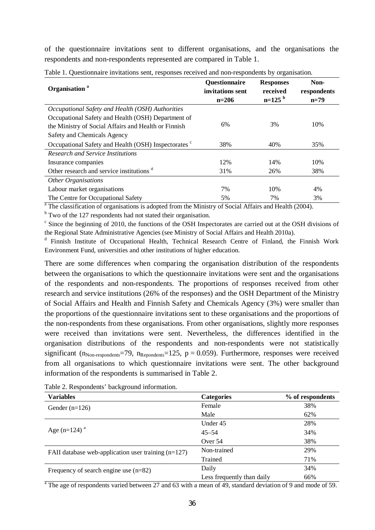of the questionnaire invitations sent to different organisations, and the organisations the respondents and non-respondents represented are compared in Table 1.

| Organisation <sup>a</sup>                                       | <b>Questionnaire</b><br>invitations sent<br>$n=206$ | <b>Responses</b><br>received<br>$n=125^{b}$ | Non-<br>respondents<br>$n=79$ |
|-----------------------------------------------------------------|-----------------------------------------------------|---------------------------------------------|-------------------------------|
| Occupational Safety and Health (OSH) Authorities                |                                                     |                                             |                               |
| Occupational Safety and Health (OSH) Department of              |                                                     |                                             |                               |
| the Ministry of Social Affairs and Health or Finnish            | 6%                                                  | 3%                                          | 10%                           |
| Safety and Chemicals Agency                                     |                                                     |                                             |                               |
| Occupational Safety and Health (OSH) Inspectorates <sup>c</sup> | 38%                                                 | 40%                                         | 35%                           |
| Research and Service Institutions                               |                                                     |                                             |                               |
| Insurance companies                                             | 12%                                                 | 14%                                         | 10%                           |
| Other research and service institutions <sup>d</sup>            | 31%                                                 | 26%                                         | 38%                           |
| <b>Other Organisations</b>                                      |                                                     |                                             |                               |
| Labour market organisations                                     | 7%                                                  | 10%                                         | 4%                            |
| The Centre for Occupational Safety                              | 5%                                                  | 7%                                          | 3%                            |

Table 1. Questionnaire invitations sent, responses received and non-respondents by organisation.

<sup>a</sup> The classification of organisations is adopted from the Ministry of Social Affairs and Health (2004).

<sup>b</sup> Two of the 127 respondents had not stated their organisation.

<sup>c</sup> Since the beginning of 2010, the functions of the OSH Inspectorates are carried out at the OSH divisions of the Regional State Administrative Agencies (see Ministry of Social Affairs and Health 2010a).

<sup>d</sup> Finnish Institute of Occupational Health, Technical Research Centre of Finland, the Finnish Work Environment Fund, universities and other institutions of higher education.

There are some differences when comparing the organisation distribution of the respondents between the organisations to which the questionnaire invitations were sent and the organisations of the respondents and non-respondents. The proportions of responses received from other research and service institutions (26% of the responses) and the OSH Department of the Ministry of Social Affairs and Health and Finnish Safety and Chemicals Agency (3%) were smaller than the proportions of the questionnaire invitations sent to these organisations and the proportions of the non-respondents from these organisations. From other organisations, slightly more responses were received than invitations were sent. Nevertheless, the differences identified in the organisation distributions of the respondents and non-respondents were not statistically significant ( $n_{\text{Non-resonedents}}$ =79,  $n_{\text{Renodents}}$ =125,  $p = 0.059$ ). Furthermore, responses were received from all organisations to which questionnaire invitations were sent. The other background information of the respondents is summarised in Table 2.

| <b>Variables</b>                                      | <b>Categories</b>          | % of respondents |
|-------------------------------------------------------|----------------------------|------------------|
| Gender $(n=126)$                                      | Female                     | 38%              |
|                                                       | Male                       | 62%              |
|                                                       | Under 45                   | 28%              |
| Age (n=124) $^{\rm a}$                                | $45 - 54$                  | 34%              |
|                                                       | Over 54                    | 38%              |
| FAII database web-application user training $(n=127)$ | Non-trained                | 29%              |
|                                                       | Trained                    | 71%              |
| Frequency of search engine use $(n=82)$               | Daily                      | 34%              |
|                                                       | Less frequently than daily | 66%              |

Table 2. Respondents' background information.

 $\overline{a}$  The age of respondents varied between 27 and 63 with a mean of 49, standard deviation of 9 and mode of 59.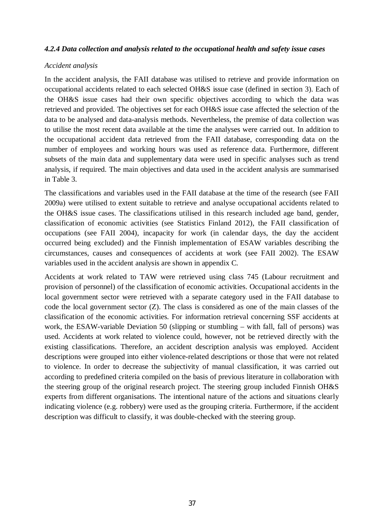### *4.2.4 Data collection and analysis related to the occupational health and safety issue cases*

#### *Accident analysis*

In the accident analysis, the FAII database was utilised to retrieve and provide information on occupational accidents related to each selected OH&S issue case (defined in section 3). Each of the OH&S issue cases had their own specific objectives according to which the data was retrieved and provided. The objectives set for each OH&S issue case affected the selection of the data to be analysed and data-analysis methods. Nevertheless, the premise of data collection was to utilise the most recent data available at the time the analyses were carried out. In addition to the occupational accident data retrieved from the FAII database, corresponding data on the number of employees and working hours was used as reference data. Furthermore, different subsets of the main data and supplementary data were used in specific analyses such as trend analysis, if required. The main objectives and data used in the accident analysis are summarised in Table 3.

The classifications and variables used in the FAII database at the time of the research (see FAII 2009a) were utilised to extent suitable to retrieve and analyse occupational accidents related to the OH&S issue cases. The classifications utilised in this research included age band, gender, classification of economic activities (see Statistics Finland 2012), the FAII classification of occupations (see FAII 2004), incapacity for work (in calendar days, the day the accident occurred being excluded) and the Finnish implementation of ESAW variables describing the circumstances, causes and consequences of accidents at work (see FAII 2002). The ESAW variables used in the accident analysis are shown in appendix C.

Accidents at work related to TAW were retrieved using class 745 (Labour recruitment and provision of personnel) of the classification of economic activities. Occupational accidents in the local government sector were retrieved with a separate category used in the FAII database to code the local government sector (Z). The class is considered as one of the main classes of the classification of the economic activities. For information retrieval concerning SSF accidents at work, the ESAW-variable Deviation 50 (slipping or stumbling – with fall, fall of persons) was used. Accidents at work related to violence could, however, not be retrieved directly with the existing classifications. Therefore, an accident description analysis was employed. Accident descriptions were grouped into either violence-related descriptions or those that were not related to violence. In order to decrease the subjectivity of manual classification, it was carried out according to predefined criteria compiled on the basis of previous literature in collaboration with the steering group of the original research project. The steering group included Finnish OH&S experts from different organisations. The intentional nature of the actions and situations clearly indicating violence (e.g. robbery) were used as the grouping criteria. Furthermore, if the accident description was difficult to classify, it was double-checked with the steering group.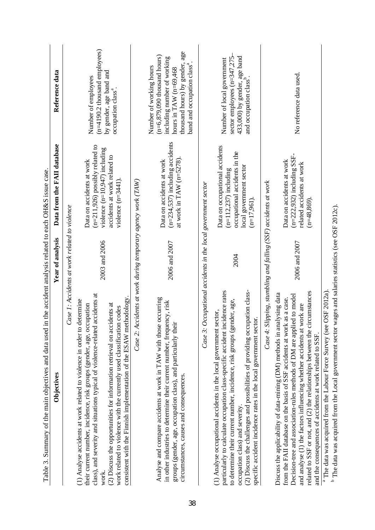| Table 3. Summary of the main objectives and data used                                                                                                                                                                                                                                                                                                                                                                                               |                                                       | in the accident analysis related to each OH&S issue case.                                                                               |                                                                                                                                                                                                      |
|-----------------------------------------------------------------------------------------------------------------------------------------------------------------------------------------------------------------------------------------------------------------------------------------------------------------------------------------------------------------------------------------------------------------------------------------------------|-------------------------------------------------------|-----------------------------------------------------------------------------------------------------------------------------------------|------------------------------------------------------------------------------------------------------------------------------------------------------------------------------------------------------|
| Objectives                                                                                                                                                                                                                                                                                                                                                                                                                                          | Year of analysis                                      | Data from the FAII database                                                                                                             | Reference data                                                                                                                                                                                       |
|                                                                                                                                                                                                                                                                                                                                                                                                                                                     | Case 1: Accidents at work related to violence         |                                                                                                                                         |                                                                                                                                                                                                      |
| accidents at<br>(1) Analyse accidents at work related to violence in order to determine<br>their current number, incidence, risk groups (gender, age, occupation<br>class), and severity and situations typical of violence-related<br>work                                                                                                                                                                                                         | 2003 and 2006                                         | $(n=211,926)$ possibly related to<br>violence $(n=10, 947)$ including<br>Data on accidents at work                                      | $(n=4190.2)$ thousand employees)<br>Number of employees                                                                                                                                              |
| consistent with the Finnish implementation of the ESAW methodology.<br>(2) Discuss the opportunities for information retrieval on accidents at<br>work related to violence with the currently used classification codes                                                                                                                                                                                                                             |                                                       | accidents at work related to<br>violence $(n=3441)$ .                                                                                   | by gender, age band and<br>occupation class <sup>a</sup> .                                                                                                                                           |
| Case 2: Accidents at work during temporary agency work (TAW)                                                                                                                                                                                                                                                                                                                                                                                        |                                                       |                                                                                                                                         |                                                                                                                                                                                                      |
| Analyse and compare accidents at work in TAW with those occurring<br>in other industries to determine their current number, frequency, risk<br>groups (gender, age, occupation class), and particularly their<br>circumstances, causes and consequences.                                                                                                                                                                                            | 2006 and 2007                                         | $(n=234,537)$ including accidents<br>at work in TAW $(n=5278)$ .<br>Data on accidents at work                                           | thousand hours) by gender, age<br>$(n=6,879,090)$ thousand hours)<br>including number of working<br>band and occupation class <sup>a</sup> .<br>Number of working hours<br>hours in TAW $(n=69,468)$ |
| Case 3:                                                                                                                                                                                                                                                                                                                                                                                                                                             | Occupational accidents in the local government sector |                                                                                                                                         |                                                                                                                                                                                                      |
| (2) Discuss the challenges and possibilities of providing occupation class-<br>particularly to calculate occupation class-specific accident incidence rates<br>to determine their current number, incidence, risk groups (gender, age,<br>(1) Analyse occupational accidents in the local government sector,<br>specific accident incidence rates in the local government sector.<br>occupation class) and severity.                                | 2004                                                  | Data on occupational accidents<br>occupational accidents in the<br>local government sector<br>$(n=112,237)$ including<br>$(n=17,961)$ . | 433,000) by gender, age band<br>and occupation class <sup>b</sup> .<br>sector employees (n=347,275<br>Number of local government                                                                     |
| Case 4: Slipping, stumbling and falling (SSF) accidents at work                                                                                                                                                                                                                                                                                                                                                                                     |                                                       |                                                                                                                                         |                                                                                                                                                                                                      |
| related to SSF or not, and (2) the relationships between the circumstances<br>Discuss the applicability of data-mining (DM) methods in analysing data<br>Decision-tree and association-rules methods of DM are applied to model<br>from the FAII database on the basis of SSF accidents at work as a case.<br>work are<br>and analyse (1) the factors influencing whether accidents at<br>and the consequences of accidents at work related to SSF. | 2006 and 2007                                         | $(n=222,932)$ including SSF-<br>Data on accidents at work<br>related accidents at work<br>$(n=48,869)$                                  | No reference data used.                                                                                                                                                                              |
| <sup>a</sup> The data was acquired from the Labour Force Survey (see OSF 2012a)                                                                                                                                                                                                                                                                                                                                                                     |                                                       |                                                                                                                                         |                                                                                                                                                                                                      |
| <sup>b</sup> The data was acquired from the Local government sector wages and salaries statistics (see OSF 2012c).                                                                                                                                                                                                                                                                                                                                  |                                                       |                                                                                                                                         |                                                                                                                                                                                                      |

The data was acquired from the Local government sector wages and salaries statistics (see OSF 2012c).

38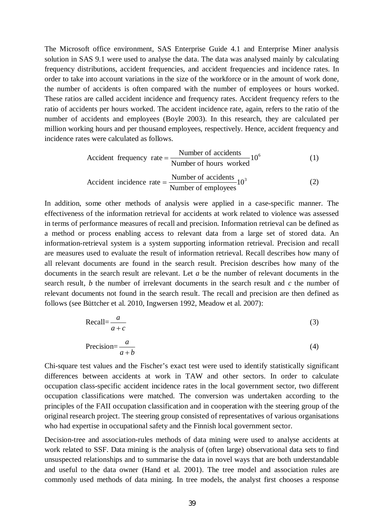The Microsoft office environment, SAS Enterprise Guide 4.1 and Enterprise Miner analysis solution in SAS 9.1 were used to analyse the data. The data was analysed mainly by calculating frequency distributions, accident frequencies, and accident frequencies and incidence rates. In order to take into account variations in the size of the workforce or in the amount of work done, the number of accidents is often compared with the number of employees or hours worked. These ratios are called accident incidence and frequency rates. Accident frequency refers to the ratio of accidents per hours worked. The accident incidence rate, again, refers to the ratio of the number of accidents and employees (Boyle 2003). In this research, they are calculated per million working hours and per thousand employees, respectively. Hence, accident frequency and incidence rates were calculated as follows.

$$
Accident frequency rate = \frac{Number of accidents}{Number of hours worked} 10^6
$$
 (1)

$$
Accident incidence rate = \frac{Number of accidents}{Number of employees} 10^3
$$
 (2)

In addition, some other methods of analysis were applied in a case-specific manner. The effectiveness of the information retrieval for accidents at work related to violence was assessed in terms of performance measures of recall and precision. Information retrieval can be defined as a method or process enabling access to relevant data from a large set of stored data. An information-retrieval system is a system supporting information retrieval. Precision and recall are measures used to evaluate the result of information retrieval. Recall describes how many of all relevant documents are found in the search result. Precision describes how many of the documents in the search result are relevant. Let *a* be the number of relevant documents in the search result, *b* the number of irrelevant documents in the search result and *c* the number of relevant documents not found in the search result. The recall and precision are then defined as follows (see Büttcher et al. 2010, Ingwersen 1992, Meadow et al. 2007):

$$
\text{Recall} = \frac{a}{a+c} \tag{3}
$$

$$
Precision = \frac{a}{a+b}
$$
 (4)

Chi-square test values and the Fischer's exact test were used to identify statistically significant differences between accidents at work in TAW and other sectors. In order to calculate occupation class-specific accident incidence rates in the local government sector, two different occupation classifications were matched. The conversion was undertaken according to the principles of the FAII occupation classification and in cooperation with the steering group of the original research project. The steering group consisted of representatives of various organisations who had expertise in occupational safety and the Finnish local government sector.

Decision-tree and association-rules methods of data mining were used to analyse accidents at work related to SSF. Data mining is the analysis of (often large) observational data sets to find unsuspected relationships and to summarise the data in novel ways that are both understandable and useful to the data owner (Hand et al. 2001). The tree model and association rules are commonly used methods of data mining. In tree models, the analyst first chooses a response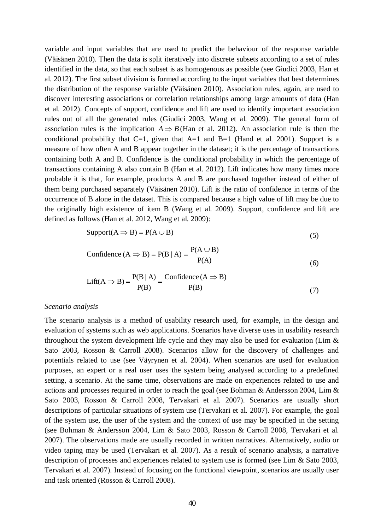variable and input variables that are used to predict the behaviour of the response variable (Väisänen 2010). Then the data is split iteratively into discrete subsets according to a set of rules identified in the data, so that each subset is as homogenous as possible (see Giudici 2003, Han et al. 2012). The first subset division is formed according to the input variables that best determines the distribution of the response variable (Väisänen 2010). Association rules, again, are used to discover interesting associations or correlation relationships among large amounts of data (Han et al. 2012). Concepts of support, confidence and lift are used to identify important association rules out of all the generated rules (Giudici 2003, Wang et al. 2009). The general form of association rules is the implication  $A \Rightarrow B$  (Han et al. 2012). An association rule is then the conditional probability that  $C=1$ , given that  $A=1$  and  $B=1$  (Hand et al. 2001). Support is a measure of how often A and B appear together in the dataset; it is the percentage of transactions containing both A and B. Confidence is the conditional probability in which the percentage of transactions containing A also contain B (Han et al. 2012). Lift indicates how many times more probable it is that, for example, products A and B are purchased together instead of either of them being purchased separately (Väisänen 2010). Lift is the ratio of confidence in terms of the occurrence of B alone in the dataset. This is compared because a high value of lift may be due to the originally high existence of item B (Wang et al. 2009). Support, confidence and lift are defined as follows (Han et al. 2012, Wang et al. 2009):

$$
Support(A \Rightarrow B) = P(A \cup B) \tag{5}
$$

Confidence (A 
$$
\Rightarrow
$$
 B) = P(B | A) = 
$$
\frac{P(A \cup B)}{P(A)}
$$
(6)

$$
Lift(A \Rightarrow B) = \frac{P(B \mid A)}{P(B)} = \frac{Confidence(A \Rightarrow B)}{P(B)}
$$
(7)

#### *Scenario analysis*

The scenario analysis is a method of usability research used, for example, in the design and evaluation of systems such as web applications. Scenarios have diverse uses in usability research throughout the system development life cycle and they may also be used for evaluation (Lim & Sato 2003, Rosson & Carroll 2008). Scenarios allow for the discovery of challenges and potentials related to use (see Väyrynen et al. 2004). When scenarios are used for evaluation purposes, an expert or a real user uses the system being analysed according to a predefined setting, a scenario. At the same time, observations are made on experiences related to use and actions and processes required in order to reach the goal (see Bohman & Andersson 2004, Lim & Sato 2003, Rosson & Carroll 2008, Tervakari et al. 2007). Scenarios are usually short descriptions of particular situations of system use (Tervakari et al. 2007). For example, the goal of the system use, the user of the system and the context of use may be specified in the setting (see Bohman & Andersson 2004, Lim & Sato 2003, Rosson & Carroll 2008, Tervakari et al. 2007). The observations made are usually recorded in written narratives. Alternatively, audio or video taping may be used (Tervakari et al. 2007). As a result of scenario analysis, a narrative description of processes and experiences related to system use is formed (see Lim & Sato 2003, Tervakari et al. 2007). Instead of focusing on the functional viewpoint, scenarios are usually user and task oriented (Rosson & Carroll 2008).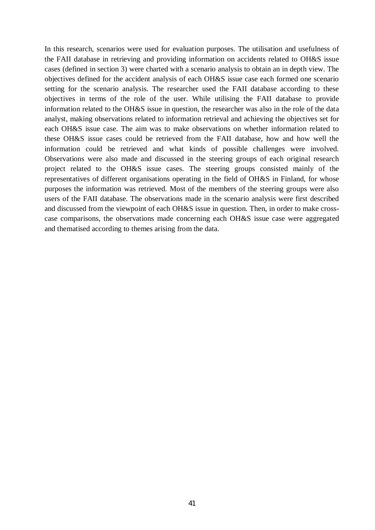In this research, scenarios were used for evaluation purposes. The utilisation and usefulness of the FAII database in retrieving and providing information on accidents related to OH&S issue cases (defined in section 3) were charted with a scenario analysis to obtain an in depth view. The objectives defined for the accident analysis of each OH&S issue case each formed one scenario setting for the scenario analysis. The researcher used the FAII database according to these objectives in terms of the role of the user. While utilising the FAII database to provide information related to the OH&S issue in question, the researcher was also in the role of the data analyst, making observations related to information retrieval and achieving the objectives set for each OH&S issue case. The aim was to make observations on whether information related to these OH&S issue cases could be retrieved from the FAII database, how and how well the information could be retrieved and what kinds of possible challenges were involved. Observations were also made and discussed in the steering groups of each original research project related to the OH&S issue cases. The steering groups consisted mainly of the representatives of different organisations operating in the field of OH&S in Finland, for whose purposes the information was retrieved. Most of the members of the steering groups were also users of the FAII database. The observations made in the scenario analysis were first described and discussed from the viewpoint of each OH&S issue in question. Then, in order to make crosscase comparisons, the observations made concerning each OH&S issue case were aggregated and thematised according to themes arising from the data.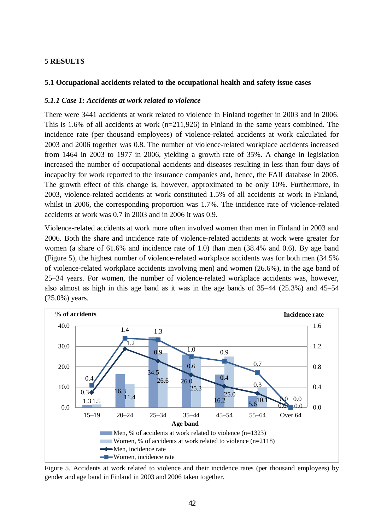# **5 RESULTS**

# **5.1 Occupational accidents related to the occupational health and safety issue cases**

# *5.1.1 Case 1: Accidents at work related to violence*

There were 3441 accidents at work related to violence in Finland together in 2003 and in 2006. This is 1.6% of all accidents at work (n=211,926) in Finland in the same years combined. The incidence rate (per thousand employees) of violence-related accidents at work calculated for 2003 and 2006 together was 0.8. The number of violence-related workplace accidents increased from 1464 in 2003 to 1977 in 2006, yielding a growth rate of 35%. A change in legislation increased the number of occupational accidents and diseases resulting in less than four days of incapacity for work reported to the insurance companies and, hence, the FAII database in 2005. The growth effect of this change is, however, approximated to be only 10%. Furthermore, in 2003, violence-related accidents at work constituted 1.5% of all accidents at work in Finland, whilst in 2006, the corresponding proportion was 1.7%. The incidence rate of violence-related accidents at work was 0.7 in 2003 and in 2006 it was 0.9.

Violence-related accidents at work more often involved women than men in Finland in 2003 and 2006. Both the share and incidence rate of violence-related accidents at work were greater for women (a share of 61.6% and incidence rate of 1.0) than men (38.4% and 0.6). By age band (Figure 5), the highest number of violence-related workplace accidents was for both men (34.5% of violence-related workplace accidents involving men) and women (26.6%), in the age band of 25–34 years. For women, the number of violence-related workplace accidents was, however, also almost as high in this age band as it was in the age bands of 35–44 (25.3%) and 45–54 (25.0%) years.



Figure 5. Accidents at work related to violence and their incidence rates (per thousand employees) by gender and age band in Finland in 2003 and 2006 taken together.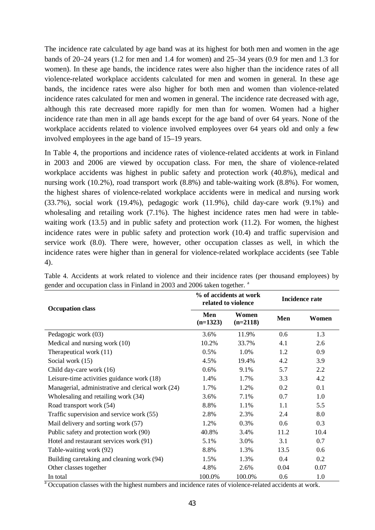The incidence rate calculated by age band was at its highest for both men and women in the age bands of 20–24 years (1.2 for men and 1.4 for women) and 25–34 years (0.9 for men and 1.3 for women). In these age bands, the incidence rates were also higher than the incidence rates of all violence-related workplace accidents calculated for men and women in general. In these age bands, the incidence rates were also higher for both men and women than violence-related incidence rates calculated for men and women in general. The incidence rate decreased with age, although this rate decreased more rapidly for men than for women. Women had a higher incidence rate than men in all age bands except for the age band of over 64 years. None of the workplace accidents related to violence involved employees over 64 years old and only a few involved employees in the age band of 15–19 years.

In Table 4, the proportions and incidence rates of violence-related accidents at work in Finland in 2003 and 2006 are viewed by occupation class. For men, the share of violence-related workplace accidents was highest in public safety and protection work (40.8%), medical and nursing work (10.2%), road transport work (8.8%) and table-waiting work (8.8%). For women, the highest shares of violence-related workplace accidents were in medical and nursing work (33.7%), social work (19.4%), pedagogic work (11.9%), child day-care work (9.1%) and wholesaling and retailing work (7.1%). The highest incidence rates men had were in tablewaiting work (13.5) and in public safety and protection work (11.2). For women, the highest incidence rates were in public safety and protection work (10.4) and traffic supervision and service work (8.0). There were, however, other occupation classes as well, in which the incidence rates were higher than in general for violence-related workplace accidents (see Table 4).

| <b>Occupation class</b>                           |                   | % of accidents at work<br>related to violence | <b>Incidence rate</b> |       |  |
|---------------------------------------------------|-------------------|-----------------------------------------------|-----------------------|-------|--|
|                                                   | Men<br>$(n=1323)$ | Women<br>$(n=2118)$                           | Men                   | Women |  |
| Pedagogic work (03)                               | 3.6%              | 11.9%                                         | 0.6                   | 1.3   |  |
| Medical and nursing work (10)                     | 10.2%             | 33.7%                                         | 4.1                   | 2.6   |  |
| Therapeutical work (11)                           | 0.5%              | 1.0%                                          | 1.2                   | 0.9   |  |
| Social work (15)                                  | 4.5%              | 19.4%                                         | 4.2                   | 3.9   |  |
| Child day-care work (16)                          | 0.6%              | 9.1%                                          | 5.7                   | 2.2   |  |
| Leisure-time activities guidance work (18)        | 1.4%              | 1.7%                                          | 3.3                   | 4.2   |  |
| Managerial, administrative and clerical work (24) | 1.7%              | 1.2%                                          | 0.2                   | 0.1   |  |
| Wholesaling and retailing work (34)               | 3.6%              | 7.1%                                          | 0.7                   | 1.0   |  |
| Road transport work (54)                          | 8.8%              | 1.1%                                          | 1.1                   | 5.5   |  |
| Traffic supervision and service work (55)         | 2.8%              | 2.3%                                          | 2.4                   | 8.0   |  |
| Mail delivery and sorting work (57)               | 1.2%              | 0.3%                                          | 0.6                   | 0.3   |  |
| Public safety and protection work (90)            | 40.8%             | 3.4%                                          | 11.2                  | 10.4  |  |
| Hotel and restaurant services work (91)           | 5.1%              | 3.0%                                          | 3.1                   | 0.7   |  |
| Table-waiting work (92)                           | 8.8%              | 1.3%                                          | 13.5                  | 0.6   |  |
| Building caretaking and cleaning work (94)        | 1.5%              | 1.3%                                          | 0.4                   | 0.2   |  |
| Other classes together                            | 4.8%              | 2.6%                                          | 0.04                  | 0.07  |  |
| In total                                          | 100.0%            | 100.0%                                        | 0.6                   | 1.0   |  |

Table 4. Accidents at work related to violence and their incidence rates (per thousand employees) by gender and occupation class in Finland in 2003 and 2006 taken together.<sup>a</sup>

<sup>a</sup> Occupation classes with the highest numbers and incidence rates of violence-related accidents at work.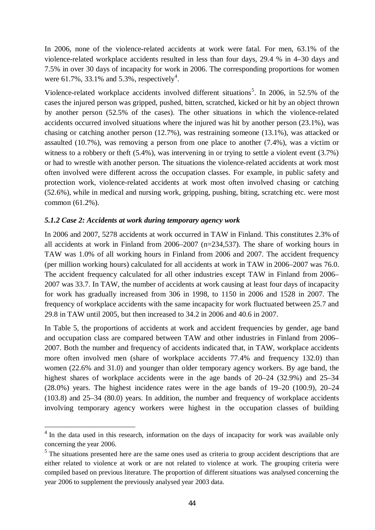In 2006, none of the violence-related accidents at work were fatal. For men, 63.1% of the violence-related workplace accidents resulted in less than four days, 29.4 % in 4–30 days and 7.5% in over 30 days of incapacity for work in 2006. The corresponding proportions for women were 61.7%, 33.1% and 5.3%, respectively<sup>4</sup>.

Violence-related workplace accidents involved different situations<sup>5</sup>. In 2006, in 52.5% of the cases the injured person was gripped, pushed, bitten, scratched, kicked or hit by an object thrown by another person (52.5% of the cases). The other situations in which the violence-related accidents occurred involved situations where the injured was hit by another person (23.1%), was chasing or catching another person (12.7%), was restraining someone (13.1%), was attacked or assaulted (10.7%), was removing a person from one place to another (7.4%), was a victim or witness to a robbery or theft (5.4%), was intervening in or trying to settle a violent event (3.7%) or had to wrestle with another person. The situations the violence-related accidents at work most often involved were different across the occupation classes. For example, in public safety and protection work, violence-related accidents at work most often involved chasing or catching (52.6%), while in medical and nursing work, gripping, pushing, biting, scratching etc. were most common (61.2%).

# *5.1.2 Case 2: Accidents at work during temporary agency work*

l

In 2006 and 2007, 5278 accidents at work occurred in TAW in Finland. This constitutes 2.3% of all accidents at work in Finland from 2006–2007 (n=234,537). The share of working hours in TAW was 1.0% of all working hours in Finland from 2006 and 2007. The accident frequency (per million working hours) calculated for all accidents at work in TAW in 2006–2007 was 76.0. The accident frequency calculated for all other industries except TAW in Finland from 2006– 2007 was 33.7. In TAW, the number of accidents at work causing at least four days of incapacity for work has gradually increased from 306 in 1998, to 1150 in 2006 and 1528 in 2007. The frequency of workplace accidents with the same incapacity for work fluctuated between 25.7 and 29.8 in TAW until 2005, but then increased to 34.2 in 2006 and 40.6 in 2007.

In Table 5, the proportions of accidents at work and accident frequencies by gender, age band and occupation class are compared between TAW and other industries in Finland from 2006– 2007. Both the number and frequency of accidents indicated that, in TAW, workplace accidents more often involved men (share of workplace accidents 77.4% and frequency 132.0) than women (22.6% and 31.0) and younger than older temporary agency workers. By age band, the highest shares of workplace accidents were in the age bands of  $20-24$  (32.9%) and 25–34 (28.0%) years. The highest incidence rates were in the age bands of 19–20 (100.9), 20–24 (103.8) and 25–34 (80.0) years. In addition, the number and frequency of workplace accidents involving temporary agency workers were highest in the occupation classes of building

<sup>&</sup>lt;sup>4</sup> In the data used in this research, information on the days of incapacity for work was available only concerning the year 2006.

 $<sup>5</sup>$  The situations presented here are the same ones used as criteria to group accident descriptions that are</sup> either related to violence at work or are not related to violence at work. The grouping criteria were compiled based on previous literature. The proportion of different situations was analysed concerning the year 2006 to supplement the previously analysed year 2003 data.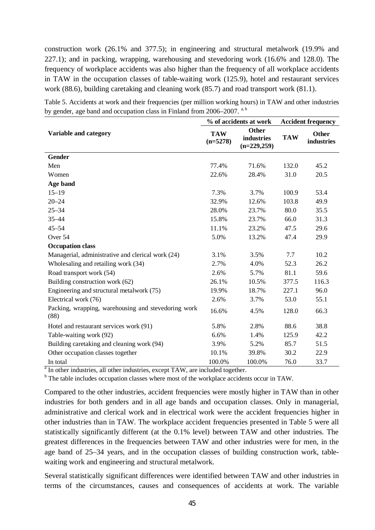construction work (26.1% and 377.5); in engineering and structural metalwork (19.9% and 227.1); and in packing, wrapping, warehousing and stevedoring work (16.6% and 128.0). The frequency of workplace accidents was also higher than the frequency of all workplace accidents in TAW in the occupation classes of table-waiting work (125.9), hotel and restaurant services work (88.6), building caretaking and cleaning work (85.7) and road transport work (81.1).

| Variable and category                                                                                    | <b>TAW</b> | <b>Other</b> | ∩thar                                     |
|----------------------------------------------------------------------------------------------------------|------------|--------------|-------------------------------------------|
|                                                                                                          |            |              | % of accidents at work Accident frequency |
| by gender, age band and occupation class in Finland from 2006–2007. <sup>a, b</sup>                      |            |              |                                           |
| Table 5. Accidents at work and their frequencies (per million working hours) in TAW and other industries |            |              |                                           |

| Variable and category                                       | <b>TAW</b><br>$(n=5278)$ | Other<br>industries<br>$(n=229,259)$ | <b>TAW</b> | <b>Other</b><br>industries |
|-------------------------------------------------------------|--------------------------|--------------------------------------|------------|----------------------------|
| <b>Gender</b>                                               |                          |                                      |            |                            |
| Men                                                         | 77.4%                    | 71.6%                                | 132.0      | 45.2                       |
| Women                                                       | 22.6%                    | 28.4%                                | 31.0       | 20.5                       |
| Age band                                                    |                          |                                      |            |                            |
| $15 - 19$                                                   | 7.3%                     | 3.7%                                 | 100.9      | 53.4                       |
| $20 - 24$                                                   | 32.9%                    | 12.6%                                | 103.8      | 49.9                       |
| $25 - 34$                                                   | 28.0%                    | 23.7%                                | 80.0       | 35.5                       |
| $35 - 44$                                                   | 15.8%                    | 23.7%                                | 66.0       | 31.3                       |
| $45 - 54$                                                   | 11.1%                    | 23.2%                                | 47.5       | 29.6                       |
| Over 54                                                     | 5.0%                     | 13.2%                                | 47.4       | 29.9                       |
| <b>Occupation class</b>                                     |                          |                                      |            |                            |
| Managerial, administrative and clerical work (24)           | 3.1%                     | 3.5%                                 | 7.7        | 10.2                       |
| Wholesaling and retailing work (34)                         | 2.7%                     | 4.0%                                 | 52.3       | 26.2                       |
| Road transport work (54)                                    | 2.6%                     | 5.7%                                 | 81.1       | 59.6                       |
| Building construction work (62)                             | 26.1%                    | 10.5%                                | 377.5      | 116.3                      |
| Engineering and structural metalwork (75)                   | 19.9%                    | 18.7%                                | 227.1      | 96.0                       |
| Electrical work (76)                                        | 2.6%                     | 3.7%                                 | 53.0       | 55.1                       |
| Packing, wrapping, warehousing and stevedoring work<br>(88) | 16.6%                    | 4.5%                                 | 128.0      | 66.3                       |
| Hotel and restaurant services work (91)                     | 5.8%                     | 2.8%                                 | 88.6       | 38.8                       |
| Table-waiting work (92)                                     | 6.6%                     | 1.4%                                 | 125.9      | 42.2                       |
| Building caretaking and cleaning work (94)                  | 3.9%                     | 5.2%                                 | 85.7       | 51.5                       |
| Other occupation classes together                           | 10.1%                    | 39.8%                                | 30.2       | 22.9                       |
| In total                                                    | 100.0%                   | 100.0%                               | 76.0       | 33.7                       |

<sup>a</sup> In other industries, all other industries, except TAW, are included together.

<sup>b</sup> The table includes occupation classes where most of the workplace accidents occur in TAW.

Compared to the other industries, accident frequencies were mostly higher in TAW than in other industries for both genders and in all age bands and occupation classes. Only in managerial, administrative and clerical work and in electrical work were the accident frequencies higher in other industries than in TAW. The workplace accident frequencies presented in Table 5 were all statistically significantly different (at the 0.1% level) between TAW and other industries. The greatest differences in the frequencies between TAW and other industries were for men, in the age band of 25–34 years, and in the occupation classes of building construction work, tablewaiting work and engineering and structural metalwork.

Several statistically significant differences were identified between TAW and other industries in terms of the circumstances, causes and consequences of accidents at work. The variable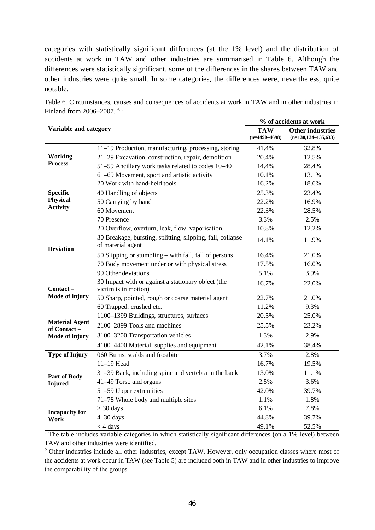categories with statistically significant differences (at the 1% level) and the distribution of accidents at work in TAW and other industries are summarised in Table 6. Although the differences were statistically significant, some of the differences in the shares between TAW and other industries were quite small. In some categories, the differences were, nevertheless, quite notable.

|                                      |                                                                                 |                               | % of accidents at work                             |
|--------------------------------------|---------------------------------------------------------------------------------|-------------------------------|----------------------------------------------------|
| Variable and category                |                                                                                 | <b>TAW</b><br>$(n=4490-4698)$ | <b>Other industries</b><br>$(n=130, 134-135, 633)$ |
|                                      | 11-19 Production, manufacturing, processing, storing                            | 41.4%                         | 32.8%                                              |
| <b>Working</b><br><b>Process</b>     | 21-29 Excavation, construction, repair, demolition                              | 20.4%                         | 12.5%                                              |
|                                      | 51-59 Ancillary work tasks related to codes 10-40                               | 14.4%                         | 28.4%                                              |
|                                      | 61-69 Movement, sport and artistic activity                                     | 10.1%                         | 13.1%                                              |
|                                      | 20 Work with hand-held tools                                                    | 16.2%                         | 18.6%                                              |
| <b>Specific</b><br>Physical          | 40 Handling of objects                                                          | 25.3%                         | 23.4%                                              |
|                                      | 50 Carrying by hand                                                             | 22.2%                         | 16.9%                                              |
| <b>Activity</b>                      | 60 Movement                                                                     | 22.3%                         | 28.5%                                              |
|                                      | 70 Presence                                                                     | 3.3%                          | 2.5%                                               |
|                                      | 20 Overflow, overturn, leak, flow, vaporisation,                                | 10.8%                         | 12.2%                                              |
| <b>Deviation</b>                     | 30 Breakage, bursting, splitting, slipping, fall, collapse<br>of material agent | 14.1%                         | 11.9%                                              |
|                                      | 50 Slipping or stumbling – with fall, fall of persons                           | 16.4%                         | 21.0%                                              |
|                                      | 70 Body movement under or with physical stress                                  | 17.5%                         | 16.0%                                              |
|                                      | 99 Other deviations                                                             | 5.1%                          | 3.9%                                               |
| $Context -$                          | 30 Impact with or against a stationary object (the<br>victim is in motion)      | 16.7%                         | 22.0%                                              |
| Mode of injury                       | 50 Sharp, pointed, rough or coarse material agent                               | 22.7%                         | 21.0%                                              |
|                                      | 60 Trapped, crushed etc.                                                        | 11.2%                         | 9.3%                                               |
|                                      | 1100-1399 Buildings, structures, surfaces                                       | 20.5%                         | 25.0%                                              |
| <b>Material Agent</b><br>of Contact- | 2100–2899 Tools and machines                                                    | 25.5%                         | 23.2%                                              |
| Mode of injury                       | 3100-3200 Transportation vehicles                                               | 1.3%                          | 2.9%                                               |
|                                      | 4100–4400 Material, supplies and equipment                                      | 42.1%                         | 38.4%                                              |
| <b>Type of Injury</b>                | 060 Burns, scalds and frostbite                                                 | 3.7%                          | 2.8%                                               |
|                                      | $11-19$ Head                                                                    | 16.7%                         | 19.5%                                              |
| <b>Part of Body</b>                  | 31–39 Back, including spine and vertebra in the back                            | 13.0%                         | 11.1%                                              |
| <b>Injured</b>                       | 41-49 Torso and organs                                                          | 2.5%                          | 3.6%                                               |
|                                      | 51-59 Upper extremities                                                         | 42.0%                         | 39.7%                                              |
|                                      | 71-78 Whole body and multiple sites                                             | 1.1%                          | 1.8%                                               |
| <b>Incapacity for</b>                | $>$ 30 days                                                                     | 6.1%                          | 7.8%                                               |
| Work                                 | $4-30$ days                                                                     | 44.8%                         | 39.7%                                              |
|                                      | $<$ 4 days                                                                      | 49.1%                         | 52.5%                                              |

Table 6. Circumstances, causes and consequences of accidents at work in TAW and in other industries in Finland from 2006–2007.  $a, b$ 

<sup>a</sup> The table includes variable categories in which statistically significant differences (on a 1% level) between TAW and other industries were identified.

<sup>b</sup> Other industries include all other industries, except TAW. However, only occupation classes where most of the accidents at work occur in TAW (see Table 5) are included both in TAW and in other industries to improve the comparability of the groups.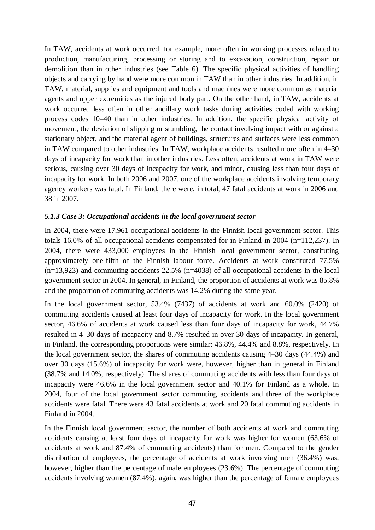In TAW, accidents at work occurred, for example, more often in working processes related to production, manufacturing, processing or storing and to excavation, construction, repair or demolition than in other industries (see Table 6). The specific physical activities of handling objects and carrying by hand were more common in TAW than in other industries. In addition, in TAW, material, supplies and equipment and tools and machines were more common as material agents and upper extremities as the injured body part. On the other hand, in TAW, accidents at work occurred less often in other ancillary work tasks during activities coded with working process codes 10–40 than in other industries. In addition, the specific physical activity of movement, the deviation of slipping or stumbling, the contact involving impact with or against a stationary object, and the material agent of buildings, structures and surfaces were less common in TAW compared to other industries. In TAW, workplace accidents resulted more often in 4–30 days of incapacity for work than in other industries. Less often, accidents at work in TAW were serious, causing over 30 days of incapacity for work, and minor, causing less than four days of incapacity for work. In both 2006 and 2007, one of the workplace accidents involving temporary agency workers was fatal. In Finland, there were, in total, 47 fatal accidents at work in 2006 and 38 in 2007.

# *5.1.3 Case 3: Occupational accidents in the local government sector*

In 2004, there were 17,961 occupational accidents in the Finnish local government sector. This totals 16.0% of all occupational accidents compensated for in Finland in 2004 (n=112,237). In 2004, there were 433,000 employees in the Finnish local government sector, constituting approximately one-fifth of the Finnish labour force. Accidents at work constituted 77.5%  $(n=13,923)$  and commuting accidents 22.5%  $(n=4038)$  of all occupational accidents in the local government sector in 2004. In general, in Finland, the proportion of accidents at work was 85.8% and the proportion of commuting accidents was 14.2% during the same year.

In the local government sector, 53.4% (7437) of accidents at work and 60.0% (2420) of commuting accidents caused at least four days of incapacity for work. In the local government sector, 46.6% of accidents at work caused less than four days of incapacity for work, 44.7% resulted in 4–30 days of incapacity and 8.7% resulted in over 30 days of incapacity. In general, in Finland, the corresponding proportions were similar: 46.8%, 44.4% and 8.8%, respectively. In the local government sector, the shares of commuting accidents causing 4–30 days (44.4%) and over 30 days (15.6%) of incapacity for work were, however, higher than in general in Finland (38.7% and 14.0%, respectively). The shares of commuting accidents with less than four days of incapacity were 46.6% in the local government sector and 40.1% for Finland as a whole. In 2004, four of the local government sector commuting accidents and three of the workplace accidents were fatal. There were 43 fatal accidents at work and 20 fatal commuting accidents in Finland in 2004.

In the Finnish local government sector, the number of both accidents at work and commuting accidents causing at least four days of incapacity for work was higher for women (63.6% of accidents at work and 87.4% of commuting accidents) than for men. Compared to the gender distribution of employees, the percentage of accidents at work involving men (36.4%) was, however, higher than the percentage of male employees (23.6%). The percentage of commuting accidents involving women (87.4%), again, was higher than the percentage of female employees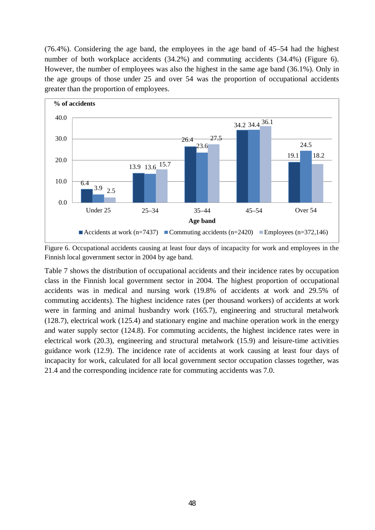(76.4%). Considering the age band, the employees in the age band of 45–54 had the highest number of both workplace accidents (34.2%) and commuting accidents (34.4%) (Figure 6). However, the number of employees was also the highest in the same age band (36.1%). Only in the age groups of those under 25 and over 54 was the proportion of occupational accidents greater than the proportion of employees.



Figure 6. Occupational accidents causing at least four days of incapacity for work and employees in the Finnish local government sector in 2004 by age band.

Table 7 shows the distribution of occupational accidents and their incidence rates by occupation class in the Finnish local government sector in 2004. The highest proportion of occupational accidents was in medical and nursing work (19.8% of accidents at work and 29.5% of commuting accidents). The highest incidence rates (per thousand workers) of accidents at work were in farming and animal husbandry work (165.7), engineering and structural metalwork (128.7), electrical work (125.4) and stationary engine and machine operation work in the energy and water supply sector (124.8). For commuting accidents, the highest incidence rates were in electrical work (20.3), engineering and structural metalwork (15.9) and leisure-time activities guidance work (12.9). The incidence rate of accidents at work causing at least four days of incapacity for work, calculated for all local government sector occupation classes together, was 21.4 and the corresponding incidence rate for commuting accidents was 7.0.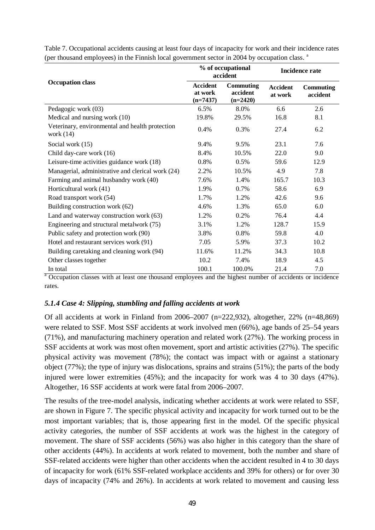|                                                                |                                          | % of occupational<br>accident       | <b>Incidence rate</b>      |                              |  |
|----------------------------------------------------------------|------------------------------------------|-------------------------------------|----------------------------|------------------------------|--|
| <b>Occupation class</b>                                        | <b>Accident</b><br>at work<br>$(n=7437)$ | Commuting<br>accident<br>$(n=2420)$ | <b>Accident</b><br>at work | <b>Commuting</b><br>accident |  |
| Pedagogic work (03)                                            | 6.5%                                     | 8.0%                                | 6.6                        | 2.6                          |  |
| Medical and nursing work (10)                                  | 19.8%                                    | 29.5%                               | 16.8                       | 8.1                          |  |
| Veterinary, environmental and health protection<br>work $(14)$ | 0.4%                                     | 0.3%                                | 27.4                       | 6.2                          |  |
| Social work (15)                                               | 9.4%                                     | 9.5%                                | 23.1                       | 7.6                          |  |
| Child day-care work (16)                                       | 8.4%                                     | 10.5%                               | 22.0                       | 9.0                          |  |
| Leisure-time activities guidance work (18)                     | 0.8%                                     | 0.5%                                | 59.6                       | 12.9                         |  |
| Managerial, administrative and clerical work (24)              | 2.2%                                     | 10.5%                               | 4.9                        | 7.8                          |  |
| Farming and animal husbandry work (40)                         | 7.6%                                     | 1.4%                                | 165.7                      | 10.3                         |  |
| Horticultural work (41)                                        | 1.9%                                     | 0.7%                                | 58.6                       | 6.9                          |  |
| Road transport work (54)                                       | 1.7%                                     | 1.2%                                | 42.6                       | 9.6                          |  |
| Building construction work (62)                                | 4.6%                                     | 1.3%                                | 65.0                       | 6.0                          |  |
| Land and waterway construction work (63)                       | 1.2%                                     | 0.2%                                | 76.4                       | 4.4                          |  |
| Engineering and structural metalwork (75)                      | 3.1%                                     | 1.2%                                | 128.7                      | 15.9                         |  |
| Public safety and protection work (90)                         | 3.8%                                     | 0.8%                                | 59.8                       | 4.0                          |  |
| Hotel and restaurant services work (91)                        | 7.05                                     | 5.9%                                | 37.3                       | 10.2                         |  |
| Building caretaking and cleaning work (94)                     | 11.6%                                    | 11.2%                               | 34.3                       | 10.8                         |  |
| Other classes together                                         | 10.2                                     | 7.4%                                | 18.9                       | 4.5                          |  |
| In total                                                       | 100.1                                    | 100.0%                              | 21.4                       | 7.0                          |  |

Table 7. Occupational accidents causing at least four days of incapacity for work and their incidence rates (per thousand employees) in the Finnish local government sector in 2004 by occupation class. <sup>a</sup>

<sup>a</sup> Occupation classes with at least one thousand employees and the highest number of accidents or incidence rates.

# *5.1.4 Case 4: Slipping, stumbling and falling accidents at work*

Of all accidents at work in Finland from 2006–2007 (n=222,932), altogether, 22% (n=48,869) were related to SSF. Most SSF accidents at work involved men (66%), age bands of 25–54 years (71%), and manufacturing machinery operation and related work (27%). The working process in SSF accidents at work was most often movement, sport and artistic activities (27%). The specific physical activity was movement (78%); the contact was impact with or against a stationary object (77%); the type of injury was dislocations, sprains and strains (51%); the parts of the body injured were lower extremities (45%); and the incapacity for work was 4 to 30 days (47%). Altogether, 16 SSF accidents at work were fatal from 2006–2007.

The results of the tree-model analysis, indicating whether accidents at work were related to SSF, are shown in Figure 7. The specific physical activity and incapacity for work turned out to be the most important variables; that is, those appearing first in the model. Of the specific physical activity categories, the number of SSF accidents at work was the highest in the category of movement. The share of SSF accidents (56%) was also higher in this category than the share of other accidents (44%). In accidents at work related to movement, both the number and share of SSF-related accidents were higher than other accidents when the accident resulted in 4 to 30 days of incapacity for work (61% SSF-related workplace accidents and 39% for others) or for over 30 days of incapacity (74% and 26%). In accidents at work related to movement and causing less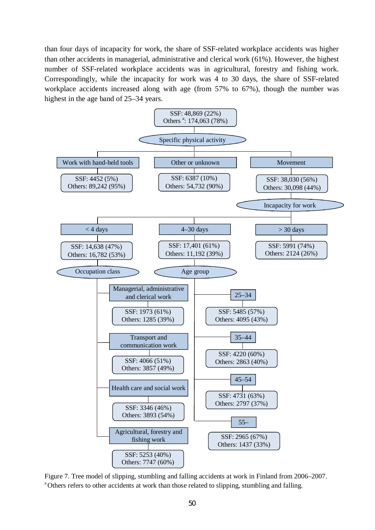than four days of incapacity for work, the share of SSF-related workplace accidents was higher than other accidents in managerial, administrative and clerical work (61%). However, the highest number of SSF-related workplace accidents was in agricultural, forestry and fishing work. Correspondingly, while the incapacity for work was 4 to 30 days, the share of SSF-related workplace accidents increased along with age (from 57% to 67%), though the number was highest in the age band of 25–34 years.



Figure 7. Tree model of slipping, stumbling and falling accidents at work in Finland from 2006–2007. <sup>a</sup>Others refers to other accidents at work than those related to slipping, stumbling and falling.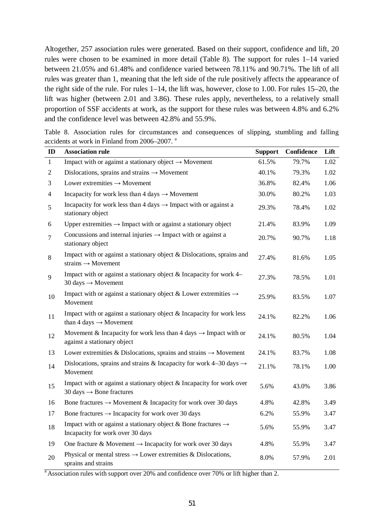Altogether, 257 association rules were generated. Based on their support, confidence and lift, 20 rules were chosen to be examined in more detail (Table 8). The support for rules 1–14 varied between 21.05% and 61.48% and confidence varied between 78.11% and 90.71%. The lift of all rules was greater than 1, meaning that the left side of the rule positively affects the appearance of the right side of the rule. For rules 1–14, the lift was, however, close to 1.00. For rules 15–20, the lift was higher (between 2.01 and 3.86). These rules apply, nevertheless, to a relatively small proportion of SSF accidents at work, as the support for these rules was between 4.8% and 6.2% and the confidence level was between 42.8% and 55.9%.

|  |  | Table 8. Association rules for circumstances and consequences of slipping, stumbling and falling |  |  |  |  |
|--|--|--------------------------------------------------------------------------------------------------|--|--|--|--|
|  |  | accidents at work in Finland from 2006–2007. <sup>a</sup>                                        |  |  |  |  |

| ID             | <b>Association rule</b>                                                                                       | <b>Support</b> | <b>Confidence</b> | Lift |
|----------------|---------------------------------------------------------------------------------------------------------------|----------------|-------------------|------|
| $\mathbf{1}$   | Impact with or against a stationary object $\rightarrow$ Movement                                             | 61.5%          | 79.7%             | 1.02 |
| $\overline{2}$ | Dislocations, sprains and strains $\rightarrow$ Movement                                                      | 40.1%          | 79.3%             | 1.02 |
| 3              | Lower extremities $\rightarrow$ Movement                                                                      | 36.8%          | 82.4%             | 1.06 |
| $\overline{4}$ | Incapacity for work less than 4 days $\rightarrow$ Movement                                                   | 30.0%          | 80.2%             | 1.03 |
| 5              | Incapacity for work less than 4 days $\rightarrow$ Impact with or against a<br>stationary object              | 29.3%          | 78.4%             | 1.02 |
| 6              | Upper extremities $\rightarrow$ Impact with or against a stationary object                                    | 21.4%          | 83.9%             | 1.09 |
| $\overline{7}$ | Concussions and internal injuries $\rightarrow$ Impact with or against a<br>stationary object                 | 20.7%          | 90.7%             | 1.18 |
| 8              | Impact with or against a stationary object & Dislocations, sprains and<br>strains $\rightarrow$ Movement      | 27.4%          | 81.6%             | 1.05 |
| 9              | Impact with or against a stationary object & Incapacity for work 4–<br>30 days $\rightarrow$ Movement         | 27.3%          | 78.5%             | 1.01 |
| 10             | Impact with or against a stationary object & Lower extremities $\rightarrow$<br>Movement                      | 25.9%          | 83.5%             | 1.07 |
| 11             | Impact with or against a stationary object $&$ Incapacity for work less<br>than 4 days $\rightarrow$ Movement | 24.1%          | 82.2%             | 1.06 |
| 12             | Movement & Incapacity for work less than 4 days $\rightarrow$ Impact with or<br>against a stationary object   | 24.1%          | 80.5%             | 1.04 |
| 13             | Lower extremities & Dislocations, sprains and strains $\rightarrow$ Movement                                  | 24.1%          | 83.7%             | 1.08 |
| 14             | Dislocations, sprains and strains & Incapacity for work 4–30 days $\rightarrow$<br>Movement                   | 21.1%          | 78.1%             | 1.00 |
| 15             | Impact with or against a stationary object & Incapacity for work over<br>30 days $\rightarrow$ Bone fractures | 5.6%           | 43.0%             | 3.86 |
| 16             | Bone fractures $\rightarrow$ Movement & Incapacity for work over 30 days                                      | 4.8%           | 42.8%             | 3.49 |
| 17             | Bone fractures $\rightarrow$ Incapacity for work over 30 days                                                 | 6.2%           | 55.9%             | 3.47 |
| 18             | Impact with or against a stationary object & Bone fractures $\rightarrow$<br>Incapacity for work over 30 days | 5.6%           | 55.9%             | 3.47 |
| 19             | One fracture & Movement $\rightarrow$ Incapacity for work over 30 days                                        | 4.8%           | 55.9%             | 3.47 |
| 20             | Physical or mental stress $\rightarrow$ Lower extremities & Dislocations,<br>sprains and strains              | 8.0%           | 57.9%             | 2.01 |

 $a<sup>a</sup>$ Association rules with support over 20% and confidence over 70% or lift higher than 2.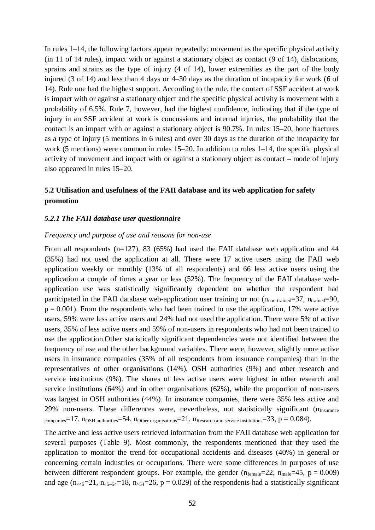In rules 1–14, the following factors appear repeatedly: movement as the specific physical activity (in 11 of 14 rules), impact with or against a stationary object as contact (9 of 14), dislocations, sprains and strains as the type of injury (4 of 14), lower extremities as the part of the body injured (3 of 14) and less than 4 days or 4–30 days as the duration of incapacity for work (6 of 14). Rule one had the highest support. According to the rule, the contact of SSF accident at work is impact with or against a stationary object and the specific physical activity is movement with a probability of 6.5%. Rule 7, however, had the highest confidence, indicating that if the type of injury in an SSF accident at work is concussions and internal injuries, the probability that the contact is an impact with or against a stationary object is 90.7%. In rules 15–20, bone fractures as a type of injury (5 mentions in 6 rules) and over 30 days as the duration of the incapacity for work (5 mentions) were common in rules 15–20. In addition to rules 1–14, the specific physical activity of movement and impact with or against a stationary object as contact – mode of injury also appeared in rules 15–20.

# **5.2 Utilisation and usefulness of the FAII database and its web application for safety promotion**

#### *5.2.1 The FAII database user questionnaire*

#### *Frequency and purpose of use and reasons for non-use*

From all respondents (n=127), 83 (65%) had used the FAII database web application and 44 (35%) had not used the application at all. There were 17 active users using the FAII web application weekly or monthly (13% of all respondents) and 66 less active users using the application a couple of times a year or less (52%). The frequency of the FAII database webapplication use was statistically significantly dependent on whether the respondent had participated in the FAII database web-application user training or not  $(n_{\text{non-trained}}=37, n_{\text{trained}}=90,$  $p = 0.001$ ). From the respondents who had been trained to use the application, 17% were active users, 59% were less active users and 24% had not used the application. There were 5% of active users, 35% of less active users and 59% of non-users in respondents who had not been trained to use the application.Other statistically significant dependencies were not identified between the frequency of use and the other background variables. There were, however, slightly more active users in insurance companies (35% of all respondents from insurance companies) than in the representatives of other organisations (14%), OSH authorities (9%) and other research and service institutions (9%). The shares of less active users were highest in other research and service institutions (64%) and in other organisations (62%), while the proportion of non-users was largest in OSH authorities (44%). In insurance companies, there were 35% less active and 29% non-users. These differences were, nevertheless, not statistically significant  $(n_{\text{Insurance}})$ companies=17,  $n_{\text{OSH}}$  authorities=54,  $n_{\text{Other organisations}}$ =21,  $n_{\text{Research and service institutions}}$ =33,  $p = 0.084$ ).

The active and less active users retrieved information from the FAII database web application for several purposes (Table 9). Most commonly, the respondents mentioned that they used the application to monitor the trend for occupational accidents and diseases (40%) in general or concerning certain industries or occupations. There were some differences in purposes of use between different respondent groups. For example, the gender  $(n_{female}=22, n_{male}=45, p = 0.009)$ and age  $(n_{<45}=21, n_{45-54}=18, n_{>54}=26, p=0.029)$  of the respondents had a statistically significant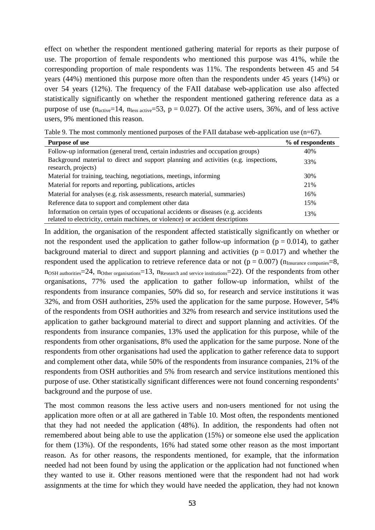effect on whether the respondent mentioned gathering material for reports as their purpose of use. The proportion of female respondents who mentioned this purpose was 41%, while the corresponding proportion of male respondents was 11%. The respondents between 45 and 54 years (44%) mentioned this purpose more often than the respondents under 45 years (14%) or over 54 years (12%). The frequency of the FAII database web-application use also affected statistically significantly on whether the respondent mentioned gathering reference data as a purpose of use  $(n_{active}=14, n_{less active}=53, p = 0.027)$ . Of the active users, 36%, and of less active users, 9% mentioned this reason.

| Table 9. The most commonly mentioned purposes of the FAII database web-application use $(n=67)$ . |  |  |  |  |
|---------------------------------------------------------------------------------------------------|--|--|--|--|
|---------------------------------------------------------------------------------------------------|--|--|--|--|

| <b>Purpose of use</b>                                                                                                                                                 | % of respondents |
|-----------------------------------------------------------------------------------------------------------------------------------------------------------------------|------------------|
| Follow-up information (general trend, certain industries and occupation groups)                                                                                       | 40%              |
| Background material to direct and support planning and activities (e.g. inspections,<br>research, projects)                                                           | 33%              |
| Material for training, teaching, negotiations, meetings, informing                                                                                                    | 30%              |
| Material for reports and reporting, publications, articles                                                                                                            | 21%              |
| Material for analyses (e.g. risk assessments, research material, summaries)                                                                                           | 16%              |
| Reference data to support and complement other data                                                                                                                   | 15%              |
| Information on certain types of occupational accidents or diseases (e.g. accidents<br>related to electricity, certain machines, or violence) or accident descriptions | 13%              |

In addition, the organisation of the respondent affected statistically significantly on whether or not the respondent used the application to gather follow-up information ( $p = 0.014$ ), to gather background material to direct and support planning and activities ( $p = 0.017$ ) and whether the respondent used the application to retrieve reference data or not ( $p = 0.007$ ) ( $n_{\text{Insurance companies}} = 8$ , n<sub>OSH authorities</sub>=24, n<sub>Other organisations</sub>=13, n<sub>Research and service institutions</sub>=22). Of the respondents from other organisations, 77% used the application to gather follow-up information, whilst of the respondents from insurance companies, 50% did so, for research and service institutions it was 32%, and from OSH authorities, 25% used the application for the same purpose. However, 54% of the respondents from OSH authorities and 32% from research and service institutions used the application to gather background material to direct and support planning and activities. Of the respondents from insurance companies, 13% used the application for this purpose, while of the respondents from other organisations, 8% used the application for the same purpose. None of the respondents from other organisations had used the application to gather reference data to support and complement other data, while 50% of the respondents from insurance companies, 21% of the respondents from OSH authorities and 5% from research and service institutions mentioned this purpose of use. Other statistically significant differences were not found concerning respondents' background and the purpose of use.

The most common reasons the less active users and non-users mentioned for not using the application more often or at all are gathered in Table 10. Most often, the respondents mentioned that they had not needed the application (48%). In addition, the respondents had often not remembered about being able to use the application (15%) or someone else used the application for them (13%). Of the respondents, 16% had stated some other reason as the most important reason. As for other reasons, the respondents mentioned, for example, that the information needed had not been found by using the application or the application had not functioned when they wanted to use it. Other reasons mentioned were that the respondent had not had work assignments at the time for which they would have needed the application, they had not known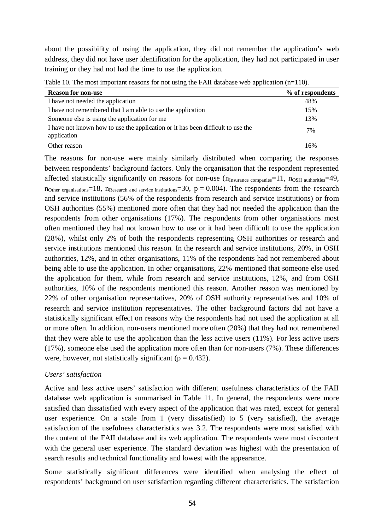about the possibility of using the application, they did not remember the application's web address, they did not have user identification for the application, they had not participated in user training or they had not had the time to use the application.

| <b>Reason for non-use</b>                                                                      | % of respondents |  |  |
|------------------------------------------------------------------------------------------------|------------------|--|--|
| I have not needed the application                                                              | 48%              |  |  |
| I have not remembered that I am able to use the application                                    | 15%              |  |  |
| Someone else is using the application for me                                                   | 13%              |  |  |
| I have not known how to use the application or it has been difficult to use the<br>application | 7%               |  |  |
| Other reason                                                                                   | 16%              |  |  |

Table 10. The most important reasons for not using the FAII database web application  $(n=110)$ .

The reasons for non-use were mainly similarly distributed when comparing the responses between respondents' background factors. Only the organisation that the respondent represented affected statistically significantly on reasons for non-use  $(n_{Insurance\ companies}=11, n_{OSH\ autorities}=49,$ n<sub>Other organisations</sub>=18, n<sub>Research and service institutions</sub>=30,  $p = 0.004$ ). The respondents from the research and service institutions (56% of the respondents from research and service institutions) or from OSH authorities (55%) mentioned more often that they had not needed the application than the respondents from other organisations (17%). The respondents from other organisations most often mentioned they had not known how to use or it had been difficult to use the application (28%), whilst only 2% of both the respondents representing OSH authorities or research and service institutions mentioned this reason. In the research and service institutions, 20%, in OSH authorities, 12%, and in other organisations, 11% of the respondents had not remembered about being able to use the application. In other organisations, 22% mentioned that someone else used the application for them, while from research and service institutions, 12%, and from OSH authorities, 10% of the respondents mentioned this reason. Another reason was mentioned by 22% of other organisation representatives, 20% of OSH authority representatives and 10% of research and service institution representatives. The other background factors did not have a statistically significant effect on reasons why the respondents had not used the application at all or more often. In addition, non-users mentioned more often (20%) that they had not remembered that they were able to use the application than the less active users (11%). For less active users (17%), someone else used the application more often than for non-users (7%). These differences were, however, not statistically significant ( $p = 0.432$ ).

# *Users' satisfaction*

Active and less active users' satisfaction with different usefulness characteristics of the FAII database web application is summarised in Table 11. In general, the respondents were more satisfied than dissatisfied with every aspect of the application that was rated, except for general user experience. On a scale from 1 (very dissatisfied) to 5 (very satisfied), the average satisfaction of the usefulness characteristics was 3.2. The respondents were most satisfied with the content of the FAII database and its web application. The respondents were most discontent with the general user experience. The standard deviation was highest with the presentation of search results and technical functionality and lowest with the appearance.

Some statistically significant differences were identified when analysing the effect of respondents' background on user satisfaction regarding different characteristics. The satisfaction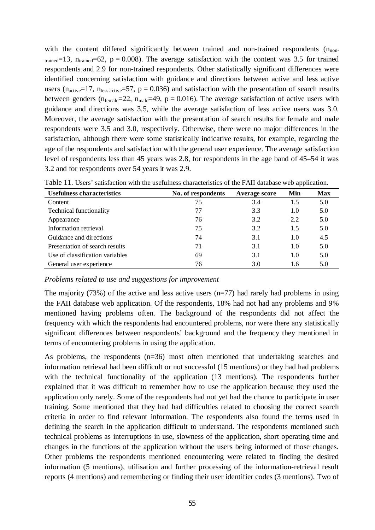with the content differed significantly between trained and non-trained respondents  $(n_{\text{non}})$ trained=13,  $n_{\text{trained}}$ =62, p = 0.008). The average satisfaction with the content was 3.5 for trained respondents and 2.9 for non-trained respondents. Other statistically significant differences were identified concerning satisfaction with guidance and directions between active and less active users ( $n_{active}=17$ ,  $n_{less active}=57$ ,  $p = 0.036$ ) and satisfaction with the presentation of search results between genders ( $n_{female}=22$ ,  $n_{male}=49$ ,  $p = 0.016$ ). The average satisfaction of active users with guidance and directions was 3.5, while the average satisfaction of less active users was 3.0. Moreover, the average satisfaction with the presentation of search results for female and male respondents were 3.5 and 3.0, respectively. Otherwise, there were no major differences in the satisfaction, although there were some statistically indicative results, for example, regarding the age of the respondents and satisfaction with the general user experience. The average satisfaction level of respondents less than 45 years was 2.8, for respondents in the age band of 45–54 it was 3.2 and for respondents over 54 years it was 2.9.

| <b>Usefulness characteristics</b> | No. of respondents | Average score | Min | <b>Max</b> |
|-----------------------------------|--------------------|---------------|-----|------------|
| Content                           | 75                 | 3.4           | 1.5 | 5.0        |
| <b>Technical functionality</b>    | 77                 | 3.3           | 1.0 | 5.0        |
| Appearance                        | 76                 | 3.2           | 2.2 | 5.0        |
| Information retrieval             | 75                 | 3.2           | 1.5 | 5.0        |
| Guidance and directions           | 74                 | 3.1           | 1.0 | 4.5        |
| Presentation of search results    | 71                 | 3.1           | 1.0 | 5.0        |
| Use of classification variables   | 69                 | 3.1           | 1.0 | 5.0        |
| General user experience           | 76                 | 3.0           | 1.6 | 5.0        |

Table 11. Users' satisfaction with the usefulness characteristics of the FAII database web application.

*Problems related to use and suggestions for improvement* 

The majority (73%) of the active and less active users  $(n=77)$  had rarely had problems in using the FAII database web application. Of the respondents, 18% had not had any problems and 9% mentioned having problems often. The background of the respondents did not affect the frequency with which the respondents had encountered problems, nor were there any statistically significant differences between respondents' background and the frequency they mentioned in terms of encountering problems in using the application.

As problems, the respondents (n=36) most often mentioned that undertaking searches and information retrieval had been difficult or not successful (15 mentions) or they had had problems with the technical functionality of the application (13 mentions). The respondents further explained that it was difficult to remember how to use the application because they used the application only rarely. Some of the respondents had not yet had the chance to participate in user training. Some mentioned that they had had difficulties related to choosing the correct search criteria in order to find relevant information. The respondents also found the terms used in defining the search in the application difficult to understand. The respondents mentioned such technical problems as interruptions in use, slowness of the application, short operating time and changes in the functions of the application without the users being informed of those changes. Other problems the respondents mentioned encountering were related to finding the desired information (5 mentions), utilisation and further processing of the information-retrieval result reports (4 mentions) and remembering or finding their user identifier codes (3 mentions). Two of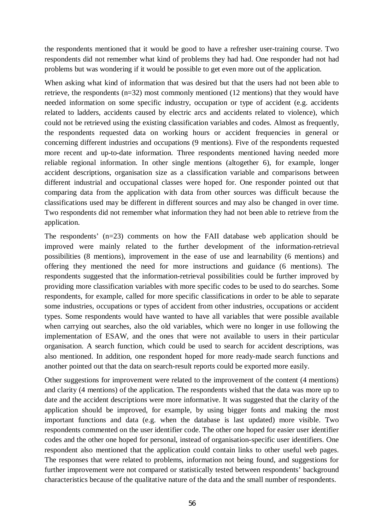the respondents mentioned that it would be good to have a refresher user-training course. Two respondents did not remember what kind of problems they had had. One responder had not had problems but was wondering if it would be possible to get even more out of the application.

When asking what kind of information that was desired but that the users had not been able to retrieve, the respondents (n=32) most commonly mentioned (12 mentions) that they would have needed information on some specific industry, occupation or type of accident (e.g. accidents related to ladders, accidents caused by electric arcs and accidents related to violence), which could not be retrieved using the existing classification variables and codes. Almost as frequently, the respondents requested data on working hours or accident frequencies in general or concerning different industries and occupations (9 mentions). Five of the respondents requested more recent and up-to-date information. Three respondents mentioned having needed more reliable regional information. In other single mentions (altogether 6), for example, longer accident descriptions, organisation size as a classification variable and comparisons between different industrial and occupational classes were hoped for. One responder pointed out that comparing data from the application with data from other sources was difficult because the classifications used may be different in different sources and may also be changed in over time. Two respondents did not remember what information they had not been able to retrieve from the application.

The respondents' (n=23) comments on how the FAII database web application should be improved were mainly related to the further development of the information-retrieval possibilities (8 mentions), improvement in the ease of use and learnability (6 mentions) and offering they mentioned the need for more instructions and guidance (6 mentions). The respondents suggested that the information-retrieval possibilities could be further improved by providing more classification variables with more specific codes to be used to do searches. Some respondents, for example, called for more specific classifications in order to be able to separate some industries, occupations or types of accident from other industries, occupations or accident types. Some respondents would have wanted to have all variables that were possible available when carrying out searches, also the old variables, which were no longer in use following the implementation of ESAW, and the ones that were not available to users in their particular organisation. A search function, which could be used to search for accident descriptions, was also mentioned. In addition, one respondent hoped for more ready-made search functions and another pointed out that the data on search-result reports could be exported more easily.

Other suggestions for improvement were related to the improvement of the content (4 mentions) and clarity (4 mentions) of the application. The respondents wished that the data was more up to date and the accident descriptions were more informative. It was suggested that the clarity of the application should be improved, for example, by using bigger fonts and making the most important functions and data (e.g. when the database is last updated) more visible. Two respondents commented on the user identifier code. The other one hoped for easier user identifier codes and the other one hoped for personal, instead of organisation-specific user identifiers. One respondent also mentioned that the application could contain links to other useful web pages. The responses that were related to problems, information not being found, and suggestions for further improvement were not compared or statistically tested between respondents' background characteristics because of the qualitative nature of the data and the small number of respondents.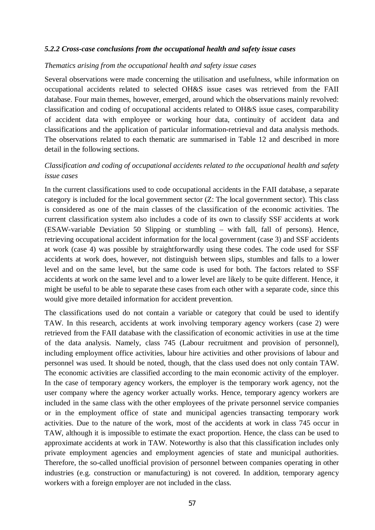### *5.2.2 Cross-case conclusions from the occupational health and safety issue cases*

#### *Thematics arising from the occupational health and safety issue cases*

Several observations were made concerning the utilisation and usefulness, while information on occupational accidents related to selected OH&S issue cases was retrieved from the FAII database. Four main themes, however, emerged, around which the observations mainly revolved: classification and coding of occupational accidents related to OH&S issue cases, comparability of accident data with employee or working hour data, continuity of accident data and classifications and the application of particular information-retrieval and data analysis methods. The observations related to each thematic are summarised in Table 12 and described in more detail in the following sections.

# *Classification and coding of occupational accidents related to the occupational health and safety issue cases*

In the current classifications used to code occupational accidents in the FAII database, a separate category is included for the local government sector (Z: The local government sector). This class is considered as one of the main classes of the classification of the economic activities. The current classification system also includes a code of its own to classify SSF accidents at work (ESAW-variable Deviation 50 Slipping or stumbling – with fall, fall of persons). Hence, retrieving occupational accident information for the local government (case 3) and SSF accidents at work (case 4) was possible by straightforwardly using these codes. The code used for SSF accidents at work does, however, not distinguish between slips, stumbles and falls to a lower level and on the same level, but the same code is used for both. The factors related to SSF accidents at work on the same level and to a lower level are likely to be quite different. Hence, it might be useful to be able to separate these cases from each other with a separate code, since this would give more detailed information for accident prevention.

The classifications used do not contain a variable or category that could be used to identify TAW. In this research, accidents at work involving temporary agency workers (case 2) were retrieved from the FAII database with the classification of economic activities in use at the time of the data analysis. Namely, class 745 (Labour recruitment and provision of personnel), including employment office activities, labour hire activities and other provisions of labour and personnel was used. It should be noted, though, that the class used does not only contain TAW. The economic activities are classified according to the main economic activity of the employer. In the case of temporary agency workers, the employer is the temporary work agency, not the user company where the agency worker actually works. Hence, temporary agency workers are included in the same class with the other employees of the private personnel service companies or in the employment office of state and municipal agencies transacting temporary work activities. Due to the nature of the work, most of the accidents at work in class 745 occur in TAW, although it is impossible to estimate the exact proportion. Hence, the class can be used to approximate accidents at work in TAW. Noteworthy is also that this classification includes only private employment agencies and employment agencies of state and municipal authorities. Therefore, the so-called unofficial provision of personnel between companies operating in other industries (e.g. construction or manufacturing) is not covered. In addition, temporary agency workers with a foreign employer are not included in the class.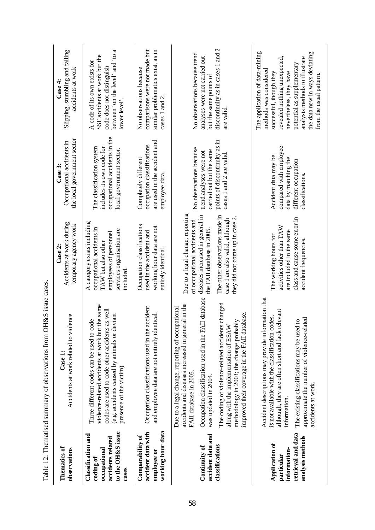|                                                                                                    | Table 12. Thematised summary of observations from OH&S issue cases                                                                                                                                                                                                                                                                                                                                            |                                                                                                                                                                                                                                             |                                                                                                                                             |                                                                                                                                                                                                                                                                             |
|----------------------------------------------------------------------------------------------------|---------------------------------------------------------------------------------------------------------------------------------------------------------------------------------------------------------------------------------------------------------------------------------------------------------------------------------------------------------------------------------------------------------------|---------------------------------------------------------------------------------------------------------------------------------------------------------------------------------------------------------------------------------------------|---------------------------------------------------------------------------------------------------------------------------------------------|-----------------------------------------------------------------------------------------------------------------------------------------------------------------------------------------------------------------------------------------------------------------------------|
| <b>Thematics of</b><br>observations                                                                | lence<br>Accidents at work related to viol<br>Case 1:                                                                                                                                                                                                                                                                                                                                                         | Accidents at work during<br>temporary agency work<br>Case 2:                                                                                                                                                                                | the local government sector<br>Occupational accidents in<br>Case 3:                                                                         | Slipping, stumbling and falling<br>accidents at work<br>Case 4:                                                                                                                                                                                                             |
| to the OH&S issue<br>Classification and<br>accidents related<br>occupational<br>coding of<br>cases | the same<br>codes are used to code other accidents as well<br>(e.g. accidents caused by animals or deviant<br>Three different codes can be used to code<br>violence-related accidents at work but<br>presence of the victim).                                                                                                                                                                                 | A category exists including<br>occupational accidents in<br>services organisation are<br>employees of personnel<br>TAW but also other<br>included.                                                                                          | occupational accidents in the<br>includes its own code for<br>The classification system<br>local government sector.                         | between 'on the level' and 'to a<br>SSF accidents at work but the<br>A code of its own exists for<br>code does not distinguish<br>lower level'.                                                                                                                             |
| working hour data<br>accident data with<br>Comparability of<br>employee or                         | Occupation classifications used in the accident<br>and employee data are not entirely identical.                                                                                                                                                                                                                                                                                                              | Occupation classifications<br>working hour data are not<br>used in the accident and<br>entirely identical.                                                                                                                                  | are used in the accident and<br>occupation classifications<br>Completely different<br>employee data.                                        | comparisons were not made but<br>similar problematics exist, as in<br>No observations because<br>cases 1 and 2.                                                                                                                                                             |
| accident data and<br>classifications<br>Continuity of                                              | II database<br>The coding of violence-related accidents changed<br>accidents and diseases increased in general in the<br>Due to a legal change, reporting of occupational<br>improved their coverage in the FAII database.<br>methodology in 2003; the change probably<br>Occupation classification used in the FA<br>along with the implementation of ESAW<br>FAII database in 2005.<br>was updated in 2004. | Due to a legal change, reporting<br>diseases increased in general in<br>The other observations made in<br>they did not come up in case 2.<br>case 1 are also valid, although<br>of occupational accidents and<br>the FAII database in 2005. | points of discontinuity as in<br>No observations because<br>carried out but the same<br>trend analyses were not<br>cases 1 and 2 are valid. | discontinuity as in cases 1 and 2<br>No observations because trend<br>analyses were not carried out<br>but the same points of<br>are valid.                                                                                                                                 |
| retrieval and data<br>analysis methods<br>Application of<br>information-<br>particular             | Accident descriptions may provide information that<br>although, they are often short and lack relevant<br>is not available with the classification codes,<br>approximate the number of violence-related<br>The existing classifications may be used to<br>accidents at work.<br>information.                                                                                                                  | class and cause some error in<br>activities other than TAW<br>are included in the same<br>The working hours for<br>accident frequencies.                                                                                                    | compared with employee<br>Accident data may be<br>data by matching the<br>different occupation<br>classifications.                          | The application of data-mining<br>the data new in ways deviating<br>revealed nothing unexpected,<br>analysis methods to illustrate<br>potential as supplementary<br>methods was considered<br>nevertheless, they have<br>successful, though they<br>from the usual pattern. |

Table 12. Thematised summary of observations from OH&S issue cases.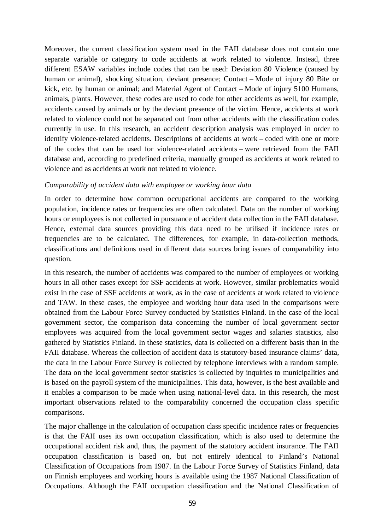Moreover, the current classification system used in the FAII database does not contain one separate variable or category to code accidents at work related to violence. Instead, three different ESAW variables include codes that can be used: Deviation 80 Violence (caused by human or animal), shocking situation, deviant presence; Contact – Mode of injury 80 Bite or kick, etc. by human or animal; and Material Agent of Contact – Mode of injury 5100 Humans, animals, plants. However, these codes are used to code for other accidents as well, for example, accidents caused by animals or by the deviant presence of the victim. Hence, accidents at work related to violence could not be separated out from other accidents with the classification codes currently in use. In this research, an accident description analysis was employed in order to identify violence-related accidents. Descriptions of accidents at work – coded with one or more of the codes that can be used for violence-related accidents – were retrieved from the FAII database and, according to predefined criteria, manually grouped as accidents at work related to violence and as accidents at work not related to violence.

## *Comparability of accident data with employee or working hour data*

In order to determine how common occupational accidents are compared to the working population, incidence rates or frequencies are often calculated. Data on the number of working hours or employees is not collected in pursuance of accident data collection in the FAII database. Hence, external data sources providing this data need to be utilised if incidence rates or frequencies are to be calculated. The differences, for example, in data-collection methods, classifications and definitions used in different data sources bring issues of comparability into question.

In this research, the number of accidents was compared to the number of employees or working hours in all other cases except for SSF accidents at work. However, similar problematics would exist in the case of SSF accidents at work, as in the case of accidents at work related to violence and TAW. In these cases, the employee and working hour data used in the comparisons were obtained from the Labour Force Survey conducted by Statistics Finland. In the case of the local government sector, the comparison data concerning the number of local government sector employees was acquired from the local government sector wages and salaries statistics, also gathered by Statistics Finland. In these statistics, data is collected on a different basis than in the FAII database. Whereas the collection of accident data is statutory-based insurance claims' data, the data in the Labour Force Survey is collected by telephone interviews with a random sample. The data on the local government sector statistics is collected by inquiries to municipalities and is based on the payroll system of the municipalities. This data, however, is the best available and it enables a comparison to be made when using national-level data. In this research, the most important observations related to the comparability concerned the occupation class specific comparisons.

The major challenge in the calculation of occupation class specific incidence rates or frequencies is that the FAII uses its own occupation classification, which is also used to determine the occupational accident risk and, thus, the payment of the statutory accident insurance. The FAII occupation classification is based on, but not entirely identical to Finland's National Classification of Occupations from 1987. In the Labour Force Survey of Statistics Finland, data on Finnish employees and working hours is available using the 1987 National Classification of Occupations. Although the FAII occupation classification and the National Classification of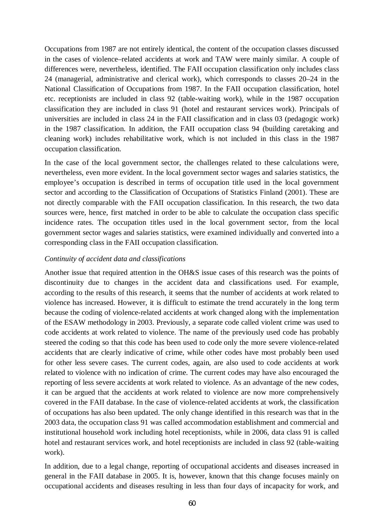Occupations from 1987 are not entirely identical, the content of the occupation classes discussed in the cases of violence–related accidents at work and TAW were mainly similar. A couple of differences were, nevertheless, identified. The FAII occupation classification only includes class 24 (managerial, administrative and clerical work), which corresponds to classes 20–24 in the National Classification of Occupations from 1987. In the FAII occupation classification, hotel etc. receptionists are included in class 92 (table-waiting work), while in the 1987 occupation classification they are included in class 91 (hotel and restaurant services work). Principals of universities are included in class 24 in the FAII classification and in class 03 (pedagogic work) in the 1987 classification. In addition, the FAII occupation class 94 (building caretaking and cleaning work) includes rehabilitative work, which is not included in this class in the 1987 occupation classification.

In the case of the local government sector, the challenges related to these calculations were, nevertheless, even more evident. In the local government sector wages and salaries statistics, the employee's occupation is described in terms of occupation title used in the local government sector and according to the Classification of Occupations of Statistics Finland (2001). These are not directly comparable with the FAII occupation classification. In this research, the two data sources were, hence, first matched in order to be able to calculate the occupation class specific incidence rates. The occupation titles used in the local government sector, from the local government sector wages and salaries statistics, were examined individually and converted into a corresponding class in the FAII occupation classification.

## *Continuity of accident data and classifications*

Another issue that required attention in the OH&S issue cases of this research was the points of discontinuity due to changes in the accident data and classifications used. For example, according to the results of this research, it seems that the number of accidents at work related to violence has increased. However, it is difficult to estimate the trend accurately in the long term because the coding of violence-related accidents at work changed along with the implementation of the ESAW methodology in 2003. Previously, a separate code called violent crime was used to code accidents at work related to violence. The name of the previously used code has probably steered the coding so that this code has been used to code only the more severe violence-related accidents that are clearly indicative of crime, while other codes have most probably been used for other less severe cases. The current codes, again, are also used to code accidents at work related to violence with no indication of crime. The current codes may have also encouraged the reporting of less severe accidents at work related to violence. As an advantage of the new codes, it can be argued that the accidents at work related to violence are now more comprehensively covered in the FAII database. In the case of violence-related accidents at work, the classification of occupations has also been updated. The only change identified in this research was that in the 2003 data, the occupation class 91 was called accommodation establishment and commercial and institutional household work including hotel receptionists, while in 2006, data class 91 is called hotel and restaurant services work, and hotel receptionists are included in class 92 (table-waiting work).

In addition, due to a legal change, reporting of occupational accidents and diseases increased in general in the FAII database in 2005. It is, however, known that this change focuses mainly on occupational accidents and diseases resulting in less than four days of incapacity for work, and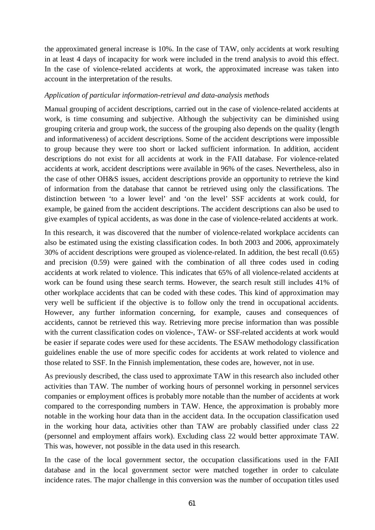the approximated general increase is 10%. In the case of TAW, only accidents at work resulting in at least 4 days of incapacity for work were included in the trend analysis to avoid this effect. In the case of violence-related accidents at work, the approximated increase was taken into account in the interpretation of the results.

## *Application of particular information-retrieval and data-analysis methods*

Manual grouping of accident descriptions, carried out in the case of violence-related accidents at work, is time consuming and subjective. Although the subjectivity can be diminished using grouping criteria and group work, the success of the grouping also depends on the quality (length and informativeness) of accident descriptions. Some of the accident descriptions were impossible to group because they were too short or lacked sufficient information. In addition, accident descriptions do not exist for all accidents at work in the FAII database. For violence-related accidents at work, accident descriptions were available in 96% of the cases. Nevertheless, also in the case of other OH&S issues, accident descriptions provide an opportunity to retrieve the kind of information from the database that cannot be retrieved using only the classifications. The distinction between 'to a lower level' and 'on the level' SSF accidents at work could, for example, be gained from the accident descriptions. The accident descriptions can also be used to give examples of typical accidents, as was done in the case of violence-related accidents at work.

In this research, it was discovered that the number of violence-related workplace accidents can also be estimated using the existing classification codes. In both 2003 and 2006, approximately 30% of accident descriptions were grouped as violence-related. In addition, the best recall (0.65) and precision (0.59) were gained with the combination of all three codes used in coding accidents at work related to violence. This indicates that 65% of all violence-related accidents at work can be found using these search terms. However, the search result still includes 41% of other workplace accidents that can be coded with these codes. This kind of approximation may very well be sufficient if the objective is to follow only the trend in occupational accidents. However, any further information concerning, for example, causes and consequences of accidents, cannot be retrieved this way. Retrieving more precise information than was possible with the current classification codes on violence-, TAW- or SSF-related accidents at work would be easier if separate codes were used for these accidents. The ESAW methodology classification guidelines enable the use of more specific codes for accidents at work related to violence and those related to SSF. In the Finnish implementation, these codes are, however, not in use.

As previously described, the class used to approximate TAW in this research also included other activities than TAW. The number of working hours of personnel working in personnel services companies or employment offices is probably more notable than the number of accidents at work compared to the corresponding numbers in TAW. Hence, the approximation is probably more notable in the working hour data than in the accident data. In the occupation classification used in the working hour data, activities other than TAW are probably classified under class 22 (personnel and employment affairs work). Excluding class 22 would better approximate TAW. This was, however, not possible in the data used in this research.

In the case of the local government sector, the occupation classifications used in the FAII database and in the local government sector were matched together in order to calculate incidence rates. The major challenge in this conversion was the number of occupation titles used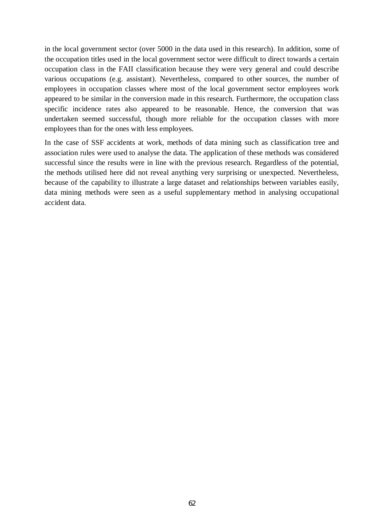in the local government sector (over 5000 in the data used in this research). In addition, some of the occupation titles used in the local government sector were difficult to direct towards a certain occupation class in the FAII classification because they were very general and could describe various occupations (e.g. assistant). Nevertheless, compared to other sources, the number of employees in occupation classes where most of the local government sector employees work appeared to be similar in the conversion made in this research. Furthermore, the occupation class specific incidence rates also appeared to be reasonable. Hence, the conversion that was undertaken seemed successful, though more reliable for the occupation classes with more employees than for the ones with less employees.

In the case of SSF accidents at work, methods of data mining such as classification tree and association rules were used to analyse the data. The application of these methods was considered successful since the results were in line with the previous research. Regardless of the potential, the methods utilised here did not reveal anything very surprising or unexpected. Nevertheless, because of the capability to illustrate a large dataset and relationships between variables easily, data mining methods were seen as a useful supplementary method in analysing occupational accident data.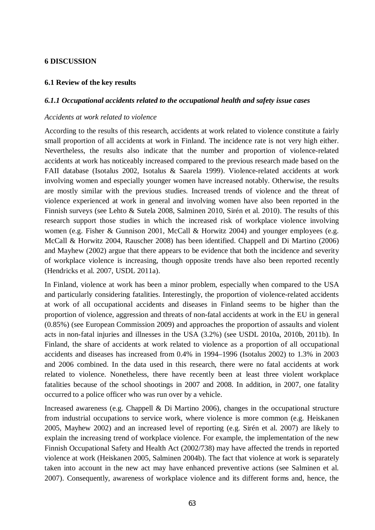#### **6 DISCUSSION**

### **6.1 Review of the key results**

#### *6.1.1 Occupational accidents related to the occupational health and safety issue cases*

## *Accidents at work related to violence*

According to the results of this research, accidents at work related to violence constitute a fairly small proportion of all accidents at work in Finland. The incidence rate is not very high either. Nevertheless, the results also indicate that the number and proportion of violence-related accidents at work has noticeably increased compared to the previous research made based on the FAII database (Isotalus 2002, Isotalus & Saarela 1999). Violence-related accidents at work involving women and especially younger women have increased notably. Otherwise, the results are mostly similar with the previous studies. Increased trends of violence and the threat of violence experienced at work in general and involving women have also been reported in the Finnish surveys (see Lehto & Sutela 2008, Salminen 2010, Sirén et al. 2010). The results of this research support those studies in which the increased risk of workplace violence involving women (e.g. Fisher & Gunnison 2001, McCall & Horwitz 2004) and younger employees (e.g. McCall & Horwitz 2004, Rauscher 2008) has been identified. Chappell and Di Martino (2006) and Mayhew (2002) argue that there appears to be evidence that both the incidence and severity of workplace violence is increasing, though opposite trends have also been reported recently (Hendricks et al. 2007, USDL 2011a).

In Finland, violence at work has been a minor problem, especially when compared to the USA and particularly considering fatalities. Interestingly, the proportion of violence-related accidents at work of all occupational accidents and diseases in Finland seems to be higher than the proportion of violence, aggression and threats of non-fatal accidents at work in the EU in general (0.85%) (see European Commission 2009) and approaches the proportion of assaults and violent acts in non-fatal injuries and illnesses in the USA (3.2%) (see USDL 2010a, 2010b, 2011b). In Finland, the share of accidents at work related to violence as a proportion of all occupational accidents and diseases has increased from 0.4% in 1994–1996 (Isotalus 2002) to 1.3% in 2003 and 2006 combined. In the data used in this research, there were no fatal accidents at work related to violence. Nonetheless, there have recently been at least three violent workplace fatalities because of the school shootings in 2007 and 2008. In addition, in 2007, one fatality occurred to a police officer who was run over by a vehicle.

Increased awareness (e.g. Chappell & Di Martino 2006), changes in the occupational structure from industrial occupations to service work, where violence is more common (e.g. Heiskanen 2005, Mayhew 2002) and an increased level of reporting (e.g. Sirén et al. 2007) are likely to explain the increasing trend of workplace violence. For example, the implementation of the new Finnish Occupational Safety and Health Act (2002/738) may have affected the trends in reported violence at work (Heiskanen 2005, Salminen 2004b). The fact that violence at work is separately taken into account in the new act may have enhanced preventive actions (see Salminen et al. 2007). Consequently, awareness of workplace violence and its different forms and, hence, the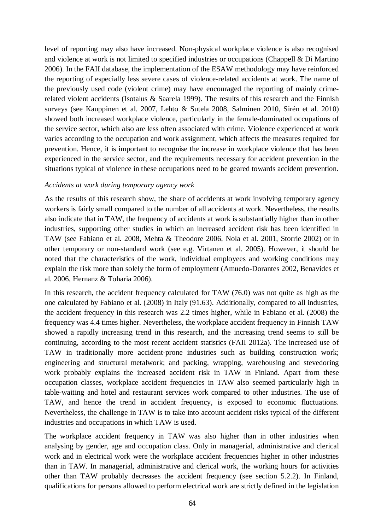level of reporting may also have increased. Non-physical workplace violence is also recognised and violence at work is not limited to specified industries or occupations (Chappell & Di Martino 2006). In the FAII database, the implementation of the ESAW methodology may have reinforced the reporting of especially less severe cases of violence-related accidents at work. The name of the previously used code (violent crime) may have encouraged the reporting of mainly crimerelated violent accidents (Isotalus & Saarela 1999). The results of this research and the Finnish surveys (see Kauppinen et al. 2007, Lehto & Sutela 2008, Salminen 2010, Sirén et al. 2010) showed both increased workplace violence, particularly in the female-dominated occupations of the service sector, which also are less often associated with crime. Violence experienced at work varies according to the occupation and work assignment, which affects the measures required for prevention. Hence, it is important to recognise the increase in workplace violence that has been experienced in the service sector, and the requirements necessary for accident prevention in the situations typical of violence in these occupations need to be geared towards accident prevention.

#### *Accidents at work during temporary agency work*

As the results of this research show, the share of accidents at work involving temporary agency workers is fairly small compared to the number of all accidents at work. Nevertheless, the results also indicate that in TAW, the frequency of accidents at work is substantially higher than in other industries, supporting other studies in which an increased accident risk has been identified in TAW (see Fabiano et al. 2008, Mehta & Theodore 2006, Nola et al. 2001, Storrie 2002) or in other temporary or non-standard work (see e.g. Virtanen et al. 2005). However, it should be noted that the characteristics of the work, individual employees and working conditions may explain the risk more than solely the form of employment (Amuedo-Dorantes 2002, Benavides et al. 2006, Hernanz & Toharia 2006).

In this research, the accident frequency calculated for TAW (76.0) was not quite as high as the one calculated by Fabiano et al. (2008) in Italy (91.63). Additionally, compared to all industries, the accident frequency in this research was 2.2 times higher, while in Fabiano et al. (2008) the frequency was 4.4 times higher. Nevertheless, the workplace accident frequency in Finnish TAW showed a rapidly increasing trend in this research, and the increasing trend seems to still be continuing, according to the most recent accident statistics (FAII 2012a). The increased use of TAW in traditionally more accident-prone industries such as building construction work; engineering and structural metalwork; and packing, wrapping, warehousing and stevedoring work probably explains the increased accident risk in TAW in Finland. Apart from these occupation classes, workplace accident frequencies in TAW also seemed particularly high in table-waiting and hotel and restaurant services work compared to other industries. The use of TAW, and hence the trend in accident frequency, is exposed to economic fluctuations. Nevertheless, the challenge in TAW is to take into account accident risks typical of the different industries and occupations in which TAW is used.

The workplace accident frequency in TAW was also higher than in other industries when analysing by gender, age and occupation class. Only in managerial, administrative and clerical work and in electrical work were the workplace accident frequencies higher in other industries than in TAW. In managerial, administrative and clerical work, the working hours for activities other than TAW probably decreases the accident frequency (see section 5.2.2). In Finland, qualifications for persons allowed to perform electrical work are strictly defined in the legislation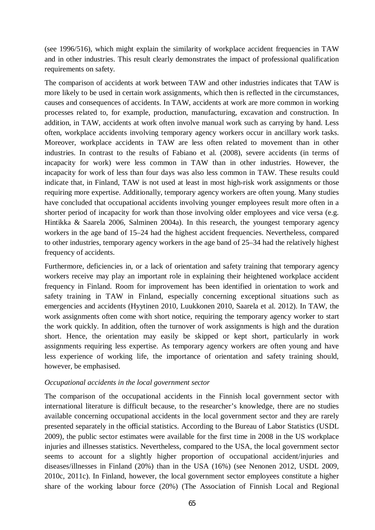(see 1996/516), which might explain the similarity of workplace accident frequencies in TAW and in other industries. This result clearly demonstrates the impact of professional qualification requirements on safety.

The comparison of accidents at work between TAW and other industries indicates that TAW is more likely to be used in certain work assignments, which then is reflected in the circumstances, causes and consequences of accidents. In TAW, accidents at work are more common in working processes related to, for example, production, manufacturing, excavation and construction. In addition, in TAW, accidents at work often involve manual work such as carrying by hand. Less often, workplace accidents involving temporary agency workers occur in ancillary work tasks. Moreover, workplace accidents in TAW are less often related to movement than in other industries. In contrast to the results of Fabiano et al. (2008), severe accidents (in terms of incapacity for work) were less common in TAW than in other industries. However, the incapacity for work of less than four days was also less common in TAW. These results could indicate that, in Finland, TAW is not used at least in most high-risk work assignments or those requiring more expertise. Additionally, temporary agency workers are often young. Many studies have concluded that occupational accidents involving younger employees result more often in a shorter period of incapacity for work than those involving older employees and vice versa (e.g. Hintikka & Saarela 2006, Salminen 2004a). In this research, the youngest temporary agency workers in the age band of 15–24 had the highest accident frequencies. Nevertheless, compared to other industries, temporary agency workers in the age band of 25–34 had the relatively highest frequency of accidents.

Furthermore, deficiencies in, or a lack of orientation and safety training that temporary agency workers receive may play an important role in explaining their heightened workplace accident frequency in Finland. Room for improvement has been identified in orientation to work and safety training in TAW in Finland, especially concerning exceptional situations such as emergencies and accidents (Hyytinen 2010, Luukkonen 2010, Saarela et al. 2012). In TAW, the work assignments often come with short notice, requiring the temporary agency worker to start the work quickly. In addition, often the turnover of work assignments is high and the duration short. Hence, the orientation may easily be skipped or kept short, particularly in work assignments requiring less expertise. As temporary agency workers are often young and have less experience of working life, the importance of orientation and safety training should, however, be emphasised.

#### *Occupational accidents in the local government sector*

The comparison of the occupational accidents in the Finnish local government sector with international literature is difficult because, to the researcher's knowledge, there are no studies available concerning occupational accidents in the local government sector and they are rarely presented separately in the official statistics. According to the Bureau of Labor Statistics (USDL) 2009), the public sector estimates were available for the first time in 2008 in the US workplace injuries and illnesses statistics. Nevertheless, compared to the USA, the local government sector seems to account for a slightly higher proportion of occupational accident/injuries and diseases/illnesses in Finland (20%) than in the USA (16%) (see Nenonen 2012, USDL 2009, 2010c, 2011c). In Finland, however, the local government sector employees constitute a higher share of the working labour force (20%) (The Association of Finnish Local and Regional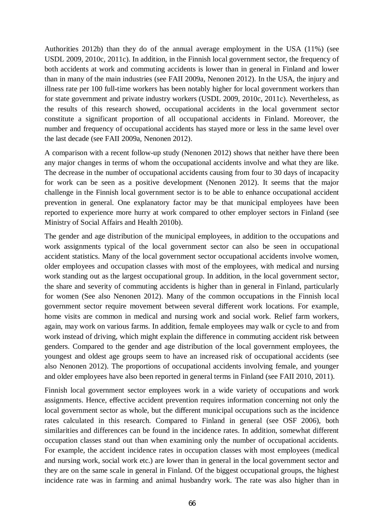Authorities 2012b) than they do of the annual average employment in the USA (11%) (see USDL 2009, 2010c, 2011c). In addition, in the Finnish local government sector, the frequency of both accidents at work and commuting accidents is lower than in general in Finland and lower than in many of the main industries (see FAII 2009a, Nenonen 2012). In the USA, the injury and illness rate per 100 full-time workers has been notably higher for local government workers than for state government and private industry workers (USDL 2009, 2010c, 2011c). Nevertheless, as the results of this research showed, occupational accidents in the local government sector constitute a significant proportion of all occupational accidents in Finland. Moreover, the number and frequency of occupational accidents has stayed more or less in the same level over the last decade (see FAII 2009a, Nenonen 2012).

A comparison with a recent follow-up study (Nenonen 2012) shows that neither have there been any major changes in terms of whom the occupational accidents involve and what they are like. The decrease in the number of occupational accidents causing from four to 30 days of incapacity for work can be seen as a positive development (Nenonen 2012). It seems that the major challenge in the Finnish local government sector is to be able to enhance occupational accident prevention in general. One explanatory factor may be that municipal employees have been reported to experience more hurry at work compared to other employer sectors in Finland (see Ministry of Social Affairs and Health 2010b).

The gender and age distribution of the municipal employees, in addition to the occupations and work assignments typical of the local government sector can also be seen in occupational accident statistics. Many of the local government sector occupational accidents involve women, older employees and occupation classes with most of the employees, with medical and nursing work standing out as the largest occupational group. In addition, in the local government sector, the share and severity of commuting accidents is higher than in general in Finland, particularly for women (See also Nenonen 2012). Many of the common occupations in the Finnish local government sector require movement between several different work locations. For example, home visits are common in medical and nursing work and social work. Relief farm workers, again, may work on various farms. In addition, female employees may walk or cycle to and from work instead of driving, which might explain the difference in commuting accident risk between genders. Compared to the gender and age distribution of the local government employees, the youngest and oldest age groups seem to have an increased risk of occupational accidents (see also Nenonen 2012). The proportions of occupational accidents involving female, and younger and older employees have also been reported in general terms in Finland (see FAII 2010, 2011).

Finnish local government sector employees work in a wide variety of occupations and work assignments. Hence, effective accident prevention requires information concerning not only the local government sector as whole, but the different municipal occupations such as the incidence rates calculated in this research. Compared to Finland in general (see OSF 2006), both similarities and differences can be found in the incidence rates. In addition, somewhat different occupation classes stand out than when examining only the number of occupational accidents. For example, the accident incidence rates in occupation classes with most employees (medical and nursing work, social work etc.) are lower than in general in the local government sector and they are on the same scale in general in Finland. Of the biggest occupational groups, the highest incidence rate was in farming and animal husbandry work. The rate was also higher than in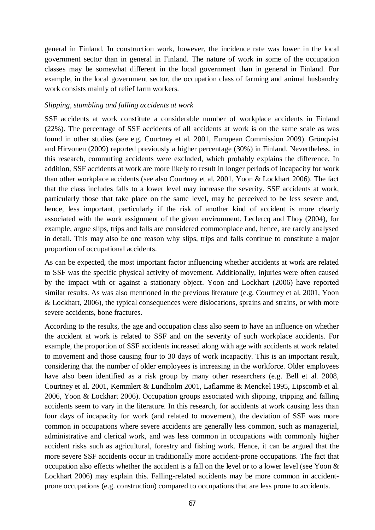general in Finland. In construction work, however, the incidence rate was lower in the local government sector than in general in Finland. The nature of work in some of the occupation classes may be somewhat different in the local government than in general in Finland. For example, in the local government sector, the occupation class of farming and animal husbandry work consists mainly of relief farm workers.

#### *Slipping, stumbling and falling accidents at work*

SSF accidents at work constitute a considerable number of workplace accidents in Finland (22%). The percentage of SSF accidents of all accidents at work is on the same scale as was found in other studies (see e.g. Courtney et al. 2001, European Commission 2009). Grönqvist and Hirvonen (2009) reported previously a higher percentage (30%) in Finland. Nevertheless, in this research, commuting accidents were excluded, which probably explains the difference. In addition, SSF accidents at work are more likely to result in longer periods of incapacity for work than other workplace accidents (see also Courtney et al. 2001, Yoon & Lockhart 2006). The fact that the class includes falls to a lower level may increase the severity. SSF accidents at work, particularly those that take place on the same level, may be perceived to be less severe and, hence, less important, particularly if the risk of another kind of accident is more clearly associated with the work assignment of the given environment. Leclercq and Thoy (2004), for example, argue slips, trips and falls are considered commonplace and, hence, are rarely analysed in detail. This may also be one reason why slips, trips and falls continue to constitute a major proportion of occupational accidents.

As can be expected, the most important factor influencing whether accidents at work are related to SSF was the specific physical activity of movement. Additionally, injuries were often caused by the impact with or against a stationary object. Yoon and Lockhart (2006) have reported similar results. As was also mentioned in the previous literature (e.g. Courtney et al. 2001, Yoon & Lockhart, 2006), the typical consequences were dislocations, sprains and strains, or with more severe accidents, bone fractures.

According to the results, the age and occupation class also seem to have an influence on whether the accident at work is related to SSF and on the severity of such workplace accidents. For example, the proportion of SSF accidents increased along with age with accidents at work related to movement and those causing four to 30 days of work incapacity. This is an important result, considering that the number of older employees is increasing in the workforce. Older employees have also been identified as a risk group by many other researchers (e.g. Bell et al. 2008, Courtney et al. 2001, Kemmlert & Lundholm 2001, Laflamme & Menckel 1995, Lipscomb et al. 2006, Yoon & Lockhart 2006). Occupation groups associated with slipping, tripping and falling accidents seem to vary in the literature. In this research, for accidents at work causing less than four days of incapacity for work (and related to movement), the deviation of SSF was more common in occupations where severe accidents are generally less common, such as managerial, administrative and clerical work, and was less common in occupations with commonly higher accident risks such as agricultural, forestry and fishing work. Hence, it can be argued that the more severe SSF accidents occur in traditionally more accident-prone occupations. The fact that occupation also effects whether the accident is a fall on the level or to a lower level (see Yoon & Lockhart 2006) may explain this. Falling-related accidents may be more common in accidentprone occupations (e.g. construction) compared to occupations that are less prone to accidents.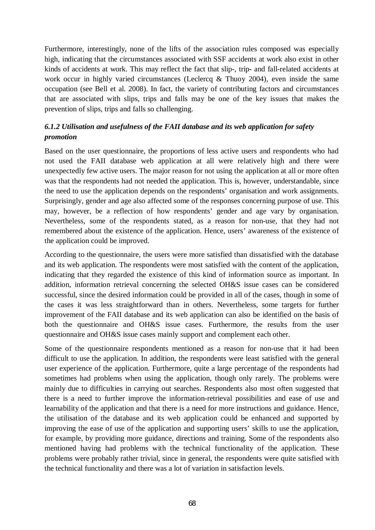Furthermore, interestingly, none of the lifts of the association rules composed was especially high, indicating that the circumstances associated with SSF accidents at work also exist in other kinds of accidents at work. This may reflect the fact that slip-, trip- and fall-related accidents at work occur in highly varied circumstances (Leclercq & Thuoy 2004), even inside the same occupation (see Bell et al. 2008). In fact, the variety of contributing factors and circumstances that are associated with slips, trips and falls may be one of the key issues that makes the prevention of slips, trips and falls so challenging.

# *6.1.2 Utilisation and usefulness of the FAII database and its web application for safety promotion*

Based on the user questionnaire, the proportions of less active users and respondents who had not used the FAII database web application at all were relatively high and there were unexpectedly few active users. The major reason for not using the application at all or more often was that the respondents had not needed the application. This is, however, understandable, since the need to use the application depends on the respondents' organisation and work assignments. Surprisingly, gender and age also affected some of the responses concerning purpose of use. This may, however, be a reflection of how respondents' gender and age vary by organisation. Nevertheless, some of the respondents stated, as a reason for non-use, that they had not remembered about the existence of the application. Hence, users' awareness of the existence of the application could be improved.

According to the questionnaire, the users were more satisfied than dissatisfied with the database and its web application. The respondents were most satisfied with the content of the application, indicating that they regarded the existence of this kind of information source as important. In addition, information retrieval concerning the selected OH&S issue cases can be considered successful, since the desired information could be provided in all of the cases, though in some of the cases it was less straightforward than in others. Nevertheless, some targets for further improvement of the FAII database and its web application can also be identified on the basis of both the questionnaire and OH&S issue cases. Furthermore, the results from the user questionnaire and OH&S issue cases mainly support and complement each other.

Some of the questionnaire respondents mentioned as a reason for non-use that it had been difficult to use the application. In addition, the respondents were least satisfied with the general user experience of the application. Furthermore, quite a large percentage of the respondents had sometimes had problems when using the application, though only rarely. The problems were mainly due to difficulties in carrying out searches. Respondents also most often suggested that there is a need to further improve the information-retrieval possibilities and ease of use and learnability of the application and that there is a need for more instructions and guidance. Hence, the utilisation of the database and its web application could be enhanced and supported by improving the ease of use of the application and supporting users' skills to use the application, for example, by providing more guidance, directions and training. Some of the respondents also mentioned having had problems with the technical functionality of the application. These problems were probably rather trivial, since in general, the respondents were quite satisfied with the technical functionality and there was a lot of variation in satisfaction levels.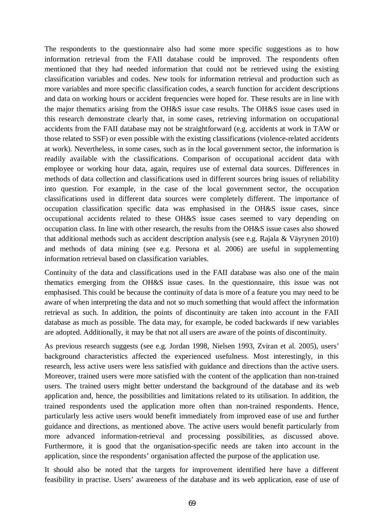The respondents to the questionnaire also had some more specific suggestions as to how information retrieval from the FAII database could be improved. The respondents often mentioned that they had needed information that could not be retrieved using the existing classification variables and codes. New tools for information retrieval and production such as more variables and more specific classification codes, a search function for accident descriptions and data on working hours or accident frequencies were hoped for. These results are in line with the major thematics arising from the OH&S issue case results. The OH&S issue cases used in this research demonstrate clearly that, in some cases, retrieving information on occupational accidents from the FAII database may not be straightforward (e.g. accidents at work in TAW or those related to SSF) or even possible with the existing classifications (violence-related accidents at work). Nevertheless, in some cases, such as in the local government sector, the information is readily available with the classifications. Comparison of occupational accident data with employee or working hour data, again, requires use of external data sources. Differences in methods of data collection and classifications used in different sources bring issues of reliability into question. For example, in the case of the local government sector, the occupation classifications used in different data sources were completely different. The importance of occupation classification specific data was emphasised in the OH&S issue cases, since occupational accidents related to these OH&S issue cases seemed to vary depending on occupation class. In line with other research, the results from the OH&S issue cases also showed that additional methods such as accident description analysis (see e.g. Rajala & Väyrynen 2010) and methods of data mining (see e.g. Persona et al. 2006) are useful in supplementing information retrieval based on classification variables.

Continuity of the data and classifications used in the FAII database was also one of the main thematics emerging from the OH&S issue cases. In the questionnaire, this issue was not emphasised. This could be because the continuity of data is more of a feature you may need to be aware of when interpreting the data and not so much something that would affect the information retrieval as such. In addition, the points of discontinuity are taken into account in the FAII database as much as possible. The data may, for example, be coded backwards if new variables are adopted. Additionally, it may be that not all users are aware of the points of discontinuity.

As previous research suggests (see e.g. Jordan 1998, Nielsen 1993, Zviran et al. 2005), users' background characteristics affected the experienced usefulness. Most interestingly, in this research, less active users were less satisfied with guidance and directions than the active users. Moreover, trained users were more satisfied with the content of the application than non-trained users. The trained users might better understand the background of the database and its web application and, hence, the possibilities and limitations related to its utilisation. In addition, the trained respondents used the application more often than non-trained respondents. Hence, particularly less active users would benefit immediately from improved ease of use and further guidance and directions, as mentioned above. The active users would benefit particularly from more advanced information-retrieval and processing possibilities, as discussed above. Furthermore, it is good that the organisation-specific needs are taken into account in the application, since the respondents' organisation affected the purpose of the application use.

It should also be noted that the targets for improvement identified here have a different feasibility in practise. Users' awareness of the database and its web application, ease of use of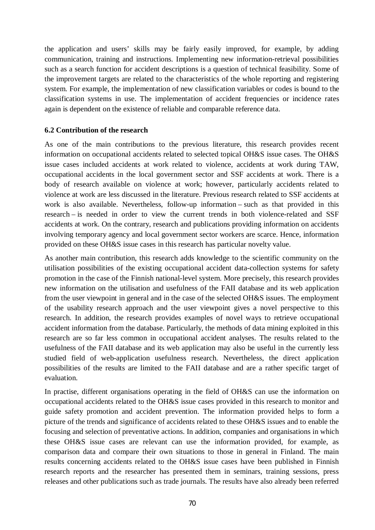the application and users' skills may be fairly easily improved, for example, by adding communication, training and instructions. Implementing new information-retrieval possibilities such as a search function for accident descriptions is a question of technical feasibility. Some of the improvement targets are related to the characteristics of the whole reporting and registering system. For example, the implementation of new classification variables or codes is bound to the classification systems in use. The implementation of accident frequencies or incidence rates again is dependent on the existence of reliable and comparable reference data.

#### **6.2 Contribution of the research**

As one of the main contributions to the previous literature, this research provides recent information on occupational accidents related to selected topical OH&S issue cases. The OH&S issue cases included accidents at work related to violence, accidents at work during TAW, occupational accidents in the local government sector and SSF accidents at work. There is a body of research available on violence at work; however, particularly accidents related to violence at work are less discussed in the literature. Previous research related to SSF accidents at work is also available. Nevertheless, follow-up information – such as that provided in this research – is needed in order to view the current trends in both violence-related and SSF accidents at work. On the contrary, research and publications providing information on accidents involving temporary agency and local government sector workers are scarce. Hence, information provided on these OH&S issue cases in this research has particular novelty value.

As another main contribution, this research adds knowledge to the scientific community on the utilisation possibilities of the existing occupational accident data-collection systems for safety promotion in the case of the Finnish national-level system. More precisely, this research provides new information on the utilisation and usefulness of the FAII database and its web application from the user viewpoint in general and in the case of the selected OH&S issues. The employment of the usability research approach and the user viewpoint gives a novel perspective to this research. In addition, the research provides examples of novel ways to retrieve occupational accident information from the database. Particularly, the methods of data mining exploited in this research are so far less common in occupational accident analyses. The results related to the usefulness of the FAII database and its web application may also be useful in the currently less studied field of web-application usefulness research. Nevertheless, the direct application possibilities of the results are limited to the FAII database and are a rather specific target of evaluation.

In practise, different organisations operating in the field of OH&S can use the information on occupational accidents related to the OH&S issue cases provided in this research to monitor and guide safety promotion and accident prevention. The information provided helps to form a picture of the trends and significance of accidents related to these OH&S issues and to enable the focusing and selection of preventative actions. In addition, companies and organisations in which these OH&S issue cases are relevant can use the information provided, for example, as comparison data and compare their own situations to those in general in Finland. The main results concerning accidents related to the OH&S issue cases have been published in Finnish research reports and the researcher has presented them in seminars, training sessions, press releases and other publications such as trade journals. The results have also already been referred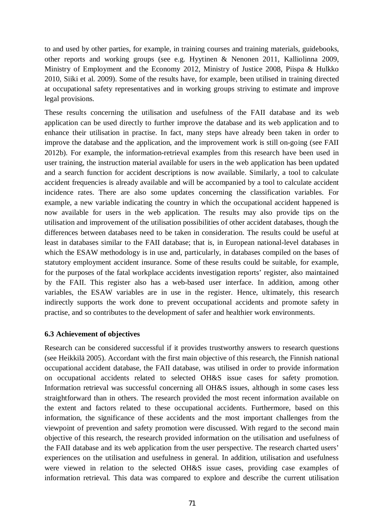to and used by other parties, for example, in training courses and training materials, guidebooks, other reports and working groups (see e.g. Hyytinen & Nenonen 2011, Kalliolinna 2009, Ministry of Employment and the Economy 2012, Ministry of Justice 2008, Piispa & Hulkko 2010, Siiki et al. 2009). Some of the results have, for example, been utilised in training directed at occupational safety representatives and in working groups striving to estimate and improve legal provisions.

These results concerning the utilisation and usefulness of the FAII database and its web application can be used directly to further improve the database and its web application and to enhance their utilisation in practise. In fact, many steps have already been taken in order to improve the database and the application, and the improvement work is still on-going (see FAII 2012b). For example, the information-retrieval examples from this research have been used in user training, the instruction material available for users in the web application has been updated and a search function for accident descriptions is now available. Similarly, a tool to calculate accident frequencies is already available and will be accompanied by a tool to calculate accident incidence rates. There are also some updates concerning the classification variables. For example, a new variable indicating the country in which the occupational accident happened is now available for users in the web application. The results may also provide tips on the utilisation and improvement of the utilisation possibilities of other accident databases, though the differences between databases need to be taken in consideration. The results could be useful at least in databases similar to the FAII database; that is, in European national-level databases in which the ESAW methodology is in use and, particularly, in databases compiled on the bases of statutory employment accident insurance. Some of these results could be suitable, for example, for the purposes of the fatal workplace accidents investigation reports' register, also maintained by the FAII. This register also has a web-based user interface. In addition, among other variables, the ESAW variables are in use in the register. Hence, ultimately, this research indirectly supports the work done to prevent occupational accidents and promote safety in practise, and so contributes to the development of safer and healthier work environments.

#### **6.3 Achievement of objectives**

Research can be considered successful if it provides trustworthy answers to research questions (see Heikkilä 2005). Accordant with the first main objective of this research, the Finnish national occupational accident database, the FAII database, was utilised in order to provide information on occupational accidents related to selected OH&S issue cases for safety promotion. Information retrieval was successful concerning all OH&S issues, although in some cases less straightforward than in others. The research provided the most recent information available on the extent and factors related to these occupational accidents. Furthermore, based on this information, the significance of these accidents and the most important challenges from the viewpoint of prevention and safety promotion were discussed. With regard to the second main objective of this research, the research provided information on the utilisation and usefulness of the FAII database and its web application from the user perspective. The research charted users' experiences on the utilisation and usefulness in general. In addition, utilisation and usefulness were viewed in relation to the selected OH&S issue cases, providing case examples of information retrieval. This data was compared to explore and describe the current utilisation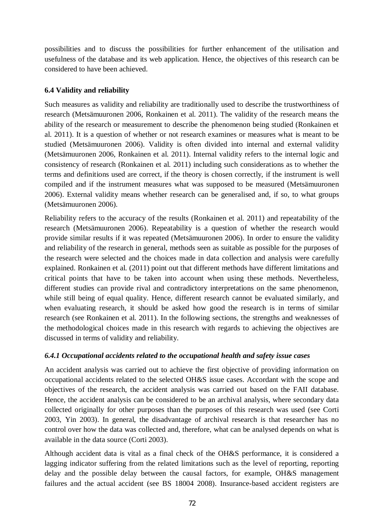possibilities and to discuss the possibilities for further enhancement of the utilisation and usefulness of the database and its web application. Hence, the objectives of this research can be considered to have been achieved.

# **6.4 Validity and reliability**

Such measures as validity and reliability are traditionally used to describe the trustworthiness of research (Metsämuuronen 2006, Ronkainen et al. 2011). The validity of the research means the ability of the research or measurement to describe the phenomenon being studied (Ronkainen et al. 2011). It is a question of whether or not research examines or measures what is meant to be studied (Metsämuuronen 2006). Validity is often divided into internal and external validity (Metsämuuronen 2006, Ronkainen et al. 2011). Internal validity refers to the internal logic and consistency of research (Ronkainen et al. 2011) including such considerations as to whether the terms and definitions used are correct, if the theory is chosen correctly, if the instrument is well compiled and if the instrument measures what was supposed to be measured (Metsämuuronen 2006). External validity means whether research can be generalised and, if so, to what groups (Metsämuuronen 2006).

Reliability refers to the accuracy of the results (Ronkainen et al. 2011) and repeatability of the research (Metsämuuronen 2006). Repeatability is a question of whether the research would provide similar results if it was repeated (Metsämuuronen 2006). In order to ensure the validity and reliability of the research in general, methods seen as suitable as possible for the purposes of the research were selected and the choices made in data collection and analysis were carefully explained. Ronkainen et al. (2011) point out that different methods have different limitations and critical points that have to be taken into account when using these methods. Nevertheless, different studies can provide rival and contradictory interpretations on the same phenomenon, while still being of equal quality. Hence, different research cannot be evaluated similarly, and when evaluating research, it should be asked how good the research is in terms of similar research (see Ronkainen et al. 2011). In the following sections, the strengths and weaknesses of the methodological choices made in this research with regards to achieving the objectives are discussed in terms of validity and reliability.

# *6.4.1 Occupational accidents related to the occupational health and safety issue cases*

An accident analysis was carried out to achieve the first objective of providing information on occupational accidents related to the selected OH&S issue cases. Accordant with the scope and objectives of the research, the accident analysis was carried out based on the FAII database. Hence, the accident analysis can be considered to be an archival analysis, where secondary data collected originally for other purposes than the purposes of this research was used (see Corti 2003, Yin 2003). In general, the disadvantage of archival research is that researcher has no control over how the data was collected and, therefore, what can be analysed depends on what is available in the data source (Corti 2003).

Although accident data is vital as a final check of the OH&S performance, it is considered a lagging indicator suffering from the related limitations such as the level of reporting, reporting delay and the possible delay between the causal factors, for example, OH&S management failures and the actual accident (see BS 18004 2008). Insurance-based accident registers are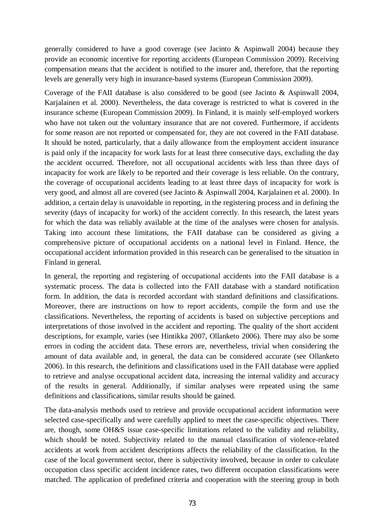generally considered to have a good coverage (see Jacinto & Aspinwall 2004) because they provide an economic incentive for reporting accidents (European Commission 2009). Receiving compensation means that the accident is notified to the insurer and, therefore, that the reporting levels are generally very high in insurance-based systems (European Commission 2009).

Coverage of the FAII database is also considered to be good (see Jacinto & Aspinwall 2004, Karjalainen et al. 2000). Nevertheless, the data coverage is restricted to what is covered in the insurance scheme (European Commission 2009). In Finland, it is mainly self-employed workers who have not taken out the voluntary insurance that are not covered. Furthermore, if accidents for some reason are not reported or compensated for, they are not covered in the FAII database. It should be noted, particularly, that a daily allowance from the employment accident insurance is paid only if the incapacity for work lasts for at least three consecutive days, excluding the day the accident occurred. Therefore, not all occupational accidents with less than three days of incapacity for work are likely to be reported and their coverage is less reliable. On the contrary, the coverage of occupational accidents leading to at least three days of incapacity for work is very good, and almost all are covered (see Jacinto & Aspinwall 2004, Karjalainen et al. 2000). In addition, a certain delay is unavoidable in reporting, in the registering process and in defining the severity (days of incapacity for work) of the accident correctly. In this research, the latest years for which the data was reliably available at the time of the analyses were chosen for analysis. Taking into account these limitations, the FAII database can be considered as giving a comprehensive picture of occupational accidents on a national level in Finland. Hence, the occupational accident information provided in this research can be generalised to the situation in Finland in general.

In general, the reporting and registering of occupational accidents into the FAII database is a systematic process. The data is collected into the FAII database with a standard notification form. In addition, the data is recorded accordant with standard definitions and classifications. Moreover, there are instructions on how to report accidents, compile the form and use the classifications. Nevertheless, the reporting of accidents is based on subjective perceptions and interpretations of those involved in the accident and reporting. The quality of the short accident descriptions, for example, varies (see Hintikka 2007, Ollanketo 2006). There may also be some errors in coding the accident data. These errors are, nevertheless, trivial when considering the amount of data available and, in general, the data can be considered accurate (see Ollanketo 2006). In this research, the definitions and classifications used in the FAII database were applied to retrieve and analyse occupational accident data, increasing the internal validity and accuracy of the results in general. Additionally, if similar analyses were repeated using the same definitions and classifications, similar results should be gained.

The data-analysis methods used to retrieve and provide occupational accident information were selected case-specifically and were carefully applied to meet the case-specific objectives. There are, though, some OH&S issue case-specific limitations related to the validity and reliability, which should be noted. Subjectivity related to the manual classification of violence-related accidents at work from accident descriptions affects the reliability of the classification. In the case of the local government sector, there is subjectivity involved, because in order to calculate occupation class specific accident incidence rates, two different occupation classifications were matched. The application of predefined criteria and cooperation with the steering group in both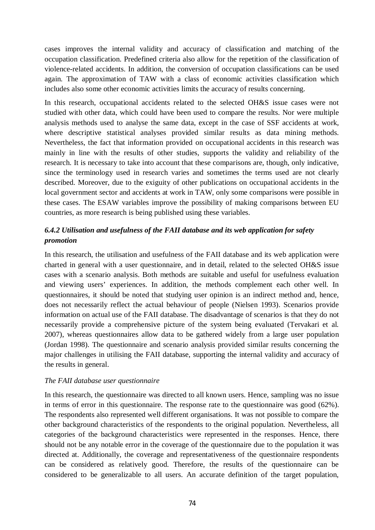cases improves the internal validity and accuracy of classification and matching of the occupation classification. Predefined criteria also allow for the repetition of the classification of violence-related accidents. In addition, the conversion of occupation classifications can be used again. The approximation of TAW with a class of economic activities classification which includes also some other economic activities limits the accuracy of results concerning.

In this research, occupational accidents related to the selected OH&S issue cases were not studied with other data, which could have been used to compare the results. Nor were multiple analysis methods used to analyse the same data, except in the case of SSF accidents at work, where descriptive statistical analyses provided similar results as data mining methods. Nevertheless, the fact that information provided on occupational accidents in this research was mainly in line with the results of other studies, supports the validity and reliability of the research. It is necessary to take into account that these comparisons are, though, only indicative, since the terminology used in research varies and sometimes the terms used are not clearly described. Moreover, due to the exiguity of other publications on occupational accidents in the local government sector and accidents at work in TAW, only some comparisons were possible in these cases. The ESAW variables improve the possibility of making comparisons between EU countries, as more research is being published using these variables.

# *6.4.2 Utilisation and usefulness of the FAII database and its web application for safety promotion*

In this research, the utilisation and usefulness of the FAII database and its web application were charted in general with a user questionnaire, and in detail, related to the selected OH&S issue cases with a scenario analysis. Both methods are suitable and useful for usefulness evaluation and viewing users' experiences. In addition, the methods complement each other well. In questionnaires, it should be noted that studying user opinion is an indirect method and, hence, does not necessarily reflect the actual behaviour of people (Nielsen 1993). Scenarios provide information on actual use of the FAII database. The disadvantage of scenarios is that they do not necessarily provide a comprehensive picture of the system being evaluated (Tervakari et al. 2007), whereas questionnaires allow data to be gathered widely from a large user population (Jordan 1998). The questionnaire and scenario analysis provided similar results concerning the major challenges in utilising the FAII database, supporting the internal validity and accuracy of the results in general.

#### *The FAII database user questionnaire*

In this research, the questionnaire was directed to all known users. Hence, sampling was no issue in terms of error in this questionnaire. The response rate to the questionnaire was good (62%). The respondents also represented well different organisations. It was not possible to compare the other background characteristics of the respondents to the original population. Nevertheless, all categories of the background characteristics were represented in the responses. Hence, there should not be any notable error in the coverage of the questionnaire due to the population it was directed at. Additionally, the coverage and representativeness of the questionnaire respondents can be considered as relatively good. Therefore, the results of the questionnaire can be considered to be generalizable to all users. An accurate definition of the target population,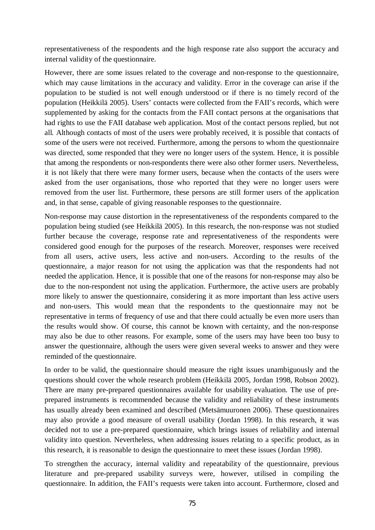representativeness of the respondents and the high response rate also support the accuracy and internal validity of the questionnaire.

However, there are some issues related to the coverage and non-response to the questionnaire, which may cause limitations in the accuracy and validity. Error in the coverage can arise if the population to be studied is not well enough understood or if there is no timely record of the population (Heikkilä 2005). Users' contacts were collected from the FAII's records, which were supplemented by asking for the contacts from the FAII contact persons at the organisations that had rights to use the FAII database web application. Most of the contact persons replied, but not all. Although contacts of most of the users were probably received, it is possible that contacts of some of the users were not received. Furthermore, among the persons to whom the questionnaire was directed, some responded that they were no longer users of the system. Hence, it is possible that among the respondents or non-respondents there were also other former users. Nevertheless, it is not likely that there were many former users, because when the contacts of the users were asked from the user organisations, those who reported that they were no longer users were removed from the user list. Furthermore, these persons are still former users of the application and, in that sense, capable of giving reasonable responses to the questionnaire.

Non-response may cause distortion in the representativeness of the respondents compared to the population being studied (see Heikkilä 2005). In this research, the non-response was not studied further because the coverage, response rate and representativeness of the respondents were considered good enough for the purposes of the research. Moreover, responses were received from all users, active users, less active and non-users. According to the results of the questionnaire, a major reason for not using the application was that the respondents had not needed the application. Hence, it is possible that one of the reasons for non-response may also be due to the non-respondent not using the application. Furthermore, the active users are probably more likely to answer the questionnaire, considering it as more important than less active users and non-users. This would mean that the respondents to the questionnaire may not be representative in terms of frequency of use and that there could actually be even more users than the results would show. Of course, this cannot be known with certainty, and the non-response may also be due to other reasons. For example, some of the users may have been too busy to answer the questionnaire, although the users were given several weeks to answer and they were reminded of the questionnaire.

In order to be valid, the questionnaire should measure the right issues unambiguously and the questions should cover the whole research problem (Heikkilä 2005, Jordan 1998, Robson 2002). There are many pre-prepared questionnaires available for usability evaluation. The use of preprepared instruments is recommended because the validity and reliability of these instruments has usually already been examined and described (Metsämuuronen 2006). These questionnaires may also provide a good measure of overall usability (Jordan 1998). In this research, it was decided not to use a pre-prepared questionnaire, which brings issues of reliability and internal validity into question. Nevertheless, when addressing issues relating to a specific product, as in this research, it is reasonable to design the questionnaire to meet these issues (Jordan 1998).

To strengthen the accuracy, internal validity and repeatability of the questionnaire, previous literature and pre-prepared usability surveys were, however, utilised in compiling the questionnaire. In addition, the FAII's requests were taken into account. Furthermore, closed and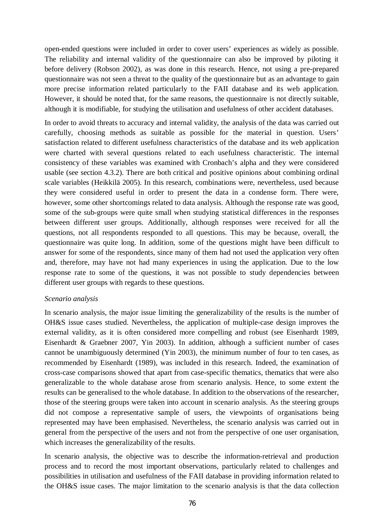open-ended questions were included in order to cover users' experiences as widely as possible. The reliability and internal validity of the questionnaire can also be improved by piloting it before delivery (Robson 2002), as was done in this research. Hence, not using a pre-prepared questionnaire was not seen a threat to the quality of the questionnaire but as an advantage to gain more precise information related particularly to the FAII database and its web application. However, it should be noted that, for the same reasons, the questionnaire is not directly suitable, although it is modifiable, for studying the utilisation and usefulness of other accident databases.

In order to avoid threats to accuracy and internal validity, the analysis of the data was carried out carefully, choosing methods as suitable as possible for the material in question. Users' satisfaction related to different usefulness characteristics of the database and its web application were charted with several questions related to each usefulness characteristic. The internal consistency of these variables was examined with Cronbach's alpha and they were considered usable (see section 4.3.2). There are both critical and positive opinions about combining ordinal scale variables (Heikkilä 2005). In this research, combinations were, nevertheless, used because they were considered useful in order to present the data in a condense form. There were, however, some other shortcomings related to data analysis. Although the response rate was good, some of the sub-groups were quite small when studying statistical differences in the responses between different user groups. Additionally, although responses were received for all the questions, not all respondents responded to all questions. This may be because, overall, the questionnaire was quite long. In addition, some of the questions might have been difficult to answer for some of the respondents, since many of them had not used the application very often and, therefore, may have not had many experiences in using the application. Due to the low response rate to some of the questions, it was not possible to study dependencies between different user groups with regards to these questions.

#### *Scenario analysis*

In scenario analysis, the major issue limiting the generalizability of the results is the number of OH&S issue cases studied. Nevertheless, the application of multiple-case design improves the external validity, as it is often considered more compelling and robust (see Eisenhardt 1989, Eisenhardt & Graebner 2007, Yin 2003). In addition, although a sufficient number of cases cannot be unambiguously determined (Yin 2003), the minimum number of four to ten cases, as recommended by Eisenhardt (1989), was included in this research. Indeed, the examination of cross-case comparisons showed that apart from case-specific thematics, thematics that were also generalizable to the whole database arose from scenario analysis. Hence, to some extent the results can be generalised to the whole database. In addition to the observations of the researcher, those of the steering groups were taken into account in scenario analysis. As the steering groups did not compose a representative sample of users, the viewpoints of organisations being represented may have been emphasised. Nevertheless, the scenario analysis was carried out in general from the perspective of the users and not from the perspective of one user organisation, which increases the generalizability of the results.

In scenario analysis, the objective was to describe the information-retrieval and production process and to record the most important observations, particularly related to challenges and possibilities in utilisation and usefulness of the FAII database in providing information related to the OH&S issue cases. The major limitation to the scenario analysis is that the data collection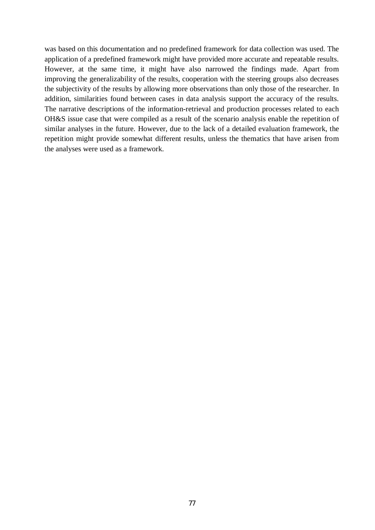was based on this documentation and no predefined framework for data collection was used. The application of a predefined framework might have provided more accurate and repeatable results. However, at the same time, it might have also narrowed the findings made. Apart from improving the generalizability of the results, cooperation with the steering groups also decreases the subjectivity of the results by allowing more observations than only those of the researcher. In addition, similarities found between cases in data analysis support the accuracy of the results. The narrative descriptions of the information-retrieval and production processes related to each OH&S issue case that were compiled as a result of the scenario analysis enable the repetition of similar analyses in the future. However, due to the lack of a detailed evaluation framework, the repetition might provide somewhat different results, unless the thematics that have arisen from the analyses were used as a framework.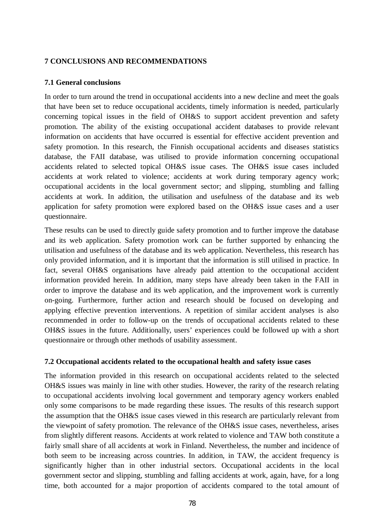## **7 CONCLUSIONS AND RECOMMENDATIONS**

#### **7.1 General conclusions**

In order to turn around the trend in occupational accidents into a new decline and meet the goals that have been set to reduce occupational accidents, timely information is needed, particularly concerning topical issues in the field of OH&S to support accident prevention and safety promotion. The ability of the existing occupational accident databases to provide relevant information on accidents that have occurred is essential for effective accident prevention and safety promotion. In this research, the Finnish occupational accidents and diseases statistics database, the FAII database, was utilised to provide information concerning occupational accidents related to selected topical OH&S issue cases. The OH&S issue cases included accidents at work related to violence; accidents at work during temporary agency work; occupational accidents in the local government sector; and slipping, stumbling and falling accidents at work. In addition, the utilisation and usefulness of the database and its web application for safety promotion were explored based on the OH&S issue cases and a user questionnaire.

These results can be used to directly guide safety promotion and to further improve the database and its web application. Safety promotion work can be further supported by enhancing the utilisation and usefulness of the database and its web application. Nevertheless, this research has only provided information, and it is important that the information is still utilised in practice. In fact, several OH&S organisations have already paid attention to the occupational accident information provided herein. In addition, many steps have already been taken in the FAII in order to improve the database and its web application, and the improvement work is currently on-going. Furthermore, further action and research should be focused on developing and applying effective prevention interventions. A repetition of similar accident analyses is also recommended in order to follow-up on the trends of occupational accidents related to these OH&S issues in the future. Additionally, users' experiences could be followed up with a short questionnaire or through other methods of usability assessment.

# **7.2 Occupational accidents related to the occupational health and safety issue cases**

The information provided in this research on occupational accidents related to the selected OH&S issues was mainly in line with other studies. However, the rarity of the research relating to occupational accidents involving local government and temporary agency workers enabled only some comparisons to be made regarding these issues. The results of this research support the assumption that the OH&S issue cases viewed in this research are particularly relevant from the viewpoint of safety promotion. The relevance of the OH&S issue cases, nevertheless, arises from slightly different reasons. Accidents at work related to violence and TAW both constitute a fairly small share of all accidents at work in Finland. Nevertheless, the number and incidence of both seem to be increasing across countries. In addition, in TAW, the accident frequency is significantly higher than in other industrial sectors. Occupational accidents in the local government sector and slipping, stumbling and falling accidents at work, again, have, for a long time, both accounted for a major proportion of accidents compared to the total amount of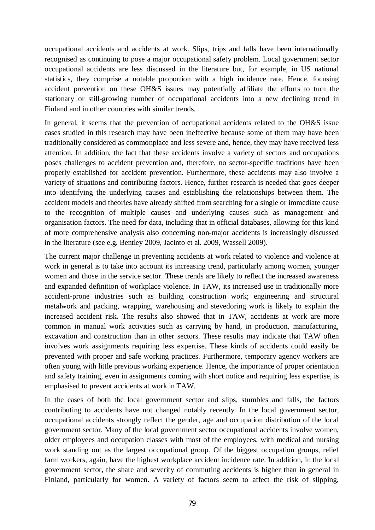occupational accidents and accidents at work. Slips, trips and falls have been internationally recognised as continuing to pose a major occupational safety problem. Local government sector occupational accidents are less discussed in the literature but, for example, in US national statistics, they comprise a notable proportion with a high incidence rate. Hence, focusing accident prevention on these OH&S issues may potentially affiliate the efforts to turn the stationary or still-growing number of occupational accidents into a new declining trend in Finland and in other countries with similar trends.

In general, it seems that the prevention of occupational accidents related to the OH&S issue cases studied in this research may have been ineffective because some of them may have been traditionally considered as commonplace and less severe and, hence, they may have received less attention. In addition, the fact that these accidents involve a variety of sectors and occupations poses challenges to accident prevention and, therefore, no sector-specific traditions have been properly established for accident prevention. Furthermore, these accidents may also involve a variety of situations and contributing factors. Hence, further research is needed that goes deeper into identifying the underlying causes and establishing the relationships between them. The accident models and theories have already shifted from searching for a single or immediate cause to the recognition of multiple causes and underlying causes such as management and organisation factors. The need for data, including that in official databases, allowing for this kind of more comprehensive analysis also concerning non-major accidents is increasingly discussed in the literature (see e.g. Bentley 2009, Jacinto et al. 2009, Wassell 2009).

The current major challenge in preventing accidents at work related to violence and violence at work in general is to take into account its increasing trend, particularly among women, younger women and those in the service sector. These trends are likely to reflect the increased awareness and expanded definition of workplace violence. In TAW, its increased use in traditionally more accident-prone industries such as building construction work; engineering and structural metalwork and packing, wrapping, warehousing and stevedoring work is likely to explain the increased accident risk. The results also showed that in TAW, accidents at work are more common in manual work activities such as carrying by hand, in production, manufacturing, excavation and construction than in other sectors. These results may indicate that TAW often involves work assignments requiring less expertise. These kinds of accidents could easily be prevented with proper and safe working practices. Furthermore, temporary agency workers are often young with little previous working experience. Hence, the importance of proper orientation and safety training, even in assignments coming with short notice and requiring less expertise, is emphasised to prevent accidents at work in TAW.

In the cases of both the local government sector and slips, stumbles and falls, the factors contributing to accidents have not changed notably recently. In the local government sector, occupational accidents strongly reflect the gender, age and occupation distribution of the local government sector. Many of the local government sector occupational accidents involve women, older employees and occupation classes with most of the employees, with medical and nursing work standing out as the largest occupational group. Of the biggest occupation groups, relief farm workers, again, have the highest workplace accident incidence rate. In addition, in the local government sector, the share and severity of commuting accidents is higher than in general in Finland, particularly for women. A variety of factors seem to affect the risk of slipping,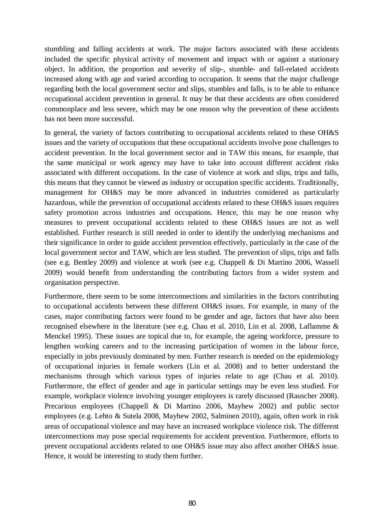stumbling and falling accidents at work. The major factors associated with these accidents included the specific physical activity of movement and impact with or against a stationary object. In addition, the proportion and severity of slip-, stumble- and fall-related accidents increased along with age and varied according to occupation. It seems that the major challenge regarding both the local government sector and slips, stumbles and falls, is to be able to enhance occupational accident prevention in general. It may be that these accidents are often considered commonplace and less severe, which may be one reason why the prevention of these accidents has not been more successful.

In general, the variety of factors contributing to occupational accidents related to these OH&S issues and the variety of occupations that these occupational accidents involve pose challenges to accident prevention. In the local government sector and in TAW this means, for example, that the same municipal or work agency may have to take into account different accident risks associated with different occupations. In the case of violence at work and slips, trips and falls, this means that they cannot be viewed as industry or occupation specific accidents. Traditionally, management for OH&S may be more advanced in industries considered as particularly hazardous, while the prevention of occupational accidents related to these OH&S issues requires safety promotion across industries and occupations. Hence, this may be one reason why measures to prevent occupational accidents related to these OH&S issues are not as well established. Further research is still needed in order to identify the underlying mechanisms and their significance in order to guide accident prevention effectively, particularly in the case of the local government sector and TAW, which are less studied. The prevention of slips, trips and falls (see e.g. Bentley 2009) and violence at work (see e.g. Chappell & Di Martino 2006, Wassell 2009) would benefit from understanding the contributing factors from a wider system and organisation perspective.

Furthermore, there seem to be some interconnections and similarities in the factors contributing to occupational accidents between these different OH&S issues. For example, in many of the cases, major contributing factors were found to be gender and age, factors that have also been recognised elsewhere in the literature (see e.g. Chau et al. 2010, Lin et al. 2008, Laflamme & Menckel 1995). These issues are topical due to, for example, the ageing workforce, pressure to lengthen working careers and to the increasing participation of women in the labour force, especially in jobs previously dominated by men. Further research is needed on the epidemiology of occupational injuries in female workers (Lin et al. 2008) and to better understand the mechanisms through which various types of injuries relate to age (Chau et al. 2010). Furthermore, the effect of gender and age in particular settings may be even less studied. For example, workplace violence involving younger employees is rarely discussed (Rauscher 2008). Precarious employees (Chappell & Di Martino 2006, Mayhew 2002) and public sector employees (e.g. Lehto & Sutela 2008, Mayhew 2002, Salminen 2010), again, often work in risk areas of occupational violence and may have an increased workplace violence risk. The different interconnections may pose special requirements for accident prevention. Furthermore, efforts to prevent occupational accidents related to one OH&S issue may also affect another OH&S issue. Hence, it would be interesting to study them further.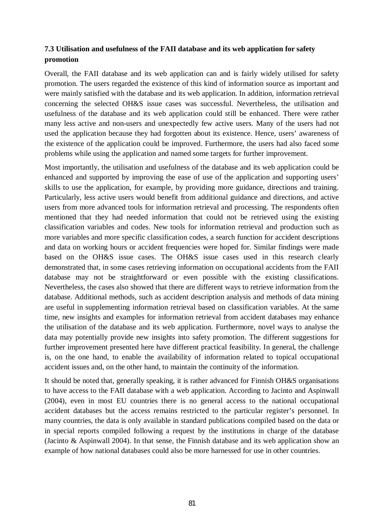# **7.3 Utilisation and usefulness of the FAII database and its web application for safety promotion**

Overall, the FAII database and its web application can and is fairly widely utilised for safety promotion. The users regarded the existence of this kind of information source as important and were mainly satisfied with the database and its web application. In addition, information retrieval concerning the selected OH&S issue cases was successful. Nevertheless, the utilisation and usefulness of the database and its web application could still be enhanced. There were rather many less active and non-users and unexpectedly few active users. Many of the users had not used the application because they had forgotten about its existence. Hence, users' awareness of the existence of the application could be improved. Furthermore, the users had also faced some problems while using the application and named some targets for further improvement.

Most importantly, the utilisation and usefulness of the database and its web application could be enhanced and supported by improving the ease of use of the application and supporting users' skills to use the application, for example, by providing more guidance, directions and training. Particularly, less active users would benefit from additional guidance and directions, and active users from more advanced tools for information retrieval and processing. The respondents often mentioned that they had needed information that could not be retrieved using the existing classification variables and codes. New tools for information retrieval and production such as more variables and more specific classification codes, a search function for accident descriptions and data on working hours or accident frequencies were hoped for. Similar findings were made based on the OH&S issue cases. The OH&S issue cases used in this research clearly demonstrated that, in some cases retrieving information on occupational accidents from the FAII database may not be straightforward or even possible with the existing classifications. Nevertheless, the cases also showed that there are different ways to retrieve information from the database. Additional methods, such as accident description analysis and methods of data mining are useful in supplementing information retrieval based on classification variables. At the same time, new insights and examples for information retrieval from accident databases may enhance the utilisation of the database and its web application. Furthermore, novel ways to analyse the data may potentially provide new insights into safety promotion. The different suggestions for further improvement presented here have different practical feasibility. In general, the challenge is, on the one hand, to enable the availability of information related to topical occupational accident issues and, on the other hand, to maintain the continuity of the information.

It should be noted that, generally speaking, it is rather advanced for Finnish OH&S organisations to have access to the FAII database with a web application. According to Jacinto and Aspinwall (2004), even in most EU countries there is no general access to the national occupational accident databases but the access remains restricted to the particular register's personnel. In many countries, the data is only available in standard publications compiled based on the data or in special reports compiled following a request by the institutions in charge of the database (Jacinto & Aspinwall 2004). In that sense, the Finnish database and its web application show an example of how national databases could also be more harnessed for use in other countries.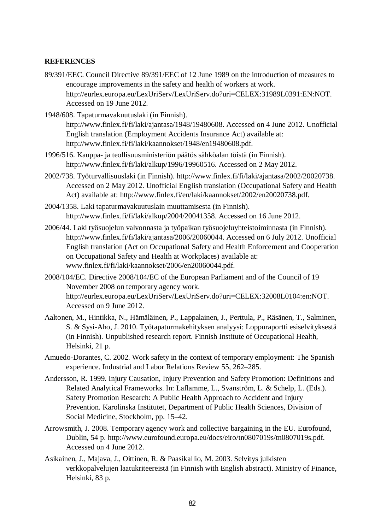## **REFERENCES**

- 89/391/EEC. Council Directive 89/391/EEC of 12 June 1989 on the introduction of measures to encourage improvements in the safety and health of workers at work. http://eurlex.europa.eu/LexUriServ/LexUriServ.do?uri=CELEX:31989L0391:EN:NOT. Accessed on 19 June 2012.
- 1948/608. Tapaturmavakuutuslaki (in Finnish). http://www.finlex.fi/fi/laki/ajantasa/1948/19480608. Accessed on 4 June 2012. Unofficial English translation (Employment Accidents Insurance Act) available at: http://www.finlex.fi/fi/laki/kaannokset/1948/en19480608.pdf.
- 1996/516. Kauppa- ja teollisuusministeriön päätös sähköalan töistä (in Finnish). http://www.finlex.fi/fi/laki/alkup/1996/19960516. Accessed on 2 May 2012.
- 2002/738. Työturvallisuuslaki (in Finnish). http://www.finlex.fi/fi/laki/ajantasa/2002/20020738. Accessed on 2 May 2012. Unofficial English translation (Occupational Safety and Health Act) available at: http://www.finlex.fi/en/laki/kaannokset/2002/en20020738.pdf.
- 2004/1358. Laki tapaturmavakuutuslain muuttamisesta (in Finnish). http://www.finlex.fi/fi/laki/alkup/2004/20041358. Accessed on 16 June 2012.
- 2006/44. Laki työsuojelun valvonnasta ja työpaikan työsuojeluyhteistoiminnasta (in Finnish). http://www.finlex.fi/fi/laki/ajantasa/2006/20060044. Accessed on 6 July 2012. Unofficial English translation (Act on Occupational Safety and Health Enforcement and Cooperation on Occupational Safety and Health at Workplaces) available at: www.finlex.fi/fi/laki/kaannokset/2006/en20060044.pdf.
- 2008/104/EC. Directive 2008/104/EC of the European Parliament and of the Council of 19 November 2008 on temporary agency work. http://eurlex.europa.eu/LexUriServ/LexUriServ.do?uri=CELEX:32008L0104:en:NOT. Accessed on 9 June 2012.
- Aaltonen, M., Hintikka, N., Hämäläinen, P., Lappalainen, J., Perttula, P., Räsänen, T., Salminen, S. & Sysi-Aho, J. 2010. Työtapaturmakehityksen analyysi: Loppuraportti esiselvityksestä (in Finnish). Unpublished research report. Finnish Institute of Occupational Health, Helsinki, 21 p.
- Amuedo-Dorantes, C. 2002. Work safety in the context of temporary employment: The Spanish experience. Industrial and Labor Relations Review 55, 262–285.
- Andersson, R. 1999. Injury Causation, Injury Prevention and Safety Promotion: Definitions and Related Analytical Frameworks. In: Laflamme, L., Svanström, L. & Schelp, L. (Eds.). Safety Promotion Research: A Public Health Approach to Accident and Injury Prevention. Karolinska Institutet, Department of Public Health Sciences, Division of Social Medicine, Stockholm, pp. 15–42.
- Arrowsmith, J. 2008. Temporary agency work and collective bargaining in the EU. Eurofound, Dublin, 54 p. http://www.eurofound.europa.eu/docs/eiro/tn0807019s/tn0807019s.pdf. Accessed on 4 June 2012.
- Asikainen, J., Majava, J., Oittinen, R. & Paasikallio, M. 2003. Selvitys julkisten verkkopalvelujen laatukriteereistä (in Finnish with English abstract). Ministry of Finance, Helsinki, 83 p.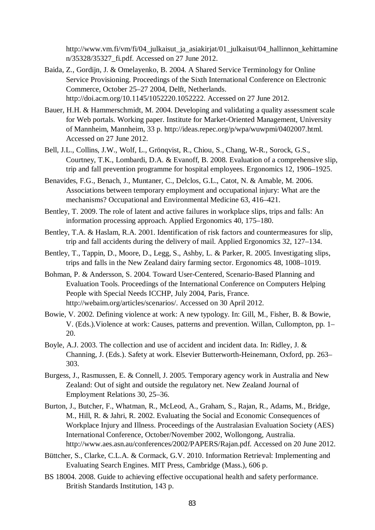http://www.vm.fi/vm/fi/04\_julkaisut\_ja\_asiakirjat/01\_julkaisut/04\_hallinnon\_kehittamine n/35328/35327\_fi.pdf. Accessed on 27 June 2012.

- Baida, Z., Gordijn, J. & Omelayenko, B. 2004. A Shared Service Terminology for Online Service Provisioning. Proceedings of the Sixth International Conference on Electronic Commerce, October 25–27 2004, Delft, Netherlands. http://doi.acm.org/10.1145/1052220.1052222. Accessed on 27 June 2012.
- Bauer, H.H. & Hammerschmidt, M. 2004. Developing and validating a quality assessment scale for Web portals. Working paper. Institute for Market-Oriented Management, University of Mannheim, Mannheim, 33 p. http://ideas.repec.org/p/wpa/wuwpmi/0402007.html. Accessed on 27 June 2012.
- Bell, J.L., Collins, J.W., Wolf, L., Grönqvist, R., Chiou, S., Chang, W-R., Sorock, G.S., Courtney, T.K., Lombardi, D.A. & Evanoff, B. 2008. Evaluation of a comprehensive slip, trip and fall prevention programme for hospital employees. Ergonomics 12, 1906–1925.
- Benavides, F.G., Benach, J., Muntaner, C., Delclos, G.L., Catot, N. & Amable, M. 2006. Associations between temporary employment and occupational injury: What are the mechanisms? Occupational and Environmental Medicine 63, 416–421.
- Bentley, T. 2009. The role of latent and active failures in workplace slips, trips and falls: An information processing approach. Applied Ergonomics 40, 175–180.
- Bentley, T.A. & Haslam, R.A. 2001. Identification of risk factors and countermeasures for slip, trip and fall accidents during the delivery of mail. Applied Ergonomics 32, 127–134.
- Bentley, T., Tappin, D., Moore, D., Legg, S., Ashby, L. & Parker, R. 2005. Investigating slips, trips and falls in the New Zealand dairy farming sector. Ergonomics 48, 1008–1019.
- Bohman, P. & Andersson, S. 2004. Toward User-Centered, Scenario-Based Planning and Evaluation Tools. Proceedings of the International Conference on Computers Helping People with Special Needs ICCHP, July 2004, Paris, France. http://webaim.org/articles/scenarios/. Accessed on 30 April 2012.
- Bowie, V. 2002. Defining violence at work: A new typology. In: Gill, M., Fisher, B. & Bowie, V. (Eds.).Violence at work: Causes, patterns and prevention. Willan, Cullompton, pp. 1– 20.
- Boyle, A.J. 2003. The collection and use of accident and incident data. In: Ridley, J. & Channing, J. (Eds.). Safety at work. Elsevier Butterworth-Heinemann, Oxford, pp. 263– 303.
- Burgess, J., Rasmussen, E. & Connell, J. 2005. Temporary agency work in Australia and New Zealand: Out of sight and outside the regulatory net. New Zealand Journal of Employment Relations 30, 25–36.
- Burton, J., Butcher, F., Whatman, R., McLeod, A., Graham, S., Rajan, R., Adams, M., Bridge, M., Hill, R. & Jahri, R. 2002. Evaluating the Social and Economic Consequences of Workplace Injury and Illness. Proceedings of the Australasian Evaluation Society (AES) International Conference, October/November 2002, Wollongong, Australia. http://www.aes.asn.au/conferences/2002/PAPERS/Rajan.pdf. Accessed on 20 June 2012.
- Büttcher, S., Clarke, C.L.A. & Cormack, G.V. 2010. Information Retrieval: Implementing and Evaluating Search Engines. MIT Press, Cambridge (Mass.), 606 p.
- BS 18004. 2008. Guide to achieving effective occupational health and safety performance. British Standards Institution, 143 p.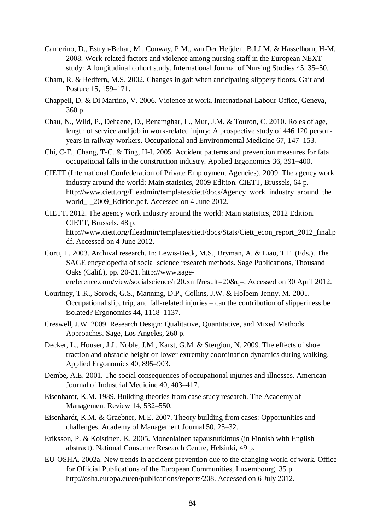- Camerino, D., Estryn-Behar, M., Conway, P.M., van Der Heijden, B.I.J.M. & Hasselhorn, H-M. 2008. Work-related factors and violence among nursing staff in the European NEXT study: A longitudinal cohort study. International Journal of Nursing Studies 45, 35–50.
- Cham, R. & Redfern, M.S. 2002. Changes in gait when anticipating slippery floors. Gait and Posture 15, 159–171.
- Chappell, D. & Di Martino, V. 2006. Violence at work. International Labour Office, Geneva, 360 p.
- Chau, N., Wild, P., Dehaene, D., Benamghar, L., Mur, J.M. & Touron, C. 2010. Roles of age, length of service and job in work-related injury: A prospective study of 446 120 personyears in railway workers. Occupational and Environmental Medicine 67, 147–153.
- Chi, C-F., Chang, T-C. & Ting, H-I. 2005. Accident patterns and prevention measures for fatal occupational falls in the construction industry. Applied Ergonomics 36, 391–400.
- CIETT (International Confederation of Private Employment Agencies). 2009. The agency work industry around the world: Main statistics, 2009 Edition. CIETT, Brussels, 64 p. http://www.ciett.org/fileadmin/templates/ciett/docs/Agency\_work\_industry\_around\_the\_ world - 2009 Edition.pdf. Accessed on 4 June 2012.
- CIETT. 2012. The agency work industry around the world: Main statistics, 2012 Edition. CIETT, Brussels. 48 p. http://www.ciett.org/fileadmin/templates/ciett/docs/Stats/Ciett\_econ\_report\_2012\_final.p df. Accessed on 4 June 2012.
- Corti, L. 2003. Archival research. In: Lewis-Beck, M.S., Bryman, A. & Liao, T.F. (Eds.). The SAGE encyclopedia of social science research methods. Sage Publications, Thousand Oaks (Calif.), pp. 20-21. http://www.sageereference.com/view/socialscience/n20.xml?result=20&q=. Accessed on 30 April 2012.
- Courtney, T.K., Sorock, G.S., Manning, D.P., Collins, J.W. & Holbein-Jenny. M. 2001. Occupational slip, trip, and fall-related injuries – can the contribution of slipperiness be isolated? Ergonomics 44, 1118–1137.
- Creswell, J.W. 2009. Research Design: Qualitative, Quantitative, and Mixed Methods Approaches. Sage, Los Angeles, 260 p.
- Decker, L., Houser, J.J., Noble, J.M., Karst, G.M. & Stergiou, N. 2009. The effects of shoe traction and obstacle height on lower extremity coordination dynamics during walking. Applied Ergonomics 40, 895–903.
- Dembe, A.E. 2001. The social consequences of occupational injuries and illnesses. American Journal of Industrial Medicine 40, 403–417.
- Eisenhardt, K.M. 1989. Building theories from case study research. The Academy of Management Review 14, 532–550.
- Eisenhardt, K.M. & Graebner, M.E. 2007. Theory building from cases: Opportunities and challenges. Academy of Management Journal 50, 25–32.
- Eriksson, P. & Koistinen, K. 2005. Monenlainen tapaustutkimus (in Finnish with English abstract). National Consumer Research Centre, Helsinki, 49 p.
- EU-OSHA. 2002a. New trends in accident prevention due to the changing world of work. Office for Official Publications of the European Communities, Luxembourg, 35 p. http://osha.europa.eu/en/publications/reports/208. Accessed on 6 July 2012.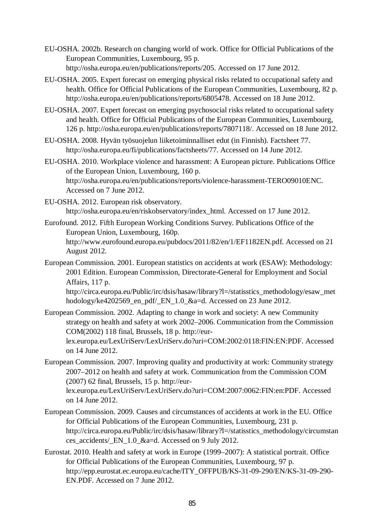- EU-OSHA. 2002b. Research on changing world of work. Office for Official Publications of the European Communities, Luxembourg, 95 p. http://osha.europa.eu/en/publications/reports/205. Accessed on 17 June 2012.
- EU-OSHA. 2005. Expert forecast on emerging physical risks related to occupational safety and health. Office for Official Publications of the European Communities, Luxembourg, 82 p. http://osha.europa.eu/en/publications/reports/6805478. Accessed on 18 June 2012.
- EU-OSHA. 2007. Expert forecast on emerging psychosocial risks related to occupational safety and health. Office for Official Publications of the European Communities, Luxembourg, 126 p. http://osha.europa.eu/en/publications/reports/7807118/. Accessed on 18 June 2012.
- EU-OSHA. 2008. Hyvän työsuojelun liiketoiminnalliset edut (in Finnish). Factsheet 77. http://osha.europa.eu/fi/publications/factsheets/77. Accessed on 14 June 2012.
- EU-OSHA. 2010. Workplace violence and harassment: A European picture. Publications Office of the European Union, Luxembourg, 160 p. http://osha.europa.eu/en/publications/reports/violence-harassment-TERO09010ENC. Accessed on 7 June 2012.
- EU-OSHA. 2012. European risk observatory. http://osha.europa.eu/en/riskobservatory/index\_html. Accessed on 17 June 2012.
- Eurofound. 2012. Fifth European Working Conditions Survey. Publications Office of the European Union, Luxembourg, 160p. http://www.eurofound.europa.eu/pubdocs/2011/82/en/1/EF1182EN.pdf. Accessed on 21 August 2012.
- European Commission. 2001. European statistics on accidents at work (ESAW): Methodology: 2001 Edition. European Commission, Directorate-General for Employment and Social Affairs, 117 p.

http://circa.europa.eu/Public/irc/dsis/hasaw/library?l=/statisstics\_methodology/esaw\_met hodology/ke4202569\_en\_pdf/\_EN\_1.0\_&a=d. Accessed on 23 June 2012.

- European Commission. 2002. Adapting to change in work and society: A new Community strategy on health and safety at work 2002–2006. Communication from the Commission COM(2002) 118 final, Brussels, 18 p. http://eurlex.europa.eu/LexUriServ/LexUriServ.do?uri=COM:2002:0118:FIN:EN:PDF. Accessed on 14 June 2012.
- European Commission. 2007. Improving quality and productivity at work: Community strategy 2007–2012 on health and safety at work. Communication from the Commission COM (2007) 62 final, Brussels, 15 p. http://eur-

lex.europa.eu/LexUriServ/LexUriServ.do?uri=COM:2007:0062:FIN:en:PDF. Accessed on 14 June 2012.

- European Commission. 2009. Causes and circumstances of accidents at work in the EU. Office for Official Publications of the European Communities, Luxembourg, 231 p. http://circa.europa.eu/Public/irc/dsis/hasaw/library?l=/statisstics\_methodology/circumstan ces accidents/ EN 1.0 &a=d. Accessed on 9 July 2012.
- Eurostat. 2010. Health and safety at work in Europe (1999–2007): A statistical portrait. Office for Official Publications of the European Communities, Luxembourg, 97 p. http://epp.eurostat.ec.europa.eu/cache/ITY\_OFFPUB/KS-31-09-290/EN/KS-31-09-290- EN.PDF. Accessed on 7 June 2012.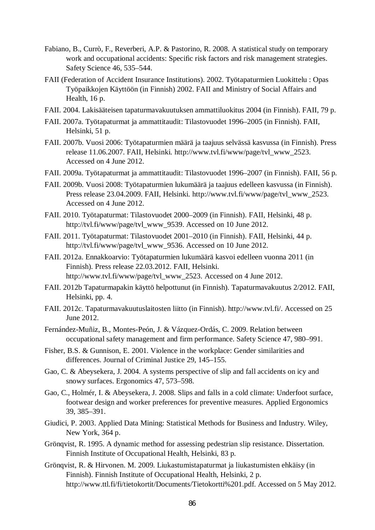- Fabiano, B., Currò, F., Reverberi, A.P. & Pastorino, R. 2008. A statistical study on temporary work and occupational accidents: Specific risk factors and risk management strategies. Safety Science 46, 535–544.
- FAII (Federation of Accident Insurance Institutions). 2002. Työtapaturmien Luokittelu : Opas Työpaikkojen Käyttöön (in Finnish) 2002. FAII and Ministry of Social Affairs and Health, 16 p.
- FAII. 2004. Lakisääteisen tapaturmavakuutuksen ammattiluokitus 2004 (in Finnish). FAII, 79 p.
- FAII. 2007a. Työtapaturmat ja ammattitaudit: Tilastovuodet 1996–2005 (in Finnish). FAII, Helsinki, 51 p.
- FAII. 2007b. Vuosi 2006: Työtapaturmien määrä ja taajuus selvässä kasvussa (in Finnish). Press release 11.06.2007. FAII, Helsinki. http://www.tvl.fi/www/page/tvl\_www\_2523. Accessed on 4 June 2012.
- FAII. 2009a. Työtapaturmat ja ammattitaudit: Tilastovuodet 1996–2007 (in Finnish). FAII, 56 p.
- FAII. 2009b. Vuosi 2008: Työtapaturmien lukumäärä ja taajuus edelleen kasvussa (in Finnish). Press release 23.04.2009. FAII, Helsinki. http://www.tvl.fi/www/page/tvl\_www\_2523. Accessed on 4 June 2012.
- FAII. 2010. Työtapaturmat: Tilastovuodet 2000–2009 (in Finnish). FAII, Helsinki, 48 p. http://tvl.fi/www/page/tvl\_www\_9539. Accessed on 10 June 2012.
- FAII. 2011. Työtapaturmat: Tilastovuodet 2001–2010 (in Finnish). FAII, Helsinki, 44 p. http://tvl.fi/www/page/tvl\_www\_9536. Accessed on 10 June 2012.
- FAII. 2012a. Ennakkoarvio: Työtapaturmien lukumäärä kasvoi edelleen vuonna 2011 (in Finnish). Press release 22.03.2012. FAII, Helsinki. http://www.tvl.fi/www/page/tvl\_www\_2523. Accessed on 4 June 2012.
- FAII. 2012b Tapaturmapakin käyttö helpottunut (in Finnish). Tapaturmavakuutus 2/2012. FAII, Helsinki, pp. 4.
- FAII. 2012c. Tapaturmavakuutuslaitosten liitto (in Finnish). http://www.tvl.fi/. Accessed on 25 June 2012.
- Fernández-Muñiz, B., Montes-Peón, J. & Vázquez-Ordás, C. 2009. Relation between occupational safety management and firm performance. Safety Science 47, 980–991.
- Fisher, B.S. & Gunnison, E. 2001. Violence in the workplace: Gender similarities and differences. Journal of Criminal Justice 29, 145–155.
- Gao, C. & Abeysekera, J. 2004. A systems perspective of slip and fall accidents on icy and snowy surfaces. Ergonomics 47, 573–598.
- Gao, C., Holmér, I. & Abeysekera, J. 2008. Slips and falls in a cold climate: Underfoot surface, footwear design and worker preferences for preventive measures. Applied Ergonomics 39, 385–391.
- Giudici, P. 2003. Applied Data Mining: Statistical Methods for Business and Industry. Wiley, New York, 364 p.
- Grönqvist, R. 1995. A dynamic method for assessing pedestrian slip resistance. Dissertation. Finnish Institute of Occupational Health, Helsinki, 83 p.
- Grönqvist, R. & Hirvonen. M. 2009. Liukastumistapaturmat ja liukastumisten ehkäisy (in Finnish). Finnish Institute of Occupational Health, Helsinki, 2 p. http://www.ttl.fi/fi/tietokortit/Documents/Tietokortti%201.pdf. Accessed on 5 May 2012.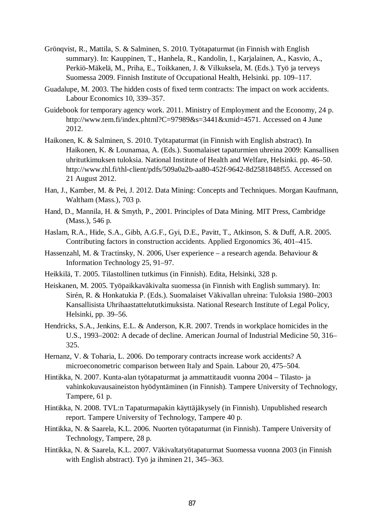- Grönqvist, R., Mattila, S. & Salminen, S. 2010. Työtapaturmat (in Finnish with English summary). In: Kauppinen, T., Hanhela, R., Kandolin, I., Karjalainen, A., Kasvio, A., Perkiö-Mäkelä, M., Priha, E., Toikkanen, J. & Vilkuksela, M. (Eds.). Työ ja terveys Suomessa 2009. Finnish Institute of Occupational Health, Helsinki. pp. 109–117.
- Guadalupe, M. 2003. The hidden costs of fixed term contracts: The impact on work accidents. Labour Economics 10, 339–357.
- Guidebook for temporary agency work. 2011. Ministry of Employment and the Economy, 24 p. http://www.tem.fi/index.phtml?C=97989&s=3441&xmid=4571. Accessed on 4 June 2012.
- Haikonen, K. & Salminen, S. 2010. Työtapaturmat (in Finnish with English abstract). In Haikonen, K. & Lounamaa, A. (Eds.). Suomalaiset tapaturmien uhreina 2009: Kansallisen uhritutkimuksen tuloksia. National Institute of Health and Welfare, Helsinki. pp. 46–50. http://www.thl.fi/thl-client/pdfs/509a0a2b-aa80-452f-9642-8d2581848f55. Accessed on 21 August 2012.
- Han, J., Kamber, M. & Pei, J. 2012. Data Mining: Concepts and Techniques. Morgan Kaufmann, Waltham (Mass.), 703 p.
- Hand, D., Mannila, H. & Smyth, P., 2001. Principles of Data Mining. MIT Press, Cambridge (Mass.), 546 p.
- Haslam, R.A., Hide, S.A., Gibb, A.G.F., Gyi, D.E., Pavitt, T., Atkinson, S. & Duff, A.R. 2005. Contributing factors in construction accidents. Applied Ergonomics 36, 401–415.
- Hassenzahl, M. & Tractinsky, N. 2006, User experience a research agenda. Behaviour & Information Technology 25, 91–97.
- Heikkilä, T. 2005. Tilastollinen tutkimus (in Finnish). Edita, Helsinki, 328 p.
- Heiskanen, M. 2005. Työpaikkaväkivalta suomessa (in Finnish with English summary). In: Sirén, R. & Honkatukia P. (Eds.). Suomalaiset Väkivallan uhreina: Tuloksia 1980–2003 Kansallisista Uhrihaastattelututkimuksista. National Research Institute of Legal Policy, Helsinki, pp. 39–56.
- Hendricks, S.A., Jenkins, E.L. & Anderson, K.R. 2007. Trends in workplace homicides in the U.S., 1993–2002: A decade of decline. American Journal of Industrial Medicine 50, 316– 325.
- Hernanz, V. & Toharia, L. 2006. Do temporary contracts increase work accidents? A microeconometric comparison between Italy and Spain. Labour 20, 475–504.
- Hintikka, N. 2007. Kunta-alan työtapaturmat ja ammattitaudit vuonna 2004 Tilasto- ja vahinkokuvausaineiston hyödyntäminen (in Finnish). Tampere University of Technology, Tampere, 61 p.
- Hintikka, N. 2008. TVL:n Tapaturmapakin käyttäjäkysely (in Finnish). Unpublished research report. Tampere University of Technology, Tampere 40 p.
- Hintikka, N. & Saarela, K.L. 2006. Nuorten työtapaturmat (in Finnish). Tampere University of Technology, Tampere, 28 p.
- Hintikka, N. & Saarela, K.L. 2007. Väkivaltatyötapaturmat Suomessa vuonna 2003 (in Finnish with English abstract). Työ ja ihminen 21, 345–363.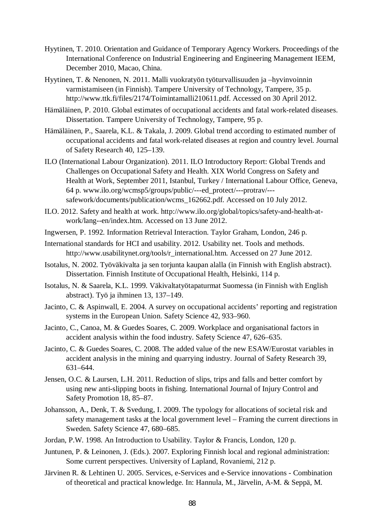- Hyytinen, T. 2010. Orientation and Guidance of Temporary Agency Workers. Proceedings of the International Conference on Industrial Engineering and Engineering Management IEEM, December 2010, Macao, China.
- Hyytinen, T. & Nenonen, N. 2011. Malli vuokratyön työturvallisuuden ja –hyvinvoinnin varmistamiseen (in Finnish). Tampere University of Technology, Tampere, 35 p. http://www.ttk.fi/files/2174/Toimintamalli210611.pdf. Accessed on 30 April 2012.
- Hämäläinen, P. 2010. Global estimates of occupational accidents and fatal work-related diseases. Dissertation. Tampere University of Technology, Tampere, 95 p.
- Hämäläinen, P., Saarela, K.L. & Takala, J. 2009. Global trend according to estimated number of occupational accidents and fatal work-related diseases at region and country level. Journal of Safety Research 40, 125–139.
- ILO (International Labour Organization). 2011. ILO Introductory Report: Global Trends and Challenges on Occupational Safety and Health. XIX World Congress on Safety and Health at Work, September 2011, Istanbul, Turkey / International Labour Office, Geneva, 64 p. www.ilo.org/wcmsp5/groups/public/---ed\_protect/---protrav/-- safework/documents/publication/wcms\_162662.pdf. Accessed on 10 July 2012.
- ILO. 2012. Safety and health at work. http://www.ilo.org/global/topics/safety-and-health-atwork/lang--en/index.htm. Accessed on 13 June 2012.
- Ingwersen, P. 1992. Information Retrieval Interaction. Taylor Graham, London, 246 p.
- International standards for HCI and usability. 2012. Usability net. Tools and methods. http://www.usabilitynet.org/tools/r\_international.htm. Accessed on 27 June 2012.
- Isotalus, N. 2002. Työväkivalta ja sen torjunta kaupan alalla (in Finnish with English abstract). Dissertation. Finnish Institute of Occupational Health, Helsinki, 114 p.
- Isotalus, N. & Saarela, K.L. 1999. Väkivaltatyötapaturmat Suomessa (in Finnish with English abstract). Työ ja ihminen 13, 137–149.
- Jacinto, C. & Aspinwall, E. 2004. A survey on occupational accidents' reporting and registration systems in the European Union. Safety Science 42, 933–960.
- Jacinto, C., Canoa, M. & Guedes Soares, C. 2009. Workplace and organisational factors in accident analysis within the food industry. Safety Science 47, 626–635.
- Jacinto, C. & Guedes Soares, C. 2008. The added value of the new ESAW/Eurostat variables in accident analysis in the mining and quarrying industry. Journal of Safety Research 39, 631–644.
- Jensen, O.C. & Laursen, L.H. 2011. Reduction of slips, trips and falls and better comfort by using new anti-slipping boots in fishing. International Journal of Injury Control and Safety Promotion 18, 85–87.
- Johansson, A., Denk, T. & Svedung, I. 2009. The typology for allocations of societal risk and safety management tasks at the local government level – Framing the current directions in Sweden. Safety Science 47, 680–685.
- Jordan, P.W. 1998. An Introduction to Usability. Taylor & Francis, London, 120 p.
- Juntunen, P. & Leinonen, J. (Eds.). 2007. Exploring Finnish local and regional administration: Some current perspectives. University of Lapland, Rovaniemi, 212 p.
- Järvinen R. & Lehtinen U. 2005. Services, e-Services and e-Service innovations Combination of theoretical and practical knowledge. In: Hannula, M., Järvelin, A-M. & Seppä, M.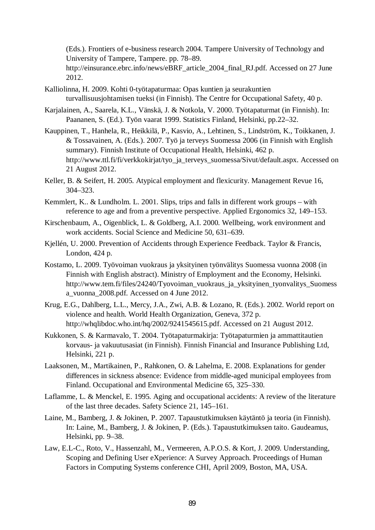(Eds.). Frontiers of e-business research 2004. Tampere University of Technology and University of Tampere, Tampere. pp. 78–89. http://einsurance.ebrc.info/news/eBRF\_article\_2004\_final\_RJ.pdf. Accessed on 27 June 2012.

- Kalliolinna, H. 2009. Kohti 0-työtapaturmaa: Opas kuntien ja seurakuntien turvallisuusjohtamisen tueksi (in Finnish). The Centre for Occupational Safety, 40 p.
- Karjalainen, A., Saarela, K.L., Vänskä, J. & Notkola, V. 2000. Työtapaturmat (in Finnish). In: Paananen, S. (Ed.). Työn vaarat 1999. Statistics Finland, Helsinki, pp.22–32.
- Kauppinen, T., Hanhela, R., Heikkilä, P., Kasvio, A., Lehtinen, S., Lindström, K., Toikkanen, J. & Tossavainen, A. (Eds.). 2007. Työ ja terveys Suomessa 2006 (in Finnish with English summary). Finnish Institute of Occupational Health, Helsinki, 462 p. http://www.ttl.fi/fi/verkkokirjat/tyo\_ja\_terveys\_suomessa/Sivut/default.aspx. Accessed on 21 August 2012.
- Keller, B. & Seifert, H. 2005. Atypical employment and flexicurity. Management Revue 16, 304–323.
- Kemmlert, K.. & Lundholm. L. 2001. Slips, trips and falls in different work groups with reference to age and from a preventive perspective. Applied Ergonomics 32, 149–153.
- Kirschenbaum, A., Oigenblick, L. & Goldberg, A.I. 2000. Wellbeing, work environment and work accidents. Social Science and Medicine 50, 631–639.
- Kjellén, U. 2000. Prevention of Accidents through Experience Feedback. Taylor & Francis, London, 424 p.
- Kostamo, L. 2009. Työvoiman vuokraus ja yksityinen työnvälitys Suomessa vuonna 2008 (in Finnish with English abstract). Ministry of Employment and the Economy, Helsinki. http://www.tem.fi/files/24240/Tyovoiman\_vuokraus\_ja\_yksityinen\_tyonvalitys\_Suomess a\_vuonna\_2008.pdf. Accessed on 4 June 2012.
- Krug, E.G., Dahlberg, L.L., Mercy, J.A., Zwi, A.B. & Lozano, R. (Eds.). 2002. World report on violence and health. World Health Organization, Geneva, 372 p. http://whqlibdoc.who.int/hq/2002/9241545615.pdf. Accessed on 21 August 2012.
- Kukkonen, S. & Karmavalo, T. 2004. Työtapaturmakirja: Työtapaturmien ja ammattitautien korvaus- ja vakuutusasiat (in Finnish). Finnish Financial and Insurance Publishing Ltd, Helsinki, 221 p.
- Laaksonen, M., Martikainen, P., Rahkonen, O. & Lahelma, E. 2008. Explanations for gender differences in sickness absence: Evidence from middle-aged municipal employees from Finland. Occupational and Environmental Medicine 65, 325–330.
- Laflamme, L. & Menckel, E. 1995. Aging and occupational accidents: A review of the literature of the last three decades. Safety Science 21, 145–161.
- Laine, M., Bamberg, J. & Jokinen, P. 2007. Tapaustutkimuksen käytäntö ja teoria (in Finnish). In: Laine, M., Bamberg, J. & Jokinen, P. (Eds.). Tapaustutkimuksen taito. Gaudeamus, Helsinki, pp. 9–38.
- Law, E.L-C., Roto, V., Hassenzahl, M., Vermeeren, A.P.O.S. & Kort, J. 2009. Understanding, Scoping and Defining User eXperience: A Survey Approach. Proceedings of Human Factors in Computing Systems conference CHI, April 2009, Boston, MA, USA.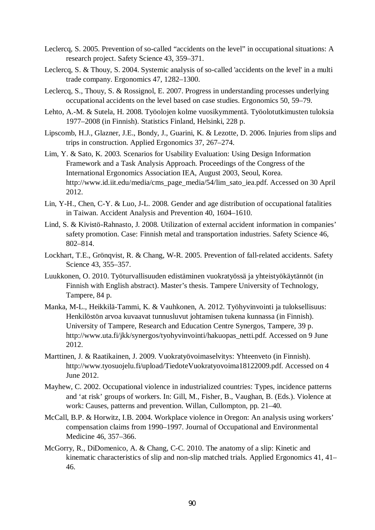- Leclercq, S. 2005. Prevention of so-called "accidents on the level" in occupational situations: A research project. Safety Science 43, 359–371.
- Leclercq, S. & Thouy, S. 2004. Systemic analysis of so-called 'accidents on the level' in a multi trade company. Ergonomics 47, 1282–1300.
- Leclercq, S., Thouy, S. & Rossignol, E. 2007. Progress in understanding processes underlying occupational accidents on the level based on case studies. Ergonomics 50, 59–79.
- Lehto, A.-M. & Sutela, H. 2008. Työolojen kolme vuosikymmentä. Työolotutkimusten tuloksia 1977–2008 (in Finnish). Statistics Finland, Helsinki, 228 p.
- Lipscomb, H.J., Glazner, J.E., Bondy, J., Guarini, K. & Lezotte, D. 2006. Injuries from slips and trips in construction. Applied Ergonomics 37, 267–274.
- Lim, Y. & Sato, K. 2003. Scenarios for Usability Evaluation: Using Design Information Framework and a Task Analysis Approach. Proceedings of the Congress of the International Ergonomics Association IEA, August 2003, Seoul, Korea. http://www.id.iit.edu/media/cms\_page\_media/54/lim\_sato\_iea.pdf. Accessed on 30 April 2012.
- Lin, Y-H., Chen, C-Y. & Luo, J-L. 2008. Gender and age distribution of occupational fatalities in Taiwan. Accident Analysis and Prevention 40, 1604–1610.
- Lind, S. & Kivistö-Rahnasto, J. 2008. Utilization of external accident information in companies' safety promotion. Case: Finnish metal and transportation industries. Safety Science 46, 802–814.
- Lockhart, T.E., Grönqvist, R. & Chang, W-R. 2005. Prevention of fall-related accidents. Safety Science 43, 355–357.
- Luukkonen, O. 2010. Työturvallisuuden edistäminen vuokratyössä ja yhteistyökäytännöt (in Finnish with English abstract). Master's thesis. Tampere University of Technology, Tampere, 84 p.
- Manka, M-L., Heikkilä-Tammi, K. & Vauhkonen, A. 2012. Työhyvinvointi ja tuloksellisuus: Henkilöstön arvoa kuvaavat tunnusluvut johtamisen tukena kunnassa (in Finnish). University of Tampere, Research and Education Centre Synergos, Tampere, 39 p. http://www.uta.fi/jkk/synergos/tyohyvinvointi/hakuopas\_netti.pdf. Accessed on 9 June 2012.
- Marttinen, J. & Raatikainen, J. 2009. Vuokratyövoimaselvitys: Yhteenveto (in Finnish). http://www.tyosuojelu.fi/upload/TiedoteVuokratyovoima18122009.pdf. Accessed on 4 June 2012.
- Mayhew, C. 2002. Occupational violence in industrialized countries: Types, incidence patterns and 'at risk' groups of workers. In: Gill, M., Fisher, B., Vaughan, B. (Eds.). Violence at work: Causes, patterns and prevention. Willan, Cullompton, pp. 21–40.
- McCall, B.P. & Horwitz, I.B. 2004. Workplace violence in Oregon: An analysis using workers' compensation claims from 1990–1997. Journal of Occupational and Environmental Medicine 46, 357–366.
- McGorry, R., DiDomenico, A. & Chang, C-C. 2010. The anatomy of a slip: Kinetic and kinematic characteristics of slip and non-slip matched trials. Applied Ergonomics 41, 41– 46.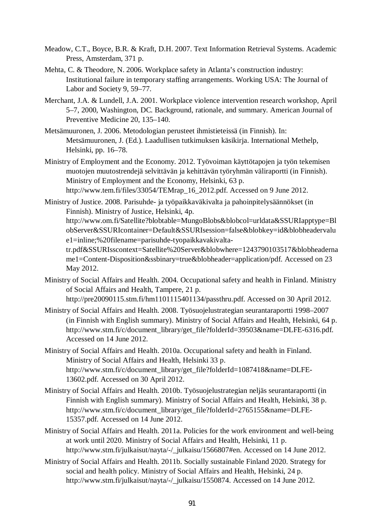- Meadow, C.T., Boyce, B.R. & Kraft, D.H. 2007. Text Information Retrieval Systems. Academic Press, Amsterdam, 371 p.
- Mehta, C. & Theodore, N. 2006. Workplace safety in Atlanta's construction industry: Institutional failure in temporary staffing arrangements. Working USA: The Journal of Labor and Society 9, 59–77.
- Merchant, J.A. & Lundell, J.A. 2001. Workplace violence intervention research workshop, April 5–7, 2000, Washington, DC. Background, rationale, and summary. American Journal of Preventive Medicine 20, 135–140.
- Metsämuuronen, J. 2006. Metodologian perusteet ihmistieteissä (in Finnish). In: Metsämuuronen, J. (Ed.). Laadullisen tutkimuksen käsikirja. International Methelp, Helsinki, pp. 16–78.
- Ministry of Employment and the Economy. 2012. Työvoiman käyttötapojen ja työn tekemisen muotojen muutostrendejä selvittävän ja kehittävän työryhmän väliraportti (in Finnish). Ministry of Employment and the Economy, Helsinki, 63 p. http://www.tem.fi/files/33054/TEMrap\_16\_2012.pdf. Accessed on 9 June 2012.

Ministry of Justice. 2008. Parisuhde- ja työpaikkaväkivalta ja pahoinpitelysäännökset (in Finnish). Ministry of Justice, Helsinki, 4p. http://www.om.fi/Satellite?blobtable=MungoBlobs&blobcol=urldata&SSURIapptype=Bl obServer&SSURIcontainer=Default&SSURIsession=false&blobkey=id&blobheadervalu e1=inline;%20filename=parisuhde-tyopaikkavakivaltatr.pdf&SSURIsscontext=Satellite%20Server&blobwhere=1243790103517&blobheaderna me1=Content-Disposition&ssbinary=true&blobheader=application/pdf. Accessed on 23 May 2012.

- Ministry of Social Affairs and Health. 2004. Occupational safety and health in Finland. Ministry of Social Affairs and Health, Tampere, 21 p. http://pre20090115.stm.fi/hm1101115401134/passthru.pdf. Accessed on 30 April 2012.
- Ministry of Social Affairs and Health. 2008. Työsuojelustrategian seurantaraportti 1998–2007 (in Finnish with English summary). Ministry of Social Affairs and Health, Helsinki, 64 p. http://www.stm.fi/c/document\_library/get\_file?folderId=39503&name=DLFE-6316.pdf. Accessed on 14 June 2012.
- Ministry of Social Affairs and Health. 2010a. Occupational safety and health in Finland. Ministry of Social Affairs and Health, Helsinki 33 p. http://www.stm.fi/c/document\_library/get\_file?folderId=1087418&name=DLFE-13602.pdf. Accessed on 30 April 2012.
- Ministry of Social Affairs and Health. 2010b. Työsuojelustrategian neljäs seurantaraportti (in Finnish with English summary). Ministry of Social Affairs and Health, Helsinki, 38 p. http://www.stm.fi/c/document\_library/get\_file?folderId=2765155&name=DLFE-15357.pdf. Accessed on 14 June 2012.
- Ministry of Social Affairs and Health. 2011a. Policies for the work environment and well-being at work until 2020. Ministry of Social Affairs and Health, Helsinki, 11 p. http://www.stm.fi/julkaisut/nayta/-/\_julkaisu/1566807#en. Accessed on 14 June 2012.
- Ministry of Social Affairs and Health. 2011b. Socially sustainable Finland 2020. Strategy for social and health policy. Ministry of Social Affairs and Health, Helsinki, 24 p. http://www.stm.fi/julkaisut/nayta/-/\_julkaisu/1550874. Accessed on 14 June 2012.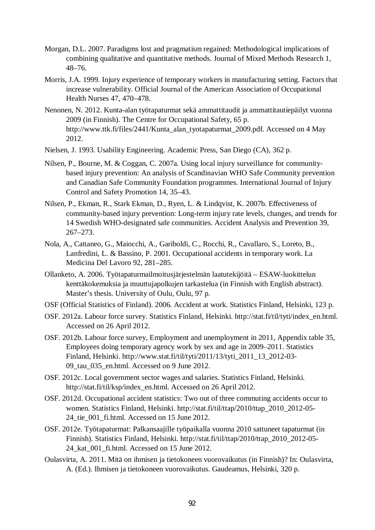- Morgan, D.L. 2007. Paradigms lost and pragmatism regained: Methodological implications of combining qualitative and quantitative methods. Journal of Mixed Methods Research 1, 48–76.
- Morris, J.A. 1999. Injury experience of temporary workers in manufacturing setting. Factors that increase vulnerability. Official Journal of the American Association of Occupational Health Nurses 47, 470–478.
- Nenonen, N. 2012. Kunta-alan työtapaturmat sekä ammattitaudit ja ammattitautiepäilyt vuonna 2009 (in Finnish). The Centre for Occupational Safety, 65 p. http://www.ttk.fi/files/2441/Kunta\_alan\_tyotapaturmat\_2009.pdf. Accessed on 4 May 2012.
- Nielsen, J. 1993. Usability Engineering. Academic Press, San Diego (CA), 362 p.
- Nilsen, P., Bourne, M. & Coggan, C. 2007a. Using local injury surveillance for communitybased injury prevention: An analysis of Scandinavian WHO Safe Community prevention and Canadian Safe Community Foundation programmes. International Journal of Injury Control and Safety Promotion 14, 35–43.
- Nilsen, P., Ekman, R., Stark Ekman, D., Ryen, L. & Lindqvist, K. 2007b. Effectiveness of community-based injury prevention: Long-term injury rate levels, changes, and trends for 14 Swedish WHO-designated safe communities. Accident Analysis and Prevention 39, 267–273.
- Nola, A., Cattaneo, G., Maiocchi, A., Gariboldi, C., Rocchi, R., Cavallaro, S., Loreto, B., Lanfredini, L. & Bassino, P. 2001. Occupational accidents in temporary work. La Medicina Del Lavoro 92, 281–285.
- Ollanketo, A. 2006. Työtapaturmailmoitusjärjestelmän laatutekijöitä ESAW-luokittelun kenttäkokemuksia ja muuttujapolkujen tarkastelua (in Finnish with English abstract). Master's thesis. University of Oulu, Oulu, 97 p.
- OSF (Official Statistics of Finland). 2006. Accident at work. Statistics Finland, Helsinki, 123 p.
- OSF. 2012a. Labour force survey. Statistics Finland, Helsinki. http://stat.fi/til/tyti/index\_en.html. Accessed on 26 April 2012.
- OSF. 2012b. Labour force survey, Employment and unemployment in 2011, Appendix table 35, Employees doing temporary agency work by sex and age in 2009–2011. Statistics Finland, Helsinki. http://www.stat.fi/til/tyti/2011/13/tyti\_2011\_13\_2012-03- 09\_tau\_035\_en.html. Accessed on 9 June 2012.
- OSF. 2012c. Local government sector wages and salaries. Statistics Finland, Helsinki. http://stat.fi/til/ksp/index\_en.html. Accessed on 26 April 2012.
- OSF. 2012d. Occupational accident statistics: Two out of three commuting accidents occur to women. Statistics Finland, Helsinki. http://stat.fi/til/ttap/2010/ttap\_2010\_2012-05- 24 tie 001 fi.html. Accessed on 15 June 2012.
- OSF. 2012e. Työtapaturmat: Palkansaajille työpaikalla vuonna 2010 sattuneet tapaturmat (in Finnish). Statistics Finland, Helsinki. http://stat.fi/til/ttap/2010/ttap\_2010\_2012-05- 24 kat 001 fi.html. Accessed on 15 June 2012.
- Oulasvirta, A. 2011. Mitä on ihmisen ja tietokoneen vuorovaikutus (in Finnish)? In: Oulasvirta, A. (Ed.). Ihmisen ja tietokoneen vuorovaikutus. Gaudeamus, Helsinki, 320 p.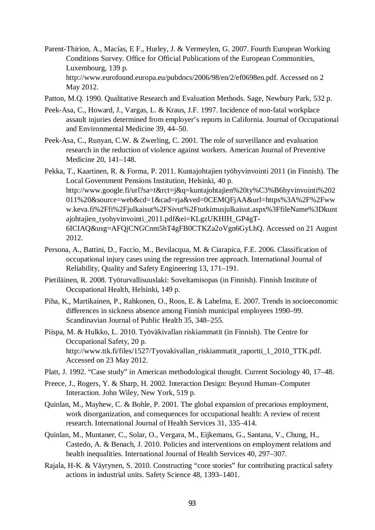- Parent-Thirion, A., Macías, E F., Hurley, J. & Vermeylen, G. 2007. Fourth European Working Conditions Survey. Office for Official Publications of the European Communities, Luxembourg, 139 p. http://www.eurofound.europa.eu/pubdocs/2006/98/en/2/ef0698en.pdf. Accessed on 2 May 2012.
- Patton, M.Q. 1990. Qualitative Research and Evaluation Methods. Sage, Newbury Park, 532 p.
- Peek-Asa, C., Howard, J., Vargas, L. & Kraus, J.F. 1997. Incidence of non-fatal workplace assault injuries determined from employer's reports in California. Journal of Occupational and Environmental Medicine 39, 44–50.
- Peek-Asa, C., Runyan, C.W. & Zwerling, C. 2001. The role of surveillance and evaluation research in the reduction of violence against workers. American Journal of Preventive Medicine 20, 141–148.
- Pekka, T., Kaartinen, R. & Forma, P. 2011. Kuntajohtajien työhyvinvointi 2011 (in Finnish). The Local Government Pensions Institution, Helsinki, 40 p. http://www.google.fi/url?sa=t&rct=j&q=kuntajohtajien%20ty%C3%B6hyvinvointi%202 011%20&source=web&cd=1&cad=rja&ved=0CEMQFjAA&url=https%3A%2F%2Fww w.keva.fi%2Ffi%2Fjulkaisut%2FSivut%2Ftutkimusjulkaisut.aspx%3FfileName%3Dkunt ajohtajien\_tyohyvinvointi\_2011.pdf&ei=KLgzUKHIH\_GP4gT-6ICIAQ&usg=AFQjCNGCnm5hT4gFB0CTKZa2oVgn6GyLhQ. Accessed on 21 August 2012.
- Persona, A., Battini, D., Faccio, M., Bevilacqua, M. & Ciarapica, F.E. 2006. Classification of occupational injury cases using the regression tree approach. International Journal of Reliability, Quality and Safety Engineering 13, 171–191.
- Pietiläinen, R. 2008. Työturvallisuuslaki: Soveltamisopas (in Finnish). Finnish Institute of Occupational Health, Helsinki, 149 p.
- Piha, K., Martikainen, P., Rahkonen, O., Roos, E. & Lahelma, E. 2007. Trends in socioeconomic differences in sickness absence among Finnish municipal employees 1990–99. Scandinavian Journal of Public Health 35, 348–255.
- Piispa, M. & Hulkko, L. 2010. Työväkivallan riskiammatit (in Finnish). The Centre for Occupational Safety, 20 p. http://www.ttk.fi/files/1527/Tyovakivallan\_riskiammatit\_raportti\_1\_2010\_TTK.pdf. Accessed on 23 May 2012.
- Platt, J. 1992. "Case study" in American methodological thought. Current Sociology 40, 17–48.
- Preece, J., Rogers, Y. & Sharp, H. 2002. Interaction Design: Beyond Human–Computer Interaction. John Wiley, New York, 519 p.
- Quinlan, M., Mayhew, C. & Bohle, P. 2001. The global expansion of precarious employment, work disorganization, and consequences for occupational health: A review of recent research. International Journal of Health Services 31, 335–414.
- Quinlan, M., Muntaner, C., Solar, O., Vergara, M., Eijkemans, G., Santana, V., Chung, H., Castedo, A. & Benach, J. 2010. Policies and interventions on employment relations and health inequalities. International Journal of Health Services 40, 297–307.
- Rajala, H-K. & Väyrynen, S. 2010. Constructing "core stories" for contributing practical safety actions in industrial units. Safety Science 48, 1393–1401.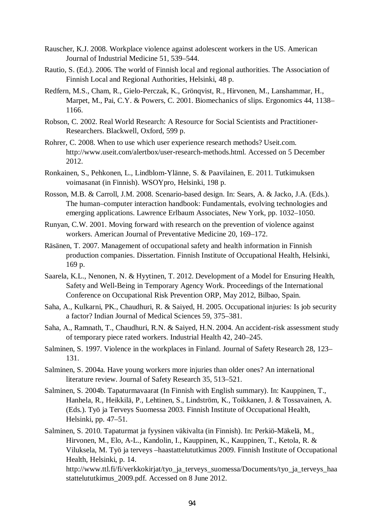- Rauscher, K.J. 2008. Workplace violence against adolescent workers in the US. American Journal of Industrial Medicine 51, 539–544.
- Rautio, S. (Ed.). 2006. The world of Finnish local and regional authorities. The Association of Finnish Local and Regional Authorities, Helsinki, 48 p.
- Redfern, M.S., Cham, R., Gielo-Perczak, K., Grönqvist, R., Hirvonen, M., Lanshammar, H., Marpet, M., Pai, C.Y. & Powers, C. 2001. Biomechanics of slips. Ergonomics 44, 1138– 1166.
- Robson, C. 2002. Real World Research: A Resource for Social Scientists and Practitioner-Researchers. Blackwell, Oxford, 599 p.
- Rohrer, C. 2008. When to use which user experience research methods? Useit.com. http://www.useit.com/alertbox/user-research-methods.html. Accessed on 5 December 2012.
- Ronkainen, S., Pehkonen, L., Lindblom-Ylänne, S. & Paavilainen, E. 2011. Tutkimuksen voimasanat (in Finnish). WSOYpro, Helsinki, 198 p.
- Rosson, M.B. & Carroll, J.M. 2008. Scenario-based design. In: Sears, A. & Jacko, J.A. (Eds.). The human–computer interaction handbook: Fundamentals, evolving technologies and emerging applications. Lawrence Erlbaum Associates, New York, pp. 1032–1050.
- Runyan, C.W. 2001. Moving forward with research on the prevention of violence against workers. American Journal of Preventative Medicine 20, 169–172.
- Räsänen, T. 2007. Management of occupational safety and health information in Finnish production companies. Dissertation. Finnish Institute of Occupational Health, Helsinki, 169 p.
- Saarela, K.L., Nenonen, N. & Hyytinen, T. 2012. Development of a Model for Ensuring Health, Safety and Well-Being in Temporary Agency Work. Proceedings of the International Conference on Occupational Risk Prevention ORP, May 2012, Bilbao, Spain.
- Saha, A., Kulkarni, PK., Chaudhuri, R. & Saiyed, H. 2005. Occupational injuries: Is job security a factor? Indian Journal of Medical Sciences 59, 375–381.
- Saha, A., Ramnath, T., Chaudhuri, R.N. & Saiyed, H.N. 2004. An accident-risk assessment study of temporary piece rated workers. Industrial Health 42, 240–245.
- Salminen, S. 1997. Violence in the workplaces in Finland. Journal of Safety Research 28, 123– 131.
- Salminen, S. 2004a. Have young workers more injuries than older ones? An international literature review. Journal of Safety Research 35, 513–521.
- Salminen, S. 2004b. Tapaturmavaarat (In Finnish with English summary). In: Kauppinen, T., Hanhela, R., Heikkilä, P., Lehtinen, S., Lindström, K., Toikkanen, J. & Tossavainen, A. (Eds.). Työ ja Terveys Suomessa 2003. Finnish Institute of Occupational Health, Helsinki, pp. 47–51.
- Salminen, S. 2010. Tapaturmat ja fyysinen väkivalta (in Finnish). In: Perkiö-Mäkelä, M., Hirvonen, M., Elo, A-L., Kandolin, I., Kauppinen, K., Kauppinen, T., Ketola, R. & Viluksela, M. Työ ja terveys –haastattelututkimus 2009. Finnish Institute of Occupational Health, Helsinki, p. 14. http://www.ttl.fi/fi/verkkokirjat/tyo\_ja\_terveys\_suomessa/Documents/tyo\_ja\_terveys\_haa stattelututkimus\_2009.pdf. Accessed on 8 June 2012.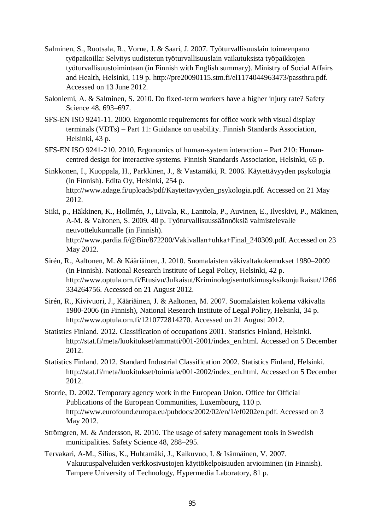- Salminen, S., Ruotsala, R., Vorne, J. & Saari, J. 2007. Työturvallisuuslain toimeenpano työpaikoilla: Selvitys uudistetun työturvallisuuslain vaikutuksista työpaikkojen työturvallisuustoimintaan (in Finnish with English summary). Ministry of Social Affairs and Health, Helsinki, 119 p. http://pre20090115.stm.fi/el1174044963473/passthru.pdf. Accessed on 13 June 2012.
- Saloniemi, A. & Salminen, S. 2010. Do fixed-term workers have a higher injury rate? Safety Science 48, 693–697.
- SFS-EN ISO 9241-11. 2000. Ergonomic requirements for office work with visual display terminals (VDTs) – Part 11: Guidance on usability. Finnish Standards Association, Helsinki, 43 p.
- SFS-EN ISO 9241-210. 2010. Ergonomics of human-system interaction Part 210: Humancentred design for interactive systems. Finnish Standards Association, Helsinki, 65 p.
- Sinkkonen, I., Kuoppala, H., Parkkinen, J., & Vastamäki, R. 2006. Käytettävyyden psykologia (in Finnish). Edita Oy, Helsinki, 254 p. http://www.adage.fi/uploads/pdf/Kaytettavyyden\_psykologia.pdf. Accessed on 21 May 2012.
- Siiki, p., Häkkinen, K., Hollmén, J., Liivala, R., Lanttola, P., Auvinen, E., Ilveskivi, P., Mäkinen, A-M. & Valtonen, S. 2009. 40 p. Työturvallisuussäännöksiä valmistelevalle neuvottelukunnalle (in Finnish). http://www.pardia.fi/@Bin/872200/Vakivallan+uhka+Final\_240309.pdf. Accessed on 23 May 2012.
- Sirén, R., Aaltonen, M. & Kääriäinen, J. 2010. Suomalaisten väkivaltakokemukset 1980–2009 (in Finnish). National Research Institute of Legal Policy, Helsinki, 42 p. http://www.optula.om.fi/Etusivu/Julkaisut/Kriminologisentutkimusyksikonjulkaisut/1266 334264756. Accessed on 21 August 2012.
- Sirén, R., Kivivuori, J., Kääriäinen, J. & Aaltonen, M. 2007. Suomalaisten kokema väkivalta 1980-2006 (in Finnish), National Research Institute of Legal Policy, Helsinki, 34 p. http://www.optula.om.fi/1210772814270. Accessed on 21 August 2012.
- Statistics Finland. 2012. Classification of occupations 2001. Statistics Finland, Helsinki. http://stat.fi/meta/luokitukset/ammatti/001-2001/index\_en.html. Accessed on 5 December 2012.
- Statistics Finland. 2012. Standard Industrial Classification 2002. Statistics Finland, Helsinki. http://stat.fi/meta/luokitukset/toimiala/001-2002/index\_en.html. Accessed on 5 December 2012.
- Storrie, D. 2002. Temporary agency work in the European Union. Office for Official Publications of the European Communities, Luxembourg, 110 p. http://www.eurofound.europa.eu/pubdocs/2002/02/en/1/ef0202en.pdf. Accessed on 3 May 2012.
- Strömgren, M. & Andersson, R. 2010. The usage of safety management tools in Swedish municipalities. Safety Science 48, 288–295.
- Tervakari, A-M., Silius, K., Huhtamäki, J., Kaikuvuo, I. & Isännäinen, V. 2007. Vakuutuspalveluiden verkkosivustojen käyttökelpoisuuden arvioiminen (in Finnish). Tampere University of Technology, Hypermedia Laboratory, 81 p.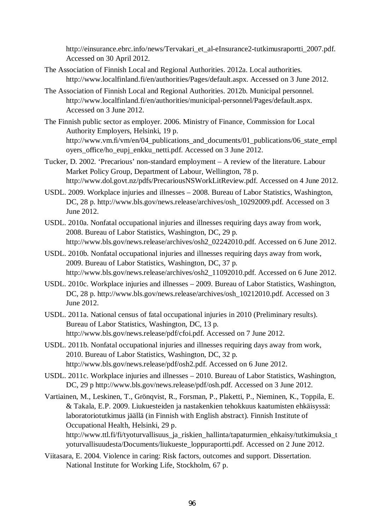http://einsurance.ebrc.info/news/Tervakari\_et\_al-eInsurance2-tutkimusraportti\_2007.pdf. Accessed on 30 April 2012.

- The Association of Finnish Local and Regional Authorities. 2012a. Local authorities. http://www.localfinland.fi/en/authorities/Pages/default.aspx. Accessed on 3 June 2012.
- The Association of Finnish Local and Regional Authorities. 2012b. Municipal personnel. http://www.localfinland.fi/en/authorities/municipal-personnel/Pages/default.aspx. Accessed on 3 June 2012.
- The Finnish public sector as employer. 2006. Ministry of Finance, Commission for Local Authority Employers, Helsinki, 19 p. http://www.vm.fi/vm/en/04\_publications\_and\_documents/01\_publications/06\_state\_empl oyers office/ho eupj enkku netti.pdf. Accessed on 3 June 2012.
- Tucker, D. 2002. 'Precarious' non-standard employment A review of the literature. Labour Market Policy Group, Department of Labour, Wellington, 78 p. http://www.dol.govt.nz/pdfs/PrecariousNSWorkLitReview.pdf. Accessed on 4 June 2012.
- USDL. 2009. Workplace injuries and illnesses 2008. Bureau of Labor Statistics, Washington, DC, 28 p. http://www.bls.gov/news.release/archives/osh\_10292009.pdf. Accessed on 3 June 2012.
- USDL. 2010a. Nonfatal occupational injuries and illnesses requiring days away from work, 2008. Bureau of Labor Statistics, Washington, DC, 29 p. http://www.bls.gov/news.release/archives/osh2\_02242010.pdf. Accessed on 6 June 2012.
- USDL. 2010b. Nonfatal occupational injuries and illnesses requiring days away from work, 2009. Bureau of Labor Statistics, Washington, DC, 37 p. http://www.bls.gov/news.release/archives/osh2\_11092010.pdf. Accessed on 6 June 2012.
- USDL. 2010c. Workplace injuries and illnesses 2009. Bureau of Labor Statistics, Washington, DC, 28 p. http://www.bls.gov/news.release/archives/osh 10212010.pdf. Accessed on 3 June 2012.
- USDL. 2011a. National census of fatal occupational injuries in 2010 (Preliminary results). Bureau of Labor Statistics, Washington, DC, 13 p. http://www.bls.gov/news.release/pdf/cfoi.pdf. Accessed on 7 June 2012.
- USDL. 2011b. Nonfatal occupational injuries and illnesses requiring days away from work, 2010. Bureau of Labor Statistics, Washington, DC, 32 p. http://www.bls.gov/news.release/pdf/osh2.pdf. Accessed on 6 June 2012.
- USDL. 2011c. Workplace injuries and illnesses 2010. Bureau of Labor Statistics, Washington, DC, 29 p http://www.bls.gov/news.release/pdf/osh.pdf. Accessed on 3 June 2012.
- Vartiainen, M., Leskinen, T., Grönqvist, R., Forsman, P., Plaketti, P., Nieminen, K., Toppila, E. & Takala, E.P. 2009. Liukuesteiden ja nastakenkien tehokkuus kaatumisten ehkäisyssä: laboratoriotutkimus jäällä (in Finnish with English abstract). Finnish Institute of Occupational Health, Helsinki, 29 p. http://www.ttl.fi/fi/tyoturvallisuus\_ja\_riskien\_hallinta/tapaturmien\_ehkaisy/tutkimuksia\_t

yoturvallisuudesta/Documents/liukueste\_loppuraportti.pdf. Accessed on 2 June 2012.

Viitasara, E. 2004. Violence in caring: Risk factors, outcomes and support. Dissertation. National Institute for Working Life, Stockholm, 67 p.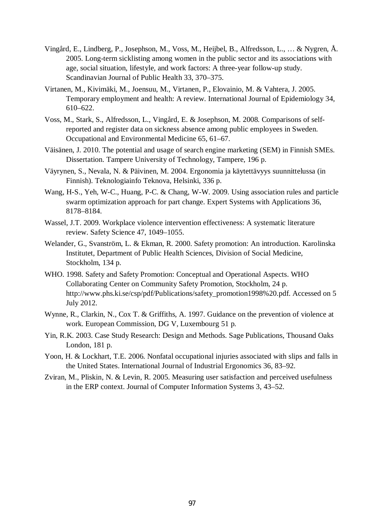- Vingård, E., Lindberg, P., Josephson, M., Voss, M., Heijbel, B., Alfredsson, L., … & Nygren, Å. 2005. Long-term sicklisting among women in the public sector and its associations with age, social situation, lifestyle, and work factors: A three-year follow-up study. Scandinavian Journal of Public Health 33, 370–375.
- Virtanen, M., Kivimäki, M., Joensuu, M., Virtanen, P., Elovainio, M. & Vahtera, J. 2005. Temporary employment and health: A review. International Journal of Epidemiology 34, 610–622.
- Voss, M., Stark, S., Alfredsson, L., Vingård, E. & Josephson, M. 2008. Comparisons of selfreported and register data on sickness absence among public employees in Sweden. Occupational and Environmental Medicine 65, 61–67.
- Väisänen, J. 2010. The potential and usage of search engine marketing (SEM) in Finnish SMEs. Dissertation. Tampere University of Technology, Tampere, 196 p.
- Väyrynen, S., Nevala, N. & Päivinen, M. 2004. Ergonomia ja käytettävyys suunnittelussa (in Finnish). Teknologiainfo Teknova, Helsinki, 336 p.
- Wang, H-S., Yeh, W-C., Huang, P-C. & Chang, W-W. 2009. Using association rules and particle swarm optimization approach for part change. Expert Systems with Applications 36, 8178–8184.
- Wassel, J.T. 2009. Workplace violence intervention effectiveness: A systematic literature review. Safety Science 47, 1049–1055.
- Welander, G., Svanström, L. & Ekman, R. 2000. Safety promotion: An introduction. Karolinska Institutet, Department of Public Health Sciences, Division of Social Medicine, Stockholm, 134 p.
- WHO. 1998. Safety and Safety Promotion: Conceptual and Operational Aspects. WHO Collaborating Center on Community Safety Promotion, Stockholm, 24 p. http://www.phs.ki.se/csp/pdf/Publications/safety\_promotion1998%20.pdf. Accessed on 5 July 2012.
- Wynne, R., Clarkin, N., Cox T. & Griffiths, A. 1997. Guidance on the prevention of violence at work. European Commission, DG V, Luxembourg 51 p.
- Yin, R.K. 2003. Case Study Research: Design and Methods. Sage Publications, Thousand Oaks London, 181 p.
- Yoon, H. & Lockhart, T.E. 2006. Nonfatal occupational injuries associated with slips and falls in the United States. International Journal of Industrial Ergonomics 36, 83–92.
- Zviran, M., Pliskin, N. & Levin, R. 2005. Measuring user satisfaction and perceived usefulness in the ERP context. Journal of Computer Information Systems 3, 43–52.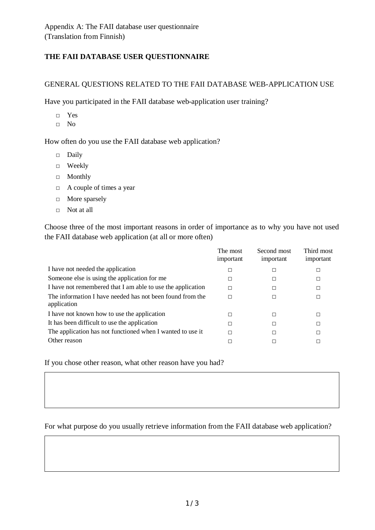# **THE FAII DATABASE USER QUESTIONNAIRE**

#### GENERAL QUESTIONS RELATED TO THE FAII DATABASE WEB-APPLICATION USE

Have you participated in the FAII database web-application user training?

- Ƒ Yes
- Ƒ No

How often do you use the FAII database web application?

- Ƒ Daily
- Ƒ Weekly
- Ƒ Monthly
- $\Box$  A couple of times a year
- $\Box$  More sparsely
- $\Box$  Not at all

Choose three of the most important reasons in order of importance as to why you have not used the FAII database web application (at all or more often)

|                                                                          | The most<br>important | Second most<br>important | Third most<br>important |
|--------------------------------------------------------------------------|-----------------------|--------------------------|-------------------------|
| I have not needed the application                                        |                       |                          | Е                       |
| Someone else is using the application for me                             | П                     |                          | г                       |
| I have not remembered that I am able to use the application              | П                     |                          | Е                       |
| The information I have needed has not been found from the<br>application | П                     |                          | Е                       |
| I have not known how to use the application                              | П                     |                          | Е                       |
| It has been difficult to use the application                             | П                     |                          | г                       |
| The application has not functioned when I wanted to use it               |                       |                          | г                       |
| Other reason                                                             |                       |                          | г                       |

If you chose other reason, what other reason have you had?

### For what purpose do you usually retrieve information from the FAII database web application?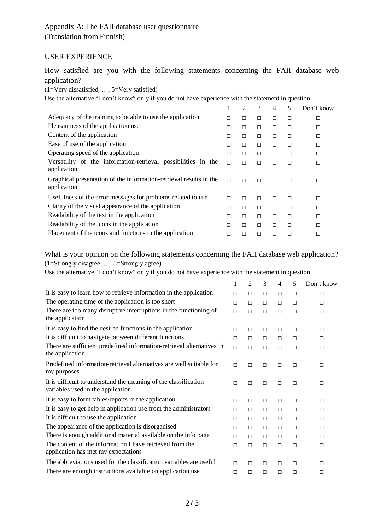## USER EXPERIENCE

How satisfied are you with the following statements concerning the FAII database web application?

(1=Very dissatisfied, …, 5=Very satisfied)

Use the alternative "I don't know" only if you do not have experience with the statement in question

|        | $\overline{2}$ | 3 | 4 | 5      | Don't know |
|--------|----------------|---|---|--------|------------|
| П      |                | П | □ | $\Box$ | □          |
| П      | П              | П | П | П      | □          |
| П      |                | П | П | П      | П          |
| П      | П              | П | П | $\Box$ | $\Box$     |
| П      |                | П | П | □      | $\Box$     |
| П      |                | П | г | П      | □          |
| $\Box$ |                | П | г | П      | П          |
| П      | г              | П | П | П      | □          |
| П      | П              | П | П | П      | □          |
| П      | П              | П | П | П      | П          |
| П      |                | П | П | П      | П          |
|        |                | г | г | П      | П          |
|        |                |   |   |        |            |

What is your opinion on the following statements concerning the FAII database web application? (1=Strongly disagree, …, 5=Strongly agree)

Use the alternative "I don't know" only if you do not have experience with the statement in question

|                                                                                                      | 1      | $\overline{2}$ | 3      | 4      | 5      | Don't know |
|------------------------------------------------------------------------------------------------------|--------|----------------|--------|--------|--------|------------|
| It is easy to learn how to retrieve information in the application                                   | $\Box$ | $\Box$         | $\Box$ | $\Box$ | П      | $\Box$     |
| The operating time of the application is too short                                                   | $\Box$ | $\Box$         | $\Box$ | $\Box$ | $\Box$ | $\Box$     |
| There are too many disruptive interruptions in the functioning of<br>the application                 | $\Box$ | $\Box$         | $\Box$ | $\Box$ | $\Box$ | $\Box$     |
| It is easy to find the desired functions in the application                                          | $\Box$ | $\Box$         | $\Box$ | $\Box$ | $\Box$ | $\Box$     |
| It is difficult to navigate between different functions                                              | $\Box$ | П              | $\Box$ | $\Box$ | $\Box$ | $\Box$     |
| There are sufficient predefined information-retrieval alternatives in<br>the application             | $\Box$ | $\Box$         | $\Box$ | $\Box$ | $\Box$ | $\Box$     |
| Predefined information-retrieval alternatives are well suitable for<br>my purposes                   | $\Box$ | $\Box$         | $\Box$ | $\Box$ | $\Box$ | $\Box$     |
| It is difficult to understand the meaning of the classification<br>variables used in the application | $\Box$ | $\Box$         | $\Box$ | $\Box$ | $\Box$ | $\Box$     |
| It is easy to form tables/reports in the application                                                 | $\Box$ | $\Box$         | $\Box$ | $\Box$ | $\Box$ | $\Box$     |
| It is easy to get help in application use from the administrators                                    | $\Box$ | $\Box$         | $\Box$ | $\Box$ | П      | $\Box$     |
| It is difficult to use the application                                                               | П      | $\Box$         | $\Box$ | $\Box$ | $\Box$ | $\Box$     |
| The appearance of the application is disorganised                                                    | $\Box$ | П              | $\Box$ | $\Box$ | $\Box$ | $\Box$     |
| There is enough additional material available on the info page                                       | $\Box$ | П              | $\Box$ | $\Box$ | П      | $\Box$     |
| The content of the information I have retrieved from the<br>application has met my expectations      | $\Box$ | П              | $\Box$ | $\Box$ | $\Box$ | $\Box$     |
| The abbreviations used for the classification variables are useful                                   | $\Box$ | П              | $\Box$ | $\Box$ | $\Box$ | $\Box$     |
| There are enough instructions available on application use                                           | $\Box$ | $\Box$         | $\Box$ | $\Box$ | $\Box$ | $\Box$     |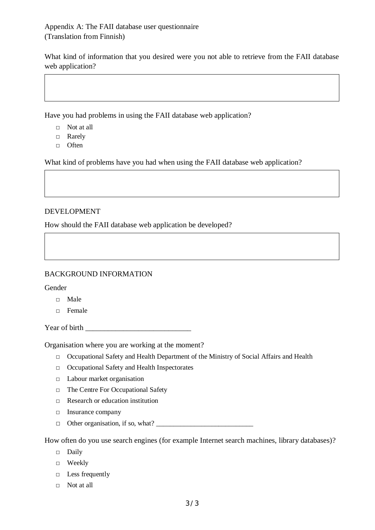What kind of information that you desired were you not able to retrieve from the FAII database web application?

Have you had problems in using the FAII database web application?

- $\Box$  Not at all
- Ƒ Rarely
- Ƒ Often

What kind of problems have you had when using the FAII database web application?

# DEVELOPMENT

How should the FAII database web application be developed?

# BACKGROUND INFORMATION

Gender

- Ƒ Male
- Ƒ Female

Year of birth  $\blacksquare$ 

Organisation where you are working at the moment?

- Ƒ Occupational Safety and Health Department of the Ministry of Social Affairs and Health
- Ƒ Occupational Safety and Health Inspectorates
- $\Box$  Labour market organisation
- $\Box$  The Centre For Occupational Safety
- $\Box$  Research or education institution
- $\Box$  Insurance company
- $\Box$  Other organisation, if so, what?

How often do you use search engines (for example Internet search machines, library databases)?

- Ƒ Daily
- Ƒ Weekly
- $\Box$  Less frequently
- $\Box$  Not at all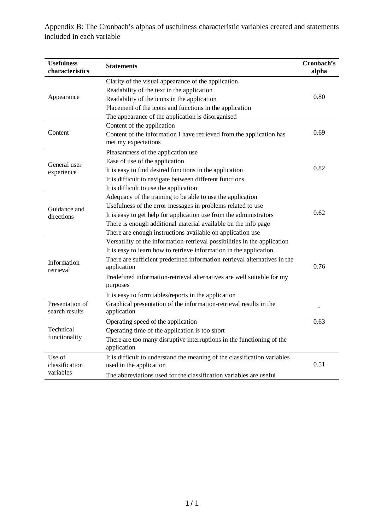Appendix B: The Cronbach's alphas of usefulness characteristic variables created and statements included in each variable

| <b>Usefulness</b><br>characteristics | <b>Statements</b>                                                                                    | Cronbach's<br>alpha |
|--------------------------------------|------------------------------------------------------------------------------------------------------|---------------------|
|                                      | Clarity of the visual appearance of the application                                                  |                     |
|                                      | Readability of the text in the application                                                           |                     |
| Appearance                           | Readability of the icons in the application                                                          | 0.80                |
|                                      | Placement of the icons and functions in the application                                              |                     |
|                                      | The appearance of the application is disorganised                                                    |                     |
|                                      | Content of the application                                                                           |                     |
| Content                              | Content of the information I have retrieved from the application has                                 | 0.69                |
|                                      | met my expectations                                                                                  |                     |
|                                      | Pleasantness of the application use                                                                  |                     |
| General user                         | Ease of use of the application                                                                       |                     |
| experience                           | It is easy to find desired functions in the application                                              | 0.82                |
|                                      | It is difficult to navigate between different functions                                              |                     |
|                                      | It is difficult to use the application                                                               |                     |
|                                      | Adequacy of the training to be able to use the application                                           |                     |
| Guidance and                         | Usefulness of the error messages in problems related to use                                          |                     |
| directions                           | It is easy to get help for application use from the administrators                                   | 0.62                |
|                                      | There is enough additional material available on the info page                                       |                     |
|                                      | There are enough instructions available on application use                                           |                     |
|                                      | Versatility of the information-retrieval possibilities in the application                            |                     |
|                                      | It is easy to learn how to retrieve information in the application                                   |                     |
| Information<br>retrieval             | There are sufficient predefined information-retrieval alternatives in the<br>application             | 0.76                |
|                                      | Predefined information-retrieval alternatives are well suitable for my<br>purposes                   |                     |
|                                      | It is easy to form tables/reports in the application                                                 |                     |
| Presentation of<br>search results    | Graphical presentation of the information-retrieval results in the<br>application                    |                     |
| Technical<br>functionality           | Operating speed of the application                                                                   | 0.63                |
|                                      | Operating time of the application is too short                                                       |                     |
|                                      | There are too many disruptive interruptions in the functioning of the<br>application                 |                     |
| Use of<br>classification             | It is difficult to understand the meaning of the classification variables<br>used in the application | 0.51                |
| variables                            | The abbreviations used for the classification variables are useful                                   |                     |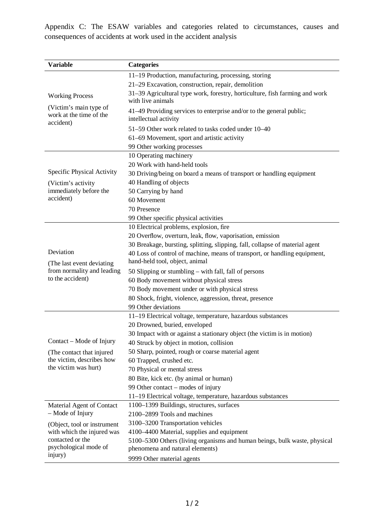Appendix C: The ESAW variables and categories related to circumstances, causes and consequences of accidents at work used in the accident analysis

| <b>Variable</b>                                                | <b>Categories</b>                                                                                |
|----------------------------------------------------------------|--------------------------------------------------------------------------------------------------|
|                                                                | 11-19 Production, manufacturing, processing, storing                                             |
|                                                                | 21-29 Excavation, construction, repair, demolition                                               |
| <b>Working Process</b>                                         | 31–39 Agricultural type work, forestry, horticulture, fish farming and work<br>with live animals |
| (Victim's main type of<br>work at the time of the<br>accident) | 41–49 Providing services to enterprise and/or to the general public;<br>intellectual activity    |
|                                                                | 51-59 Other work related to tasks coded under 10-40                                              |
|                                                                | 61–69 Movement, sport and artistic activity                                                      |
|                                                                | 99 Other working processes                                                                       |
|                                                                | 10 Operating machinery                                                                           |
|                                                                | 20 Work with hand-held tools                                                                     |
| Specific Physical Activity                                     | 30 Driving/being on board a means of transport or handling equipment                             |
| (Victim's activity)                                            | 40 Handling of objects                                                                           |
| immediately before the                                         | 50 Carrying by hand                                                                              |
| accident)                                                      | 60 Movement                                                                                      |
|                                                                | 70 Presence                                                                                      |
|                                                                | 99 Other specific physical activities                                                            |
|                                                                | 10 Electrical problems, explosion, fire                                                          |
|                                                                | 20 Overflow, overturn, leak, flow, vaporisation, emission                                        |
|                                                                | 30 Breakage, bursting, splitting, slipping, fall, collapse of material agent                     |
| Deviation                                                      | 40 Loss of control of machine, means of transport, or handling equipment,                        |
| (The last event deviating)                                     | hand-held tool, object, animal                                                                   |
| from normality and leading                                     | 50 Slipping or stumbling - with fall, fall of persons                                            |
| to the accident)                                               | 60 Body movement without physical stress                                                         |
|                                                                | 70 Body movement under or with physical stress                                                   |
|                                                                | 80 Shock, fright, violence, aggression, threat, presence                                         |
|                                                                | 99 Other deviations                                                                              |
|                                                                | 11-19 Electrical voltage, temperature, hazardous substances                                      |
|                                                                | 20 Drowned, buried, enveloped                                                                    |
|                                                                | 30 Impact with or against a stationary object (the victim is in motion)                          |
| Contact – Mode of Injury                                       | 40 Struck by object in motion, collision                                                         |
| (The contact that injured)                                     | 50 Sharp, pointed, rough or coarse material agent                                                |
| the victim, describes how                                      | 60 Trapped, crushed etc.                                                                         |
| the victim was hurt)                                           | 70 Physical or mental stress                                                                     |
|                                                                | 80 Bite, kick etc. (by animal or human)                                                          |
|                                                                | 99 Other contact – modes of injury                                                               |
|                                                                | 11-19 Electrical voltage, temperature, hazardous substances                                      |
| Material Agent of Contact                                      | 1100-1399 Buildings, structures, surfaces                                                        |
| $-$ Mode of Injury                                             | 2100-2899 Tools and machines                                                                     |
| (Object, tool or instrument                                    | 3100-3200 Transportation vehicles                                                                |
| with which the injured was                                     | 4100–4400 Material, supplies and equipment                                                       |
| contacted or the                                               | 5100-5300 Others (living organisms and human beings, bulk waste, physical                        |
| psychological mode of                                          | phenomena and natural elements)                                                                  |
| injury)                                                        | 9999 Other material agents                                                                       |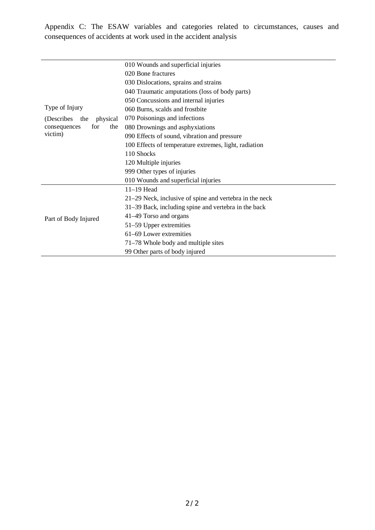Appendix C: The ESAW variables and categories related to circumstances, causes and consequences of accidents at work used in the accident analysis

|                                                                         | 010 Wounds and superficial injuries                     |  |  |  |
|-------------------------------------------------------------------------|---------------------------------------------------------|--|--|--|
|                                                                         | 020 Bone fractures                                      |  |  |  |
|                                                                         | 030 Dislocations, sprains and strains                   |  |  |  |
|                                                                         | 040 Traumatic amputations (loss of body parts)          |  |  |  |
|                                                                         | 050 Concussions and internal injuries                   |  |  |  |
| Type of Injury                                                          | 060 Burns, scalds and frostbite                         |  |  |  |
| physical<br>(Describes)<br>the<br>for<br>the<br>consequences<br>victim) | 070 Poisonings and infections                           |  |  |  |
|                                                                         | 080 Drownings and asphyxiations                         |  |  |  |
|                                                                         | 090 Effects of sound, vibration and pressure            |  |  |  |
|                                                                         | 100 Effects of temperature extremes, light, radiation   |  |  |  |
|                                                                         | 110 Shocks                                              |  |  |  |
|                                                                         | 120 Multiple injuries                                   |  |  |  |
|                                                                         | 999 Other types of injuries                             |  |  |  |
|                                                                         | 010 Wounds and superficial injuries                     |  |  |  |
|                                                                         | $11-19$ Head                                            |  |  |  |
| Part of Body Injured                                                    | 21–29 Neck, inclusive of spine and vertebra in the neck |  |  |  |
|                                                                         | 31–39 Back, including spine and vertebra in the back    |  |  |  |
|                                                                         | 41–49 Torso and organs                                  |  |  |  |
|                                                                         | 51–59 Upper extremities                                 |  |  |  |
|                                                                         | 61-69 Lower extremities                                 |  |  |  |
|                                                                         | 71–78 Whole body and multiple sites                     |  |  |  |
|                                                                         | 99 Other parts of body injured                          |  |  |  |